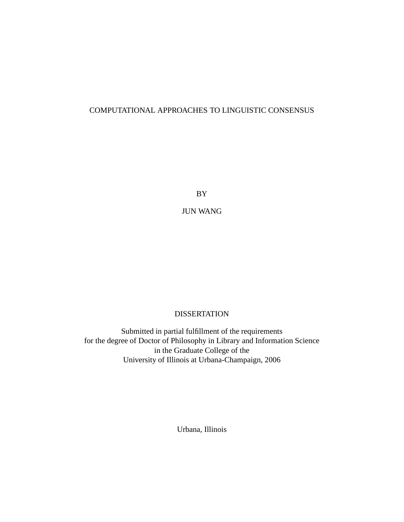#### COMPUTATIONAL APPROACHES TO LINGUISTIC CONSENSUS

BY

JUN WANG

#### DISSERTATION

Submitted in partial fulfillment of the requirements for the degree of Doctor of Philosophy in Library and Information Science in the Graduate College of the University of Illinois at Urbana-Champaign, 2006

Urbana, Illinois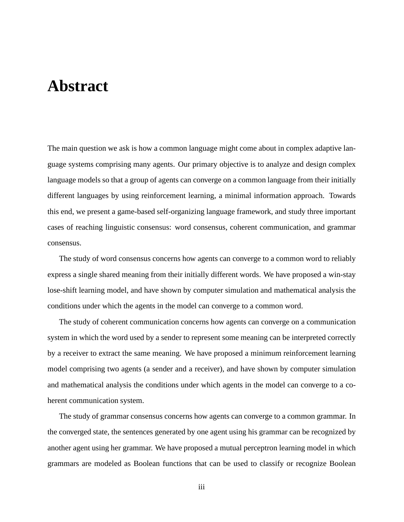### **Abstract**

The main question we ask is how a common language might come about in complex adaptive language systems comprising many agents. Our primary objective is to analyze and design complex language models so that a group of agents can converge on a common language from their initially different languages by using reinforcement learning, a minimal information approach. Towards this end, we present a game-based self-organizing language framework, and study three important cases of reaching linguistic consensus: word consensus, coherent communication, and grammar consensus.

The study of word consensus concerns how agents can converge to a common word to reliably express a single shared meaning from their initially different words. We have proposed a win-stay lose-shift learning model, and have shown by computer simulation and mathematical analysis the conditions under which the agents in the model can converge to a common word.

The study of coherent communication concerns how agents can converge on a communication system in which the word used by a sender to represent some meaning can be interpreted correctly by a receiver to extract the same meaning. We have proposed a minimum reinforcement learning model comprising two agents (a sender and a receiver), and have shown by computer simulation and mathematical analysis the conditions under which agents in the model can converge to a coherent communication system.

The study of grammar consensus concerns how agents can converge to a common grammar. In the converged state, the sentences generated by one agent using his grammar can be recognized by another agent using her grammar. We have proposed a mutual perceptron learning model in which grammars are modeled as Boolean functions that can be used to classify or recognize Boolean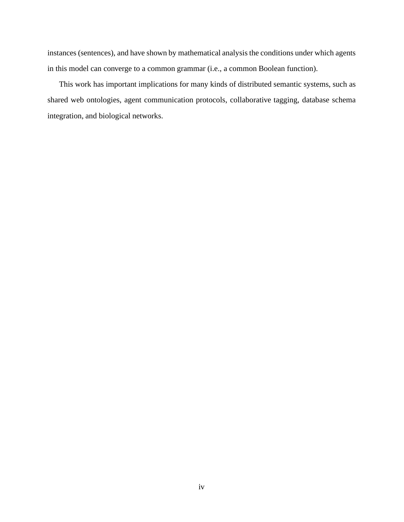instances (sentences), and have shown by mathematical analysis the conditions under which agents in this model can converge to a common grammar (i.e., a common Boolean function).

This work has important implications for many kinds of distributed semantic systems, such as shared web ontologies, agent communication protocols, collaborative tagging, database schema integration, and biological networks.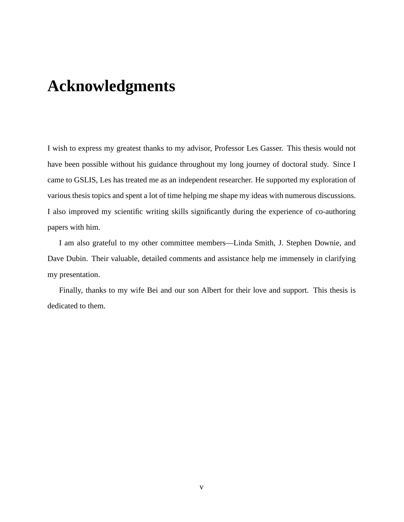# **Acknowledgments**

I wish to express my greatest thanks to my advisor, Professor Les Gasser. This thesis would not have been possible without his guidance throughout my long journey of doctoral study. Since I came to GSLIS, Les has treated me as an independent researcher. He supported my exploration of various thesis topics and spent a lot of time helping me shape my ideas with numerous discussions. I also improved my scientific writing skills significantly during the experience of co-authoring papers with him.

I am also grateful to my other committee members—Linda Smith, J. Stephen Downie, and Dave Dubin. Their valuable, detailed comments and assistance help me immensely in clarifying my presentation.

Finally, thanks to my wife Bei and our son Albert for their love and support. This thesis is dedicated to them.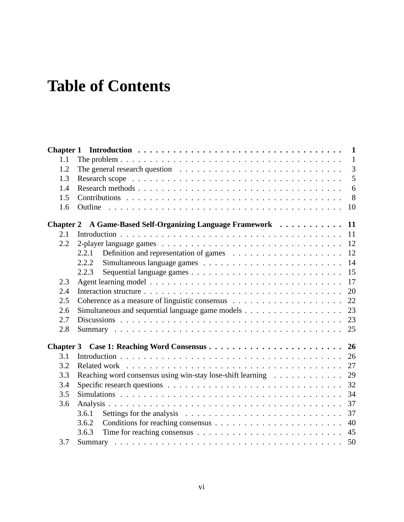# **Table of Contents**

|                  |                                                                                                     | 1              |
|------------------|-----------------------------------------------------------------------------------------------------|----------------|
| 1.1              |                                                                                                     | $\overline{1}$ |
| 1.2              | The general research question $\ldots \ldots \ldots \ldots \ldots \ldots \ldots \ldots \ldots$      | 3              |
| 1.3              |                                                                                                     | 5              |
| 1.4              |                                                                                                     | 6              |
| 1.5              |                                                                                                     | 8              |
| 1.6              |                                                                                                     | 10             |
| <b>Chapter 2</b> | A Game-Based Self-Organizing Language Framework                                                     | 11             |
| 2.1              |                                                                                                     | 11             |
| 2.2              |                                                                                                     | 12             |
|                  | 2.2.1                                                                                               | 12             |
|                  | 2.2.2                                                                                               | 14             |
|                  | 2.2.3                                                                                               | 15             |
| 2.3              |                                                                                                     | 17             |
| 2.4              |                                                                                                     | 20             |
| 2.5              |                                                                                                     | 22             |
| 2.6              |                                                                                                     | 23             |
| 2.7              |                                                                                                     | 23             |
| 2.8              |                                                                                                     | 25             |
| <b>Chapter 3</b> |                                                                                                     | 26             |
| 3.1              |                                                                                                     | 26             |
| 3.2              |                                                                                                     | 27             |
| 3.3              | Reaching word consensus using win-stay lose-shift learning                                          | 29             |
| 3.4              | Specific research questions $\ldots \ldots \ldots \ldots \ldots \ldots \ldots \ldots \ldots \ldots$ | 32             |
| 3.5              |                                                                                                     | 34             |
| 3.6              |                                                                                                     | 37             |
|                  | Settings for the analysis $\ldots \ldots \ldots \ldots \ldots \ldots \ldots \ldots \ldots$<br>3.6.1 | 37             |
|                  | 3.6.2                                                                                               | 40             |
|                  | 3.6.3                                                                                               | 45             |
| 3.7              |                                                                                                     |                |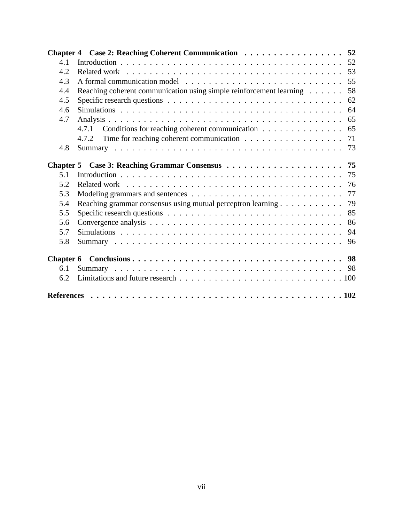|     | Chapter 4 Case 2: Reaching Coherent Communication 52                                                |    |  |  |  |
|-----|-----------------------------------------------------------------------------------------------------|----|--|--|--|
| 4.1 |                                                                                                     |    |  |  |  |
| 4.2 |                                                                                                     | 53 |  |  |  |
| 4.3 |                                                                                                     | 55 |  |  |  |
| 4.4 | Reaching coherent communication using simple reinforcement learning                                 | 58 |  |  |  |
| 4.5 | Specific research questions $\ldots \ldots \ldots \ldots \ldots \ldots \ldots \ldots \ldots \ldots$ | 62 |  |  |  |
| 4.6 |                                                                                                     | 64 |  |  |  |
| 4.7 |                                                                                                     | 65 |  |  |  |
|     | 4.7.1 Conditions for reaching coherent communication 65                                             |    |  |  |  |
|     | Time for reaching coherent communication $\dots \dots \dots \dots \dots \dots$<br>4.7.2             | 71 |  |  |  |
| 4.8 |                                                                                                     | 73 |  |  |  |
|     |                                                                                                     | 75 |  |  |  |
| 5.1 |                                                                                                     | 75 |  |  |  |
| 5.2 |                                                                                                     | 76 |  |  |  |
| 5.3 |                                                                                                     | 77 |  |  |  |
| 5.4 | Reaching grammar consensus using mutual perceptron learning                                         | 79 |  |  |  |
| 5.5 | Specific research questions $\ldots \ldots \ldots \ldots \ldots \ldots \ldots \ldots \ldots \ldots$ | 85 |  |  |  |
| 5.6 |                                                                                                     | 86 |  |  |  |
| 5.7 |                                                                                                     | 94 |  |  |  |
| 5.8 |                                                                                                     | 96 |  |  |  |
|     |                                                                                                     |    |  |  |  |
| 6.1 |                                                                                                     |    |  |  |  |
| 6.2 |                                                                                                     |    |  |  |  |
|     |                                                                                                     |    |  |  |  |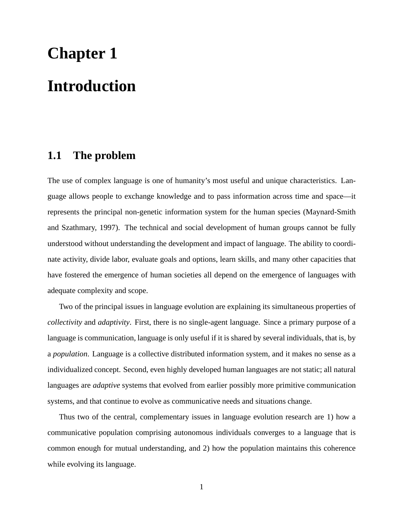# **Chapter 1 Introduction**

### **1.1 The problem**

The use of complex language is one of humanity's most useful and unique characteristics. Language allows people to exchange knowledge and to pass information across time and space—it represents the principal non-genetic information system for the human species (Maynard-Smith and Szathmary, 1997). The technical and social development of human groups cannot be fully understood without understanding the development and impact of language. The ability to coordinate activity, divide labor, evaluate goals and options, learn skills, and many other capacities that have fostered the emergence of human societies all depend on the emergence of languages with adequate complexity and scope.

Two of the principal issues in language evolution are explaining its simultaneous properties of *collectivity* and *adaptivity*. First, there is no single-agent language. Since a primary purpose of a language is communication, language is only useful if it is shared by several individuals, that is, by a *population*. Language is a collective distributed information system, and it makes no sense as a individualized concept. Second, even highly developed human languages are not static; all natural languages are *adaptive* systems that evolved from earlier possibly more primitive communication systems, and that continue to evolve as communicative needs and situations change.

Thus two of the central, complementary issues in language evolution research are 1) how a communicative population comprising autonomous individuals converges to a language that is common enough for mutual understanding, and 2) how the population maintains this coherence while evolving its language.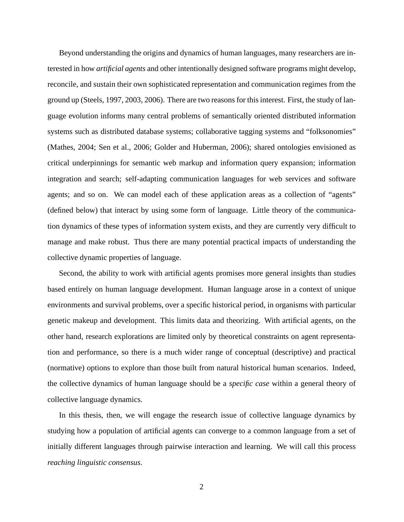Beyond understanding the origins and dynamics of human languages, many researchers are interested in how *artificial agents* and other intentionally designed software programs might develop, reconcile, and sustain their own sophisticated representation and communication regimes from the ground up (Steels, 1997, 2003, 2006). There are two reasons for this interest. First, the study of language evolution informs many central problems of semantically oriented distributed information systems such as distributed database systems; collaborative tagging systems and "folksonomies" (Mathes, 2004; Sen et al., 2006; Golder and Huberman, 2006); shared ontologies envisioned as critical underpinnings for semantic web markup and information query expansion; information integration and search; self-adapting communication languages for web services and software agents; and so on. We can model each of these application areas as a collection of "agents" (defined below) that interact by using some form of language. Little theory of the communication dynamics of these types of information system exists, and they are currently very difficult to manage and make robust. Thus there are many potential practical impacts of understanding the collective dynamic properties of language.

Second, the ability to work with artificial agents promises more general insights than studies based entirely on human language development. Human language arose in a context of unique environments and survival problems, over a specific historical period, in organisms with particular genetic makeup and development. This limits data and theorizing. With artificial agents, on the other hand, research explorations are limited only by theoretical constraints on agent representation and performance, so there is a much wider range of conceptual (descriptive) and practical (normative) options to explore than those built from natural historical human scenarios. Indeed, the collective dynamics of human language should be a *specific case* within a general theory of collective language dynamics.

In this thesis, then, we will engage the research issue of collective language dynamics by studying how a population of artificial agents can converge to a common language from a set of initially different languages through pairwise interaction and learning. We will call this process *reaching linguistic consensus*.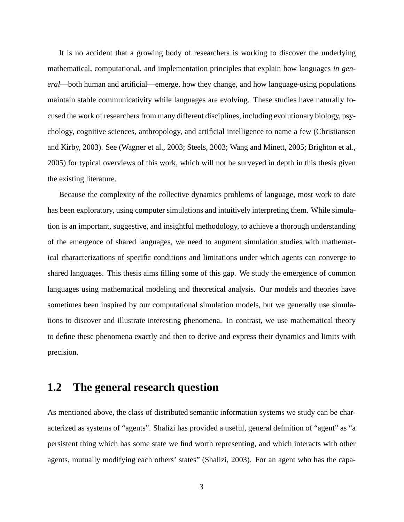It is no accident that a growing body of researchers is working to discover the underlying mathematical, computational, and implementation principles that explain how languages *in general*—both human and artificial—emerge, how they change, and how language-using populations maintain stable communicativity while languages are evolving. These studies have naturally focused the work of researchers from many different disciplines, including evolutionary biology, psychology, cognitive sciences, anthropology, and artificial intelligence to name a few (Christiansen and Kirby, 2003). See (Wagner et al., 2003; Steels, 2003; Wang and Minett, 2005; Brighton et al., 2005) for typical overviews of this work, which will not be surveyed in depth in this thesis given the existing literature.

Because the complexity of the collective dynamics problems of language, most work to date has been exploratory, using computer simulations and intuitively interpreting them. While simulation is an important, suggestive, and insightful methodology, to achieve a thorough understanding of the emergence of shared languages, we need to augment simulation studies with mathematical characterizations of specific conditions and limitations under which agents can converge to shared languages. This thesis aims filling some of this gap. We study the emergence of common languages using mathematical modeling and theoretical analysis. Our models and theories have sometimes been inspired by our computational simulation models, but we generally use simulations to discover and illustrate interesting phenomena. In contrast, we use mathematical theory to define these phenomena exactly and then to derive and express their dynamics and limits with precision.

#### **1.2 The general research question**

As mentioned above, the class of distributed semantic information systems we study can be characterized as systems of "agents". Shalizi has provided a useful, general definition of "agent" as "a persistent thing which has some state we find worth representing, and which interacts with other agents, mutually modifying each others' states" (Shalizi, 2003). For an agent who has the capa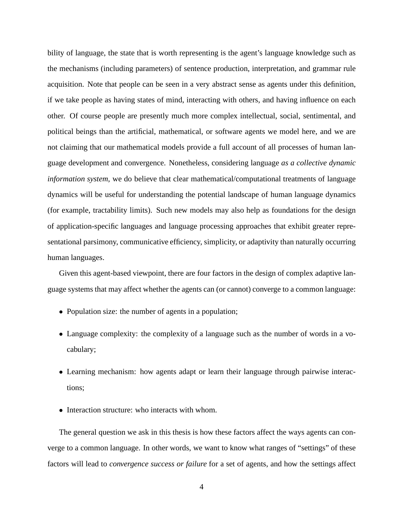bility of language, the state that is worth representing is the agent's language knowledge such as the mechanisms (including parameters) of sentence production, interpretation, and grammar rule acquisition. Note that people can be seen in a very abstract sense as agents under this definition, if we take people as having states of mind, interacting with others, and having influence on each other. Of course people are presently much more complex intellectual, social, sentimental, and political beings than the artificial, mathematical, or software agents we model here, and we are not claiming that our mathematical models provide a full account of all processes of human language development and convergence. Nonetheless, considering language *as a collective dynamic information system*, we do believe that clear mathematical/computational treatments of language dynamics will be useful for understanding the potential landscape of human language dynamics (for example, tractability limits). Such new models may also help as foundations for the design of application-specific languages and language processing approaches that exhibit greater representational parsimony, communicative efficiency, simplicity, or adaptivity than naturally occurring human languages.

Given this agent-based viewpoint, there are four factors in the design of complex adaptive language systems that may affect whether the agents can (or cannot) converge to a common language:

- Population size: the number of agents in a population;
- Language complexity: the complexity of a language such as the number of words in a vocabulary;
- Learning mechanism: how agents adapt or learn their language through pairwise interactions;
- Interaction structure: who interacts with whom.

The general question we ask in this thesis is how these factors affect the ways agents can converge to a common language. In other words, we want to know what ranges of "settings" of these factors will lead to *convergence success or failure* for a set of agents, and how the settings affect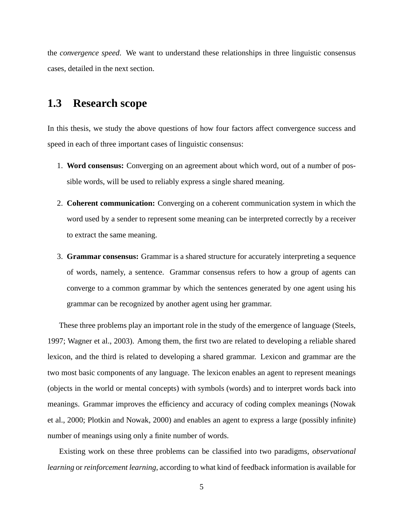the *convergence speed*. We want to understand these relationships in three linguistic consensus cases, detailed in the next section.

### **1.3 Research scope**

In this thesis, we study the above questions of how four factors affect convergence success and speed in each of three important cases of linguistic consensus:

- 1. **Word consensus:** Converging on an agreement about which word, out of a number of possible words, will be used to reliably express a single shared meaning.
- 2. **Coherent communication:** Converging on a coherent communication system in which the word used by a sender to represent some meaning can be interpreted correctly by a receiver to extract the same meaning.
- 3. **Grammar consensus:** Grammar is a shared structure for accurately interpreting a sequence of words, namely, a sentence. Grammar consensus refers to how a group of agents can converge to a common grammar by which the sentences generated by one agent using his grammar can be recognized by another agent using her grammar.

These three problems play an important role in the study of the emergence of language (Steels, 1997; Wagner et al., 2003). Among them, the first two are related to developing a reliable shared lexicon, and the third is related to developing a shared grammar. Lexicon and grammar are the two most basic components of any language. The lexicon enables an agent to represent meanings (objects in the world or mental concepts) with symbols (words) and to interpret words back into meanings. Grammar improves the efficiency and accuracy of coding complex meanings (Nowak et al., 2000; Plotkin and Nowak, 2000) and enables an agent to express a large (possibly infinite) number of meanings using only a finite number of words.

Existing work on these three problems can be classified into two paradigms, *observational learning* or *reinforcement learning*, according to what kind of feedback information is available for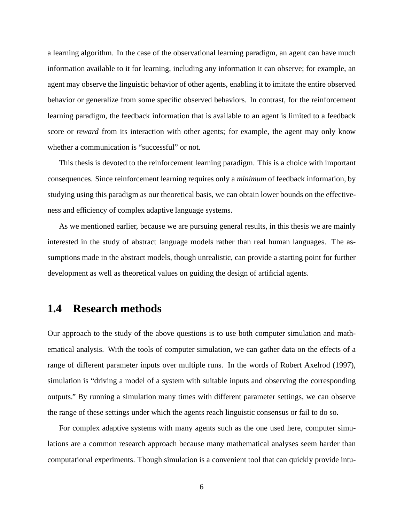a learning algorithm. In the case of the observational learning paradigm, an agent can have much information available to it for learning, including any information it can observe; for example, an agent may observe the linguistic behavior of other agents, enabling it to imitate the entire observed behavior or generalize from some specific observed behaviors. In contrast, for the reinforcement learning paradigm, the feedback information that is available to an agent is limited to a feedback score or *reward* from its interaction with other agents; for example, the agent may only know whether a communication is "successful" or not.

This thesis is devoted to the reinforcement learning paradigm. This is a choice with important consequences. Since reinforcement learning requires only a *minimum* of feedback information, by studying using this paradigm as our theoretical basis, we can obtain lower bounds on the effectiveness and efficiency of complex adaptive language systems.

As we mentioned earlier, because we are pursuing general results, in this thesis we are mainly interested in the study of abstract language models rather than real human languages. The assumptions made in the abstract models, though unrealistic, can provide a starting point for further development as well as theoretical values on guiding the design of artificial agents.

#### **1.4 Research methods**

Our approach to the study of the above questions is to use both computer simulation and mathematical analysis. With the tools of computer simulation, we can gather data on the effects of a range of different parameter inputs over multiple runs. In the words of Robert Axelrod (1997), simulation is "driving a model of a system with suitable inputs and observing the corresponding outputs." By running a simulation many times with different parameter settings, we can observe the range of these settings under which the agents reach linguistic consensus or fail to do so.

For complex adaptive systems with many agents such as the one used here, computer simulations are a common research approach because many mathematical analyses seem harder than computational experiments. Though simulation is a convenient tool that can quickly provide intu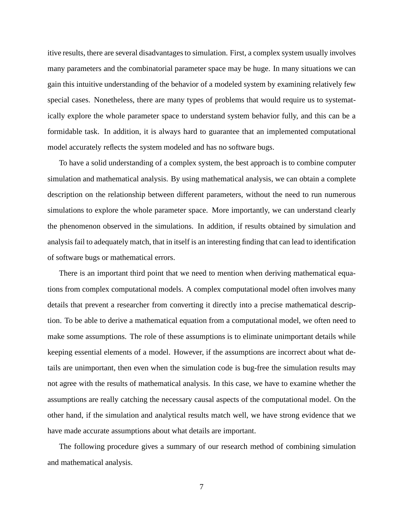itive results, there are several disadvantages to simulation. First, a complex system usually involves many parameters and the combinatorial parameter space may be huge. In many situations we can gain this intuitive understanding of the behavior of a modeled system by examining relatively few special cases. Nonetheless, there are many types of problems that would require us to systematically explore the whole parameter space to understand system behavior fully, and this can be a formidable task. In addition, it is always hard to guarantee that an implemented computational model accurately reflects the system modeled and has no software bugs.

To have a solid understanding of a complex system, the best approach is to combine computer simulation and mathematical analysis. By using mathematical analysis, we can obtain a complete description on the relationship between different parameters, without the need to run numerous simulations to explore the whole parameter space. More importantly, we can understand clearly the phenomenon observed in the simulations. In addition, if results obtained by simulation and analysis fail to adequately match, that in itself is an interesting finding that can lead to identification of software bugs or mathematical errors.

There is an important third point that we need to mention when deriving mathematical equations from complex computational models. A complex computational model often involves many details that prevent a researcher from converting it directly into a precise mathematical description. To be able to derive a mathematical equation from a computational model, we often need to make some assumptions. The role of these assumptions is to eliminate unimportant details while keeping essential elements of a model. However, if the assumptions are incorrect about what details are unimportant, then even when the simulation code is bug-free the simulation results may not agree with the results of mathematical analysis. In this case, we have to examine whether the assumptions are really catching the necessary causal aspects of the computational model. On the other hand, if the simulation and analytical results match well, we have strong evidence that we have made accurate assumptions about what details are important.

The following procedure gives a summary of our research method of combining simulation and mathematical analysis.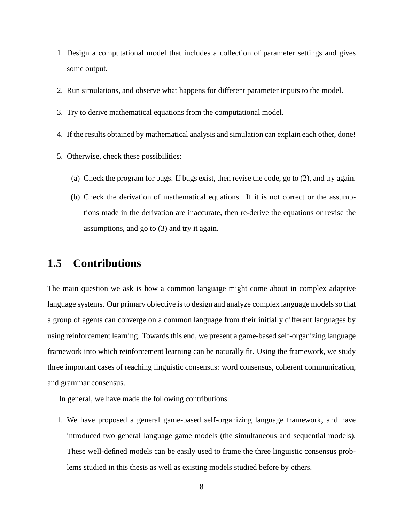- 1. Design a computational model that includes a collection of parameter settings and gives some output.
- 2. Run simulations, and observe what happens for different parameter inputs to the model.
- 3. Try to derive mathematical equations from the computational model.
- 4. If the results obtained by mathematical analysis and simulation can explain each other, done!
- 5. Otherwise, check these possibilities:
	- (a) Check the program for bugs. If bugs exist, then revise the code, go to (2), and try again.
	- (b) Check the derivation of mathematical equations. If it is not correct or the assumptions made in the derivation are inaccurate, then re-derive the equations or revise the assumptions, and go to (3) and try it again.

### **1.5 Contributions**

The main question we ask is how a common language might come about in complex adaptive language systems. Our primary objective is to design and analyze complex language models so that a group of agents can converge on a common language from their initially different languages by using reinforcement learning. Towards this end, we present a game-based self-organizing language framework into which reinforcement learning can be naturally fit. Using the framework, we study three important cases of reaching linguistic consensus: word consensus, coherent communication, and grammar consensus.

In general, we have made the following contributions.

1. We have proposed a general game-based self-organizing language framework, and have introduced two general language game models (the simultaneous and sequential models). These well-defined models can be easily used to frame the three linguistic consensus problems studied in this thesis as well as existing models studied before by others.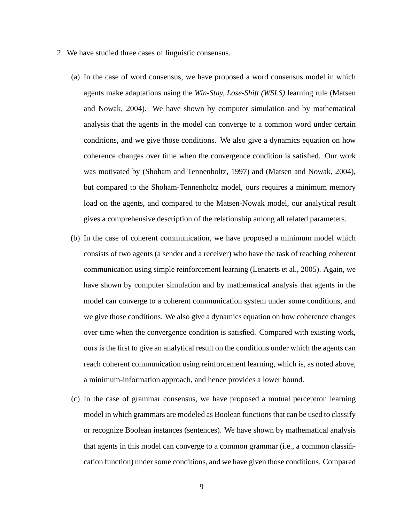- 2. We have studied three cases of linguistic consensus.
	- (a) In the case of word consensus, we have proposed a word consensus model in which agents make adaptations using the *Win-Stay, Lose-Shift (WSLS)* learning rule (Matsen and Nowak, 2004). We have shown by computer simulation and by mathematical analysis that the agents in the model can converge to a common word under certain conditions, and we give those conditions. We also give a dynamics equation on how coherence changes over time when the convergence condition is satisfied. Our work was motivated by (Shoham and Tennenholtz, 1997) and (Matsen and Nowak, 2004), but compared to the Shoham-Tennenholtz model, ours requires a minimum memory load on the agents, and compared to the Matsen-Nowak model, our analytical result gives a comprehensive description of the relationship among all related parameters.
	- (b) In the case of coherent communication, we have proposed a minimum model which consists of two agents (a sender and a receiver) who have the task of reaching coherent communication using simple reinforcement learning (Lenaerts et al., 2005). Again, we have shown by computer simulation and by mathematical analysis that agents in the model can converge to a coherent communication system under some conditions, and we give those conditions. We also give a dynamics equation on how coherence changes over time when the convergence condition is satisfied. Compared with existing work, ours is the first to give an analytical result on the conditions under which the agents can reach coherent communication using reinforcement learning, which is, as noted above, a minimum-information approach, and hence provides a lower bound.
	- (c) In the case of grammar consensus, we have proposed a mutual perceptron learning model in which grammars are modeled as Boolean functions that can be used to classify or recognize Boolean instances (sentences). We have shown by mathematical analysis that agents in this model can converge to a common grammar (i.e., a common classification function) under some conditions, and we have given those conditions. Compared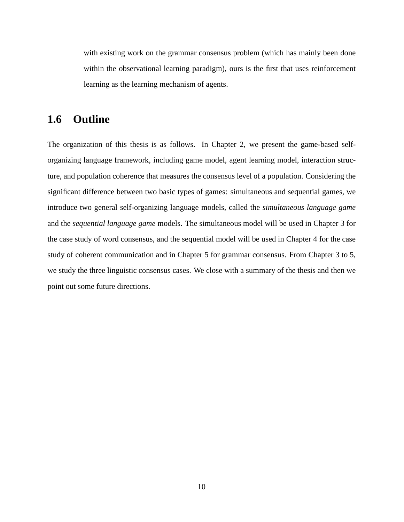with existing work on the grammar consensus problem (which has mainly been done within the observational learning paradigm), ours is the first that uses reinforcement learning as the learning mechanism of agents.

### **1.6 Outline**

The organization of this thesis is as follows. In Chapter 2, we present the game-based selforganizing language framework, including game model, agent learning model, interaction structure, and population coherence that measures the consensus level of a population. Considering the significant difference between two basic types of games: simultaneous and sequential games, we introduce two general self-organizing language models, called the *simultaneous language game* and the *sequential language game* models. The simultaneous model will be used in Chapter 3 for the case study of word consensus, and the sequential model will be used in Chapter 4 for the case study of coherent communication and in Chapter 5 for grammar consensus. From Chapter 3 to 5, we study the three linguistic consensus cases. We close with a summary of the thesis and then we point out some future directions.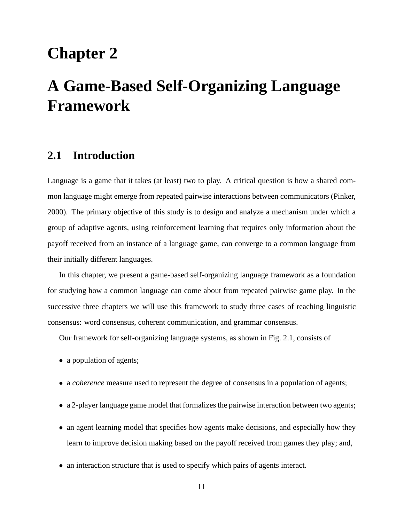# **Chapter 2**

# **A Game-Based Self-Organizing Language Framework**

### **2.1 Introduction**

Language is a game that it takes (at least) two to play. A critical question is how a shared common language might emerge from repeated pairwise interactions between communicators (Pinker, 2000). The primary objective of this study is to design and analyze a mechanism under which a group of adaptive agents, using reinforcement learning that requires only information about the payoff received from an instance of a language game, can converge to a common language from their initially different languages.

In this chapter, we present a game-based self-organizing language framework as a foundation for studying how a common language can come about from repeated pairwise game play. In the successive three chapters we will use this framework to study three cases of reaching linguistic consensus: word consensus, coherent communication, and grammar consensus.

Our framework for self-organizing language systems, as shown in Fig. 2.1, consists of

- a population of agents;
- a *coherence* measure used to represent the degree of consensus in a population of agents;
- a 2-player language game model that formalizes the pairwise interaction between two agents;
- an agent learning model that specifies how agents make decisions, and especially how they learn to improve decision making based on the payoff received from games they play; and,
- an interaction structure that is used to specify which pairs of agents interact.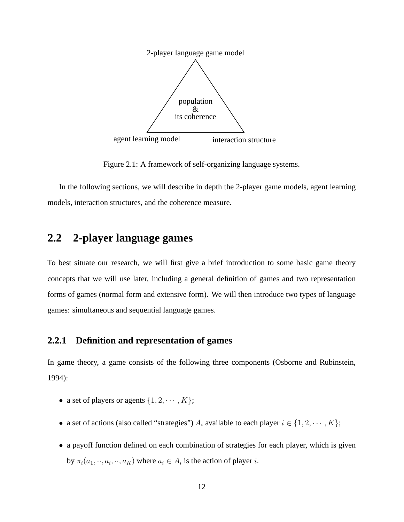

Figure 2.1: A framework of self-organizing language systems.

In the following sections, we will describe in depth the 2-player game models, agent learning models, interaction structures, and the coherence measure.

### **2.2 2-player language games**

To best situate our research, we will first give a brief introduction to some basic game theory concepts that we will use later, including a general definition of games and two representation forms of games (normal form and extensive form). We will then introduce two types of language games: simultaneous and sequential language games.

#### **2.2.1 Definition and representation of games**

In game theory, a game consists of the following three components (Osborne and Rubinstein, 1994):

- a set of players or agents  $\{1, 2, \cdots, K\}$ ;
- a set of actions (also called "strategies")  $A_i$  available to each player  $i \in \{1, 2, \dots, K\}$ ;
- a payoff function defined on each combination of strategies for each player, which is given by  $\pi_i(a_1, \dots, a_i, \dots, a_K)$  where  $a_i \in A_i$  is the action of player *i*.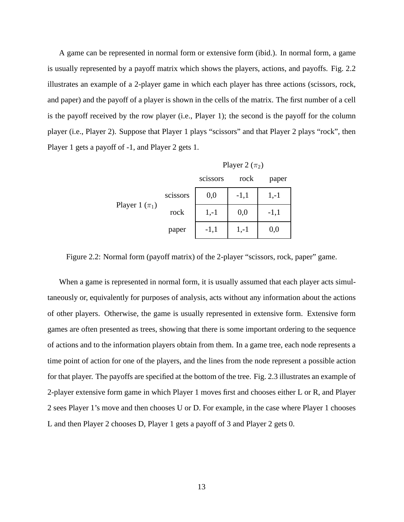A game can be represented in normal form or extensive form (ibid.). In normal form, a game is usually represented by a payoff matrix which shows the players, actions, and payoffs. Fig. 2.2 illustrates an example of a 2-player game in which each player has three actions (scissors, rock, and paper) and the payoff of a player is shown in the cells of the matrix. The first number of a cell is the payoff received by the row player (i.e., Player 1); the second is the payoff for the column player (i.e., Player 2). Suppose that Player 1 plays "scissors" and that Player 2 plays "rock", then Player 1 gets a payoff of -1, and Player 2 gets 1.

|                    |          | Player 2 $(\pi_2)$ |        |        |
|--------------------|----------|--------------------|--------|--------|
|                    |          | scissors           | rock   | paper  |
|                    | scissors | 0,0                | $-1,1$ | $1,-1$ |
| Player 1 $(\pi_1)$ | rock     | $1,-1$             | 0,0    | $-1,1$ |
|                    | paper    | $-1,1$             | $1,-1$ | 0,0    |

Figure 2.2: Normal form (payoff matrix) of the 2-player "scissors, rock, paper" game.

When a game is represented in normal form, it is usually assumed that each player acts simultaneously or, equivalently for purposes of analysis, acts without any information about the actions of other players. Otherwise, the game is usually represented in extensive form. Extensive form games are often presented as trees, showing that there is some important ordering to the sequence of actions and to the information players obtain from them. In a game tree, each node represents a time point of action for one of the players, and the lines from the node represent a possible action for that player. The payoffs are specified at the bottom of the tree. Fig. 2.3 illustrates an example of 2-player extensive form game in which Player 1 moves first and chooses either L or R, and Player 2 sees Player 1's move and then chooses U or D. For example, in the case where Player 1 chooses L and then Player 2 chooses D, Player 1 gets a payoff of 3 and Player 2 gets 0.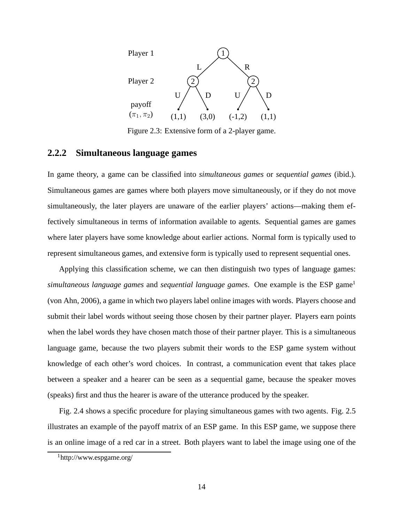

Figure 2.3: Extensive form of a 2-player game.

#### **2.2.2 Simultaneous language games**

In game theory, a game can be classified into *simultaneous games* or *sequential games* (ibid.). Simultaneous games are games where both players move simultaneously, or if they do not move simultaneously, the later players are unaware of the earlier players' actions—making them effectively simultaneous in terms of information available to agents. Sequential games are games where later players have some knowledge about earlier actions. Normal form is typically used to represent simultaneous games, and extensive form is typically used to represent sequential ones.

Applying this classification scheme, we can then distinguish two types of language games: *simultaneous language games and sequential language games.* One example is the ESP game<sup>1</sup> (von Ahn, 2006), a game in which two players label online images with words. Players choose and submit their label words without seeing those chosen by their partner player. Players earn points when the label words they have chosen match those of their partner player. This is a simultaneous language game, because the two players submit their words to the ESP game system without knowledge of each other's word choices. In contrast, a communication event that takes place between a speaker and a hearer can be seen as a sequential game, because the speaker moves (speaks) first and thus the hearer is aware of the utterance produced by the speaker.

Fig. 2.4 shows a specific procedure for playing simultaneous games with two agents. Fig. 2.5 illustrates an example of the payoff matrix of an ESP game. In this ESP game, we suppose there is an online image of a red car in a street. Both players want to label the image using one of the

<sup>1</sup>http://www.espgame.org/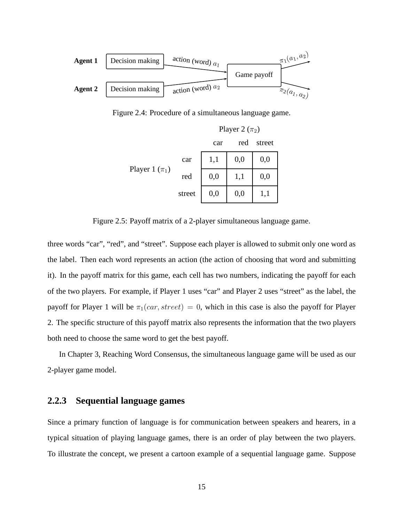

Figure 2.4: Procedure of a simultaneous language game.

|                    |        | $1 \text{ m}$ y Cl $2 \text{ m}$ ( $\frac{m}{2}$ ) |     |        |
|--------------------|--------|----------------------------------------------------|-----|--------|
|                    |        | car                                                | red | street |
|                    | car    | 1,1                                                | 0,0 | 0,0    |
| Player 1 $(\pi_1)$ | red    | 0,0                                                | 1,1 | 0,0    |
|                    | street | 0,0                                                | 0,0 | 1,1    |

Player  $2(\pi_2)$ 

Figure 2.5: Payoff matrix of a 2-player simultaneous language game.

three words "car", "red", and "street". Suppose each player is allowed to submit only one word as the label. Then each word represents an action (the action of choosing that word and submitting it). In the payoff matrix for this game, each cell has two numbers, indicating the payoff for each of the two players. For example, if Player 1 uses "car" and Player 2 uses "street" as the label, the payoff for Player 1 will be  $\pi_1(car, street) = 0$ , which in this case is also the payoff for Player 2. The specific structure of this payoff matrix also represents the information that the two players both need to choose the same word to get the best payoff.

In Chapter 3, Reaching Word Consensus, the simultaneous language game will be used as our 2-player game model.

#### **2.2.3 Sequential language games**

Since a primary function of language is for communication between speakers and hearers, in a typical situation of playing language games, there is an order of play between the two players. To illustrate the concept, we present a cartoon example of a sequential language game. Suppose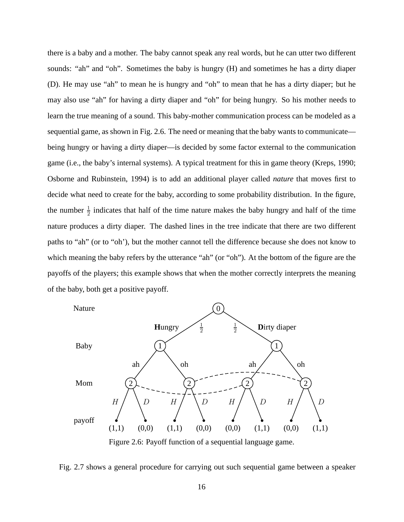there is a baby and a mother. The baby cannot speak any real words, but he can utter two different sounds: "ah" and "oh". Sometimes the baby is hungry (H) and sometimes he has a dirty diaper (D). He may use "ah" to mean he is hungry and "oh" to mean that he has a dirty diaper; but he may also use "ah" for having a dirty diaper and "oh" for being hungry. So his mother needs to learn the true meaning of a sound. This baby-mother communication process can be modeled as a sequential game, as shown in Fig. 2.6. The need or meaning that the baby wants to communicate being hungry or having a dirty diaper—is decided by some factor external to the communication game (i.e., the baby's internal systems). A typical treatment for this in game theory (Kreps, 1990; Osborne and Rubinstein, 1994) is to add an additional player called *nature* that moves first to decide what need to create for the baby, according to some probability distribution. In the figure, the number  $\frac{1}{2}$  indicates that half of the time nature makes the baby hungry and half of the time nature produces a dirty diaper. The dashed lines in the tree indicate that there are two different paths to "ah" (or to "oh'), but the mother cannot tell the difference because she does not know to which meaning the baby refers by the utterance "ah" (or "oh"). At the bottom of the figure are the payoffs of the players; this example shows that when the mother correctly interprets the meaning of the baby, both get a positive payoff.



Figure 2.6: Payoff function of a sequential language game.

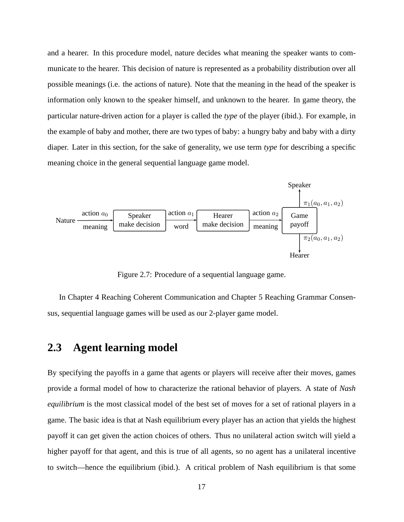and a hearer. In this procedure model, nature decides what meaning the speaker wants to communicate to the hearer. This decision of nature is represented as a probability distribution over all possible meanings (i.e. the actions of nature). Note that the meaning in the head of the speaker is information only known to the speaker himself, and unknown to the hearer. In game theory, the particular nature-driven action for a player is called the *type* of the player (ibid.). For example, in the example of baby and mother, there are two types of baby: a hungry baby and baby with a dirty diaper. Later in this section, for the sake of generality, we use term *type* for describing a specific meaning choice in the general sequential language game model.



Figure 2.7: Procedure of a sequential language game.

In Chapter 4 Reaching Coherent Communication and Chapter 5 Reaching Grammar Consensus, sequential language games will be used as our 2-player game model.

#### **2.3 Agent learning model**

By specifying the payoffs in a game that agents or players will receive after their moves, games provide a formal model of how to characterize the rational behavior of players. A state of *Nash equilibrium* is the most classical model of the best set of moves for a set of rational players in a game. The basic idea is that at Nash equilibrium every player has an action that yields the highest payoff it can get given the action choices of others. Thus no unilateral action switch will yield a higher payoff for that agent, and this is true of all agents, so no agent has a unilateral incentive to switch—hence the equilibrium (ibid.). A critical problem of Nash equilibrium is that some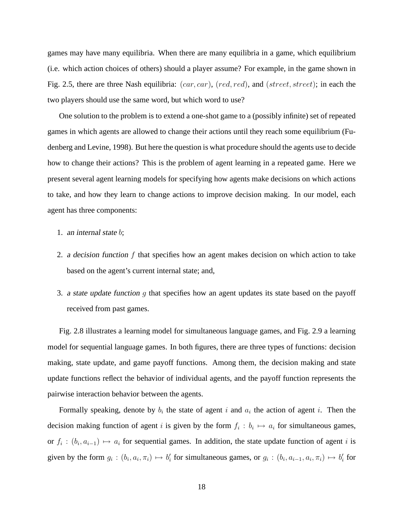games may have many equilibria. When there are many equilibria in a game, which equilibrium (i.e. which action choices of others) should a player assume? For example, in the game shown in Fig. 2.5, there are three Nash equilibria:  $(car, car)$ ,  $(red, red)$ , and  $(street, street)$ ; in each the two players should use the same word, but which word to use?

One solution to the problem is to extend a one-shot game to a (possibly infinite) set of repeated games in which agents are allowed to change their actions until they reach some equilibrium (Fudenberg and Levine, 1998). But here the question is what procedure should the agents use to decide how to change their actions? This is the problem of agent learning in a repeated game. Here we present several agent learning models for specifying how agents make decisions on which actions to take, and how they learn to change actions to improve decision making. In our model, each agent has three components:

#### 1. an internal state b;

- 2. <sup>a</sup> decision function f that specifies how an agent makes decision on which action to take based on the agent's current internal state; and,
- 3. a state update function  $q$  that specifies how an agent updates its state based on the payoff received from past games.

Fig. 2.8 illustrates a learning model for simultaneous language games, and Fig. 2.9 a learning model for sequential language games. In both figures, there are three types of functions: decision making, state update, and game payoff functions. Among them, the decision making and state update functions reflect the behavior of individual agents, and the payoff function represents the pairwise interaction behavior between the agents.

Formally speaking, denote by  $b_i$  the state of agent i and  $a_i$  the action of agent i. Then the decision making function of agent i is given by the form  $f_i : b_i \mapsto a_i$  for simultaneous games, or  $f_i: (b_i, a_{i-1}) \mapsto a_i$  for sequential games. In addition, the state update function of agent i is given by the form  $g_i: (b_i, a_i, \pi_i) \mapsto b'_i$  for simultaneous games, or  $g_i: (b_i, a_{i-1}, a_i, \pi_i) \mapsto b'_i$  for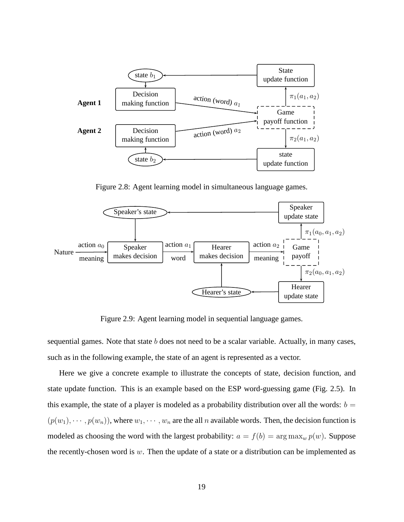

Figure 2.8: Agent learning model in simultaneous language games.



Figure 2.9: Agent learning model in sequential language games.

sequential games. Note that state *b* does not need to be a scalar variable. Actually, in many cases, such as in the following example, the state of an agent is represented as a vector.

Here we give a concrete example to illustrate the concepts of state, decision function, and state update function. This is an example based on the ESP word-guessing game (Fig. 2.5). In this example, the state of a player is modeled as a probability distribution over all the words:  $b =$  $(p(w_1), \dots, p(w_n))$ , where  $w_1, \dots, w_n$  are the all n available words. Then, the decision function is modeled as choosing the word with the largest probability:  $a = f(b) = \arg \max_w p(w)$ . Suppose the recently-chosen word is  $w$ . Then the update of a state or a distribution can be implemented as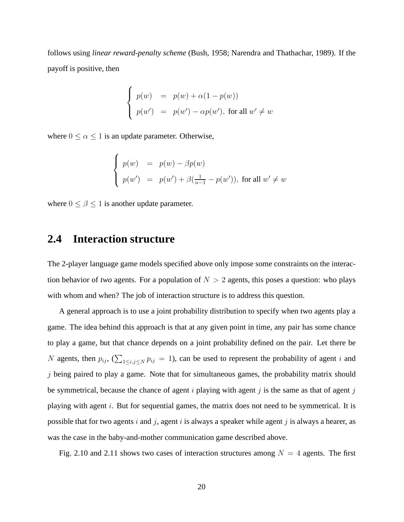follows using *linear reward-penalty scheme* (Bush, 1958; Narendra and Thathachar, 1989). If the payoff is positive, then

$$
\begin{cases}\n p(w) & = p(w) + \alpha(1 - p(w)) \\
p(w') & = p(w') - \alpha p(w'), \text{ for all } w' \neq w\n\end{cases}
$$

where  $0 \le \alpha \le 1$  is an update parameter. Otherwise,

$$
\begin{cases}\n p(w) & = p(w) - \beta p(w) \\
p(w') & = p(w') + \beta(\frac{1}{n-1} - p(w')), \text{ for all } w' \neq w\n\end{cases}
$$

where  $0 \le \beta \le 1$  is another update parameter.

#### **2.4 Interaction structure**

The 2-player language game models specified above only impose some constraints on the interaction behavior of *two* agents. For a population of  $N > 2$  agents, this poses a question: who plays with whom and when? The job of interaction structure is to address this question.

A general approach is to use a joint probability distribution to specify when two agents play a game. The idea behind this approach is that at any given point in time, any pair has some chance to play a game, but that chance depends on a joint probability defined on the pair. Let there be N agents, then  $p_{ij}$ ,  $(\sum_{1 \le i,j \le N} p_{ij} = 1)$ , can be used to represent the probability of agent i and  $\dot{\gamma}$  being paired to play a game. Note that for simultaneous games, the probability matrix should be symmetrical, because the chance of agent i playing with agent j is the same as that of agent j playing with agent  $i$ . But for sequential games, the matrix does not need to be symmetrical. It is possible that for two agents i and j, agent i is always a speaker while agent j is always a hearer, as was the case in the baby-and-mother communication game described above.

Fig. 2.10 and 2.11 shows two cases of interaction structures among  $N = 4$  agents. The first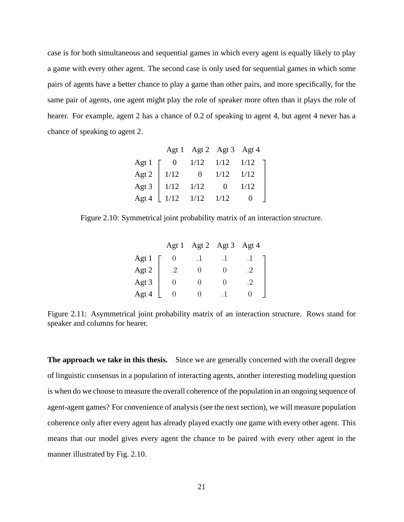case is for both simultaneous and sequential games in which every agent is equally likely to play a game with every other agent. The second case is only used for sequential games in which some pairs of agents have a better chance to play a game than other pairs, and more specifically, for the same pair of agents, one agent might play the role of speaker more often than it plays the role of hearer. For example, agent 2 has a chance of 0.2 of speaking to agent 4, but agent 4 never has a chance of speaking to agent 2.

|                                  |                | Agt 1 Agt 2 Agt 3 Agt 4 |      |      |  |
|----------------------------------|----------------|-------------------------|------|------|--|
|                                  | $\overline{0}$ | 1/12                    | 1/12 | 1/12 |  |
| Agt 1<br>Agt 2<br>Agt 3<br>Agt 4 | $1/12$         |                         | 1/12 | 1/12 |  |
|                                  | $1/12$         | 1/12                    |      | 1/12 |  |
|                                  | 1/12           | 1/12                    | 1/12 |      |  |

Figure 2.10: Symmetrical joint probability matrix of an interaction structure.

|       |  | Agt 1 Agt 2 Agt 3 Agt 4 |    |
|-------|--|-------------------------|----|
| Agt 1 |  |                         |    |
| Agt 2 |  |                         | .2 |
| Agt 3 |  |                         | 2  |
| Agt 4 |  |                         |    |

Figure 2.11: Asymmetrical joint probability matrix of an interaction structure. Rows stand for speaker and columns for hearer.

**The approach we take in this thesis.** Since we are generally concerned with the overall degree of linguistic consensus in a population of interacting agents, another interesting modeling question is when do we choose to measure the overall coherence of the population in an ongoing sequence of agent-agent games? For convenience of analysis (see the next section), we will measure population coherence only after every agent has already played exactly one game with every other agent. This means that our model gives every agent the chance to be paired with every other agent in the manner illustrated by Fig. 2.10.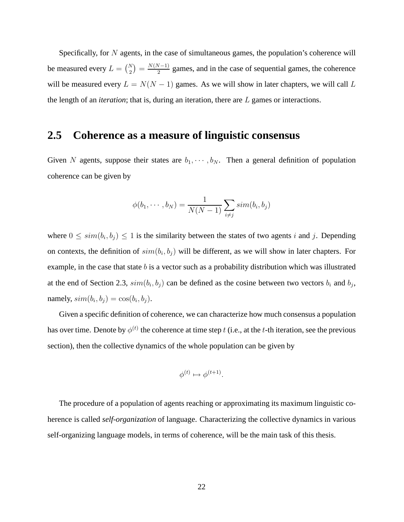Specifically, for  $N$  agents, in the case of simultaneous games, the population's coherence will be measured every  $L = \binom{N}{2} = \frac{N(N-1)}{2}$  games, and in the case of sequential games, the coherence will be measured every  $L = N(N - 1)$  games. As we will show in later chapters, we will call L the length of an *iteration*; that is, during an iteration, there are L games or interactions.

#### **2.5 Coherence as a measure of linguistic consensus**

Given N agents, suppose their states are  $b_1, \dots, b_N$ . Then a general definition of population coherence can be given by

$$
\phi(b_1, \cdots, b_N) = \frac{1}{N(N-1)} \sum_{i \neq j} sim(b_i, b_j)
$$

where  $0 \leq sim(b_i, b_j) \leq 1$  is the similarity between the states of two agents i and j. Depending on contexts, the definition of  $sim(b_i, b_j)$  will be different, as we will show in later chapters. For example, in the case that state  $b$  is a vector such as a probability distribution which was illustrated at the end of Section 2.3,  $sim(b_i, b_j)$  can be defined as the cosine between two vectors  $b_i$  and  $b_j$ , namely,  $sim(b_i, b_j) = cos(b_i, b_j)$ .

Given a specific definition of coherence, we can characterize how much consensus a population has over time. Denote by  $\phi^{(t)}$  the coherence at time step  $t$  (i.e., at the  $t$ -th iteration, see the previous section), then the collective dynamics of the whole population can be given by

$$
\phi^{(t)} \mapsto \phi^{(t+1)}.
$$

The procedure of a population of agents reaching or approximating its maximum linguistic coherence is called *self-organization* of language. Characterizing the collective dynamics in various self-organizing language models, in terms of coherence, will be the main task of this thesis.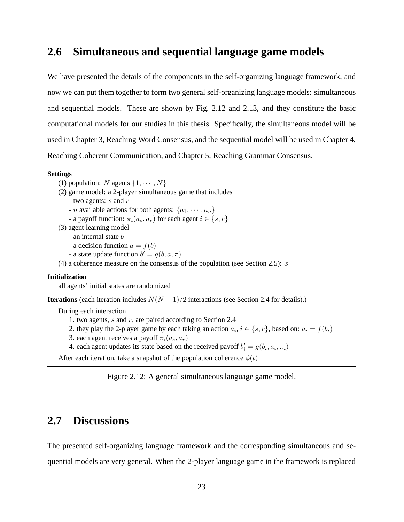#### **2.6 Simultaneous and sequential language game models**

We have presented the details of the components in the self-organizing language framework, and now we can put them together to form two general self-organizing language models: simultaneous and sequential models. These are shown by Fig. 2.12 and 2.13, and they constitute the basic computational models for our studies in this thesis. Specifically, the simultaneous model will be used in Chapter 3, Reaching Word Consensus, and the sequential model will be used in Chapter 4, Reaching Coherent Communication, and Chapter 5, Reaching Grammar Consensus.

#### **Settings**

(1) population: N agents  $\{1, \dots, N\}$ 

- (2) game model: a 2-player simultaneous game that includes
	- two agents:  $s$  and  $r$
	- n available actions for both agents:  $\{a_1, \cdots, a_n\}$
	- a payoff function:  $\pi_i(a_s, a_r)$  for each agent  $i \in \{s, r\}$
- (3) agent learning model
	- an internal state b
	- a decision function  $a = f(b)$
	- a state update function  $b' = g(b, a, \pi)$
- (4) a coherence measure on the consensus of the population (see Section 2.5):  $\phi$

#### **Initialization**

all agents' initial states are randomized

**Iterations** (each iteration includes  $N(N-1)/2$  interactions (see Section 2.4 for details).)

During each interaction

- 1. two agents, s and r, are paired according to Section 2.4
- 2. they play the 2-player game by each taking an action  $a_i$ ,  $i \in \{s, r\}$ , based on:  $a_i = f(b_i)$
- 3. each agent receives a payoff  $\pi_i(a_s, a_r)$
- 4. each agent updates its state based on the received payoff  $b'_i = g(b_i, a_i, \pi_i)$

After each iteration, take a snapshot of the population coherence  $\phi(t)$ 

Figure 2.12: A general simultaneous language game model.

### **2.7 Discussions**

The presented self-organizing language framework and the corresponding simultaneous and sequential models are very general. When the 2-player language game in the framework is replaced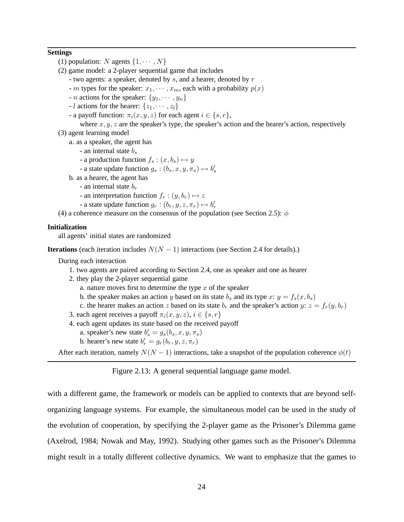#### **Settings**

- (1) population: N agents  $\{1, \cdots, N\}$
- (2) game model: a 2-player sequential game that includes
	- two agents: a speaker, denoted by s, and a hearer, denoted by r
	- m types for the speaker:  $x_1, \dots, x_m$ , each with a probability  $p(x)$
	- *n* actions for the speaker:  $\{y_1, \dots, y_n\}$
	- l actions for the hearer:  $\{z_1, \dots, z_l\}$
	- a payoff function:  $\pi_i(x, y, z)$  for each agent  $i \in \{s, r\},$

where  $x, y, z$  are the speaker's type, the speaker's action and the hearer's action, respectively

(3) agent learning model

a. as a speaker, the agent has

- an internal state  $b_s$
- a production function  $f_s : (x, b_s) \mapsto y$
- a state update function  $g_s : (b_s, x, y, \pi_s) \mapsto b'_s$

b. as a hearer, the agent has

- an internal state  $b_r$
- an interpretation function  $f_r : (y, b_r) \mapsto z$
- a state update function  $g_r : (b_r, y, z, \pi_r) \mapsto b'_r$
- (4) a coherence measure on the consensus of the population (see Section 2.5):  $\phi$

#### **Initialization**

all agents' initial states are randomized

**Iterations** (each iteration includes  $N(N - 1)$  interactions (see Section 2.4 for details).)

During each interaction

- 1. two agents are paired according to Section 2.4, one as speaker and one as hearer
- 2. they play the 2-player sequential game
	- a. nature moves first to determine the type  $x$  of the speaker
	- b. the speaker makes an action y based on its state  $b_s$  and its type  $x: y = f_s(x, b_s)$
	- c. the hearer makes an action z based on its state  $b_r$  and the speaker's action y:  $z = f_r(y, b_r)$
- 3. each agent receives a payoff  $\pi_i(x, y, z)$ ,  $i \in \{s, r\}$
- 4. each agent updates its state based on the received payoff
	- a. speaker's new state  $b'_s = g_s(b_s, x, y, \pi_s)$
	- b. hearer's new state  $b'_r = g_r(b_r, y, z, \pi_r)$

After each iteration, namely  $N(N-1)$  interactions, take a snapshot of the population coherence  $\phi(t)$ 

Figure 2.13: A general sequential language game model.

with a different game, the framework or models can be applied to contexts that are beyond selforganizing language systems. For example, the simultaneous model can be used in the study of the evolution of cooperation, by specifying the 2-player game as the Prisoner's Dilemma game (Axelrod, 1984; Nowak and May, 1992). Studying other games such as the Prisoner's Dilemma might result in a totally different collective dynamics. We want to emphasize that the games to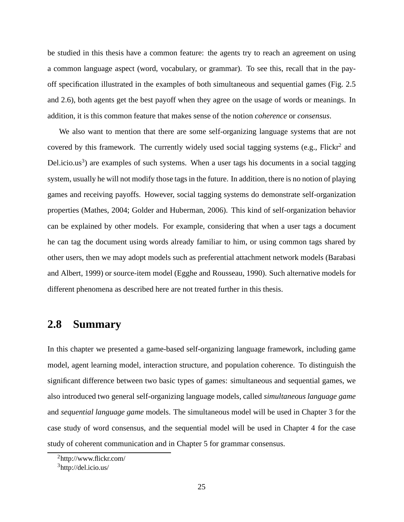be studied in this thesis have a common feature: the agents try to reach an agreement on using a common language aspect (word, vocabulary, or grammar). To see this, recall that in the payoff specification illustrated in the examples of both simultaneous and sequential games (Fig. 2.5 and 2.6), both agents get the best payoff when they agree on the usage of words or meanings. In addition, it is this common feature that makes sense of the notion *coherence* or *consensus*.

We also want to mention that there are some self-organizing language systems that are not covered by this framework. The currently widely used social tagging systems (e.g., Flickr<sup>2</sup> and Del.icio.us<sup>3</sup>) are examples of such systems. When a user tags his documents in a social tagging system, usually he will not modify those tags in the future. In addition, there is no notion of playing games and receiving payoffs. However, social tagging systems do demonstrate self-organization properties (Mathes, 2004; Golder and Huberman, 2006). This kind of self-organization behavior can be explained by other models. For example, considering that when a user tags a document he can tag the document using words already familiar to him, or using common tags shared by other users, then we may adopt models such as preferential attachment network models (Barabasi and Albert, 1999) or source-item model (Egghe and Rousseau, 1990). Such alternative models for different phenomena as described here are not treated further in this thesis.

#### **2.8 Summary**

In this chapter we presented a game-based self-organizing language framework, including game model, agent learning model, interaction structure, and population coherence. To distinguish the significant difference between two basic types of games: simultaneous and sequential games, we also introduced two general self-organizing language models, called *simultaneous language game* and *sequential language game* models. The simultaneous model will be used in Chapter 3 for the case study of word consensus, and the sequential model will be used in Chapter 4 for the case study of coherent communication and in Chapter 5 for grammar consensus.

 $^{2}$ http://www.flickr.com/

<sup>3</sup>http://del.icio.us/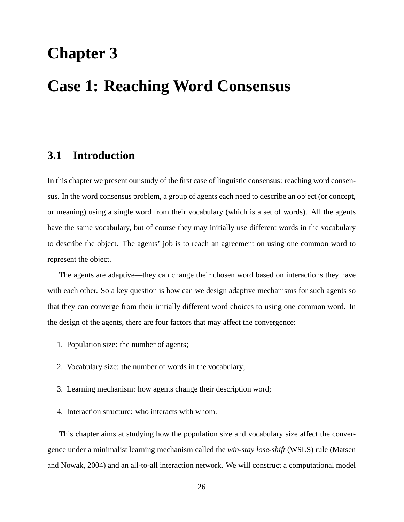# **Chapter 3**

# **Case 1: Reaching Word Consensus**

#### **3.1 Introduction**

In this chapter we present our study of the first case of linguistic consensus: reaching word consensus. In the word consensus problem, a group of agents each need to describe an object (or concept, or meaning) using a single word from their vocabulary (which is a set of words). All the agents have the same vocabulary, but of course they may initially use different words in the vocabulary to describe the object. The agents' job is to reach an agreement on using one common word to represent the object.

The agents are adaptive—they can change their chosen word based on interactions they have with each other. So a key question is how can we design adaptive mechanisms for such agents so that they can converge from their initially different word choices to using one common word. In the design of the agents, there are four factors that may affect the convergence:

- 1. Population size: the number of agents;
- 2. Vocabulary size: the number of words in the vocabulary;
- 3. Learning mechanism: how agents change their description word;
- 4. Interaction structure: who interacts with whom.

This chapter aims at studying how the population size and vocabulary size affect the convergence under a minimalist learning mechanism called the *win-stay lose-shift* (WSLS) rule (Matsen and Nowak, 2004) and an all-to-all interaction network. We will construct a computational model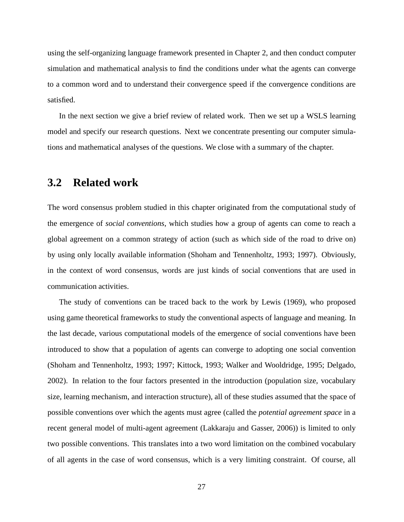using the self-organizing language framework presented in Chapter 2, and then conduct computer simulation and mathematical analysis to find the conditions under what the agents can converge to a common word and to understand their convergence speed if the convergence conditions are satisfied.

In the next section we give a brief review of related work. Then we set up a WSLS learning model and specify our research questions. Next we concentrate presenting our computer simulations and mathematical analyses of the questions. We close with a summary of the chapter.

#### **3.2 Related work**

The word consensus problem studied in this chapter originated from the computational study of the emergence of *social conventions*, which studies how a group of agents can come to reach a global agreement on a common strategy of action (such as which side of the road to drive on) by using only locally available information (Shoham and Tennenholtz, 1993; 1997). Obviously, in the context of word consensus, words are just kinds of social conventions that are used in communication activities.

The study of conventions can be traced back to the work by Lewis (1969), who proposed using game theoretical frameworks to study the conventional aspects of language and meaning. In the last decade, various computational models of the emergence of social conventions have been introduced to show that a population of agents can converge to adopting one social convention (Shoham and Tennenholtz, 1993; 1997; Kittock, 1993; Walker and Wooldridge, 1995; Delgado, 2002). In relation to the four factors presented in the introduction (population size, vocabulary size, learning mechanism, and interaction structure), all of these studies assumed that the space of possible conventions over which the agents must agree (called the *potential agreement space* in a recent general model of multi-agent agreement (Lakkaraju and Gasser, 2006)) is limited to only two possible conventions. This translates into a two word limitation on the combined vocabulary of all agents in the case of word consensus, which is a very limiting constraint. Of course, all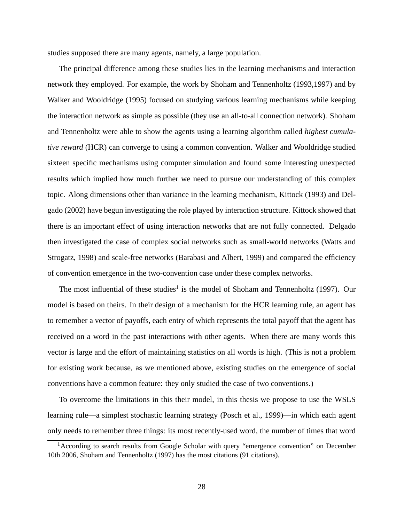studies supposed there are many agents, namely, a large population.

The principal difference among these studies lies in the learning mechanisms and interaction network they employed. For example, the work by Shoham and Tennenholtz (1993,1997) and by Walker and Wooldridge (1995) focused on studying various learning mechanisms while keeping the interaction network as simple as possible (they use an all-to-all connection network). Shoham and Tennenholtz were able to show the agents using a learning algorithm called *highest cumulative reward* (HCR) can converge to using a common convention. Walker and Wooldridge studied sixteen specific mechanisms using computer simulation and found some interesting unexpected results which implied how much further we need to pursue our understanding of this complex topic. Along dimensions other than variance in the learning mechanism, Kittock (1993) and Delgado (2002) have begun investigating the role played by interaction structure. Kittock showed that there is an important effect of using interaction networks that are not fully connected. Delgado then investigated the case of complex social networks such as small-world networks (Watts and Strogatz, 1998) and scale-free networks (Barabasi and Albert, 1999) and compared the efficiency of convention emergence in the two-convention case under these complex networks.

The most influential of these studies<sup>1</sup> is the model of Shoham and Tennenholtz (1997). Our model is based on theirs. In their design of a mechanism for the HCR learning rule, an agent has to remember a vector of payoffs, each entry of which represents the total payoff that the agent has received on a word in the past interactions with other agents. When there are many words this vector is large and the effort of maintaining statistics on all words is high. (This is not a problem for existing work because, as we mentioned above, existing studies on the emergence of social conventions have a common feature: they only studied the case of two conventions.)

To overcome the limitations in this their model, in this thesis we propose to use the WSLS learning rule—a simplest stochastic learning strategy (Posch et al., 1999)—in which each agent only needs to remember three things: its most recently-used word, the number of times that word

<sup>&</sup>lt;sup>1</sup> According to search results from Google Scholar with query "emergence convention" on December 10th 2006, Shoham and Tennenholtz (1997) has the most citations (91 citations).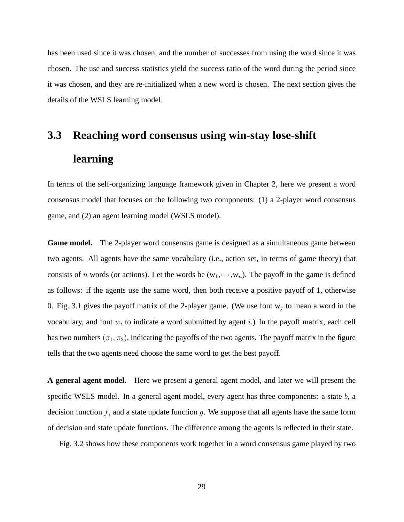has been used since it was chosen, and the number of successes from using the word since it was chosen. The use and success statistics yield the success ratio of the word during the period since it was chosen, and they are re-initialized when a new word is chosen. The next section gives the details of the WSLS learning model.

# **3.3 Reaching word consensus using win-stay lose-shift learning**

In terms of the self-organizing language framework given in Chapter 2, here we present a word consensus model that focuses on the following two components: (1) a 2-player word consensus game, and (2) an agent learning model (WSLS model).

**Game model.** The 2-player word consensus game is designed as a simultaneous game between two agents. All agents have the same vocabulary (i.e., action set, in terms of game theory) that consists of n words (or actions). Let the words be  $(w_1, \dots, w_n)$ . The payoff in the game is defined as follows: if the agents use the same word, then both receive a positive payoff of 1, otherwise 0. Fig. 3.1 gives the payoff matrix of the 2-player game. (We use font  $w_j$  to mean a word in the vocabulary, and font  $w_i$  to indicate a word submitted by agent i.) In the payoff matrix, each cell has two numbers  $(\pi_1, \pi_2)$ , indicating the payoffs of the two agents. The payoff matrix in the figure tells that the two agents need choose the same word to get the best payoff.

**A general agent model.** Here we present a general agent model, and later we will present the specific WSLS model. In a general agent model, every agent has three components: a state  $b$ , a decision function  $f$ , and a state update function  $g$ . We suppose that all agents have the same form of decision and state update functions. The difference among the agents is reflected in their state.

Fig. 3.2 shows how these components work together in a word consensus game played by two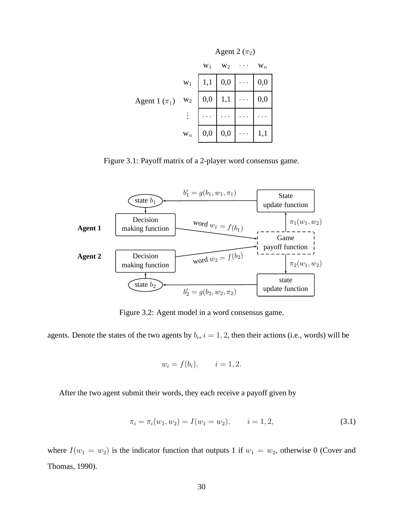

Figure 3.1: Payoff matrix of a 2-player word consensus game.



Figure 3.2: Agent model in a word consensus game.

agents. Denote the states of the two agents by  $b_i$ ,  $i = 1, 2$ , then their actions (i.e., words) will be

$$
w_i = f(b_i), \qquad i = 1, 2
$$

After the two agent submit their words, they each receive a payoff given by

$$
\pi_i = \pi_i(w_1, w_2) = I(w_1 = w_2), \qquad i = 1, 2,
$$
\n(3.1)

where  $I(w_1 = w_2)$  is the indicator function that outputs 1 if  $w_1 = w_2$ , otherwise 0 (Cover and Thomas, 1990).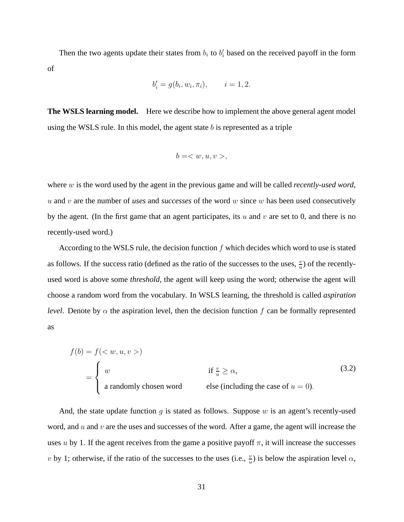Then the two agents update their states from  $b_i$  to  $b'_i$  based on the received payoff in the form of

$$
b'_i = g(b_i, w_i, \pi_i), \qquad i = 1, 2.
$$

**The WSLS learning model.** Here we describe how to implement the above general agent model using the WSLS rule. In this model, the agent state  $b$  is represented as a triple

$$
b = ,
$$

where w is the word used by the agent in the previous game and will be called *recently-used word*, u and v are the number of *uses* and *successes* of the word w since w has been used consecutively by the agent. (In the first game that an agent participates, its  $u$  and  $v$  are set to 0, and there is no recently-used word.)

According to the WSLS rule, the decision function  $f$  which decides which word to use is stated as follows. If the success ratio (defined as the ratio of the successes to the uses,  $\frac{v}{u}$ ) of the recentlyused word is above some *threshold*, the agent will keep using the word; otherwise the agent will choose a random word from the vocabulary. In WSLS learning, the threshold is called *aspiration level*. Denote by  $\alpha$  the aspiration level, then the decision function f can be formally represented as

$$
f(b) = f(< w, u, v>)
$$
  
= 
$$
\begin{cases} w & \text{if } \frac{v}{u} \ge \alpha, \\ a \text{ randomly chosen word} & \text{else (including the case of } u = 0). \end{cases}
$$
 (3.2)

And, the state update function  $q$  is stated as follows. Suppose  $w$  is an agent's recently-used word, and  $u$  and  $v$  are the uses and successes of the word. After a game, the agent will increase the uses u by 1. If the agent receives from the game a positive payoff  $\pi$ , it will increase the successes v by 1; otherwise, if the ratio of the successes to the uses (i.e.,  $\frac{v}{u}$ )  $\frac{v}{u}$ ) is below the aspiration level  $\alpha$ ,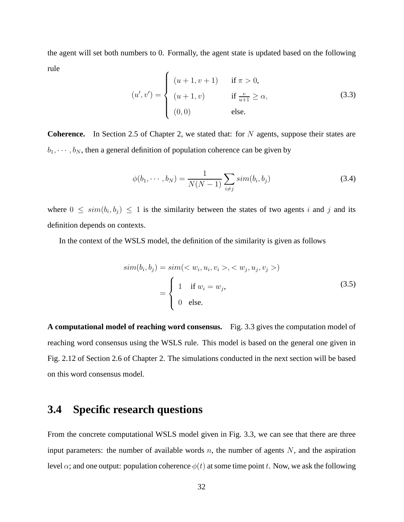the agent will set both numbers to 0. Formally, the agent state is updated based on the following rule  $\overline{\phantom{a}}$ 

$$
(u', v') = \begin{cases} (u+1, v+1) & \text{if } \pi > 0, \\ (u+1, v) & \text{if } \frac{v}{u+1} \ge \alpha, \\ (0, 0) & \text{else.} \end{cases}
$$
 (3.3)

**Coherence.** In Section 2.5 of Chapter 2, we stated that: for N agents, suppose their states are  $b_1, \dots, b_N$ , then a general definition of population coherence can be given by

$$
\phi(b_1, \cdots, b_N) = \frac{1}{N(N-1)} \sum_{i \neq j} sim(b_i, b_j)
$$
\n(3.4)

where  $0 \leq sim(b_i, b_j) \leq 1$  is the similarity between the states of two agents i and j and its definition depends on contexts.

In the context of the WSLS model, the definition of the similarity is given as follows

$$
sim(b_i, b_j) = sim(, w_j, w_j, v_j>)
$$

$$
= \begin{cases} 1 & \text{if } w_i = w_j, \\ 0 & \text{else.} \end{cases}
$$
(3.5)

**A computational model of reaching word consensus.** Fig. 3.3 gives the computation model of reaching word consensus using the WSLS rule. This model is based on the general one given in Fig. 2.12 of Section 2.6 of Chapter 2. The simulations conducted in the next section will be based on this word consensus model.

### **3.4 Specific research questions**

From the concrete computational WSLS model given in Fig. 3.3, we can see that there are three input parameters: the number of available words  $n$ , the number of agents  $N$ , and the aspiration level  $\alpha$ ; and one output: population coherence  $\phi(t)$  at some time point t. Now, we ask the following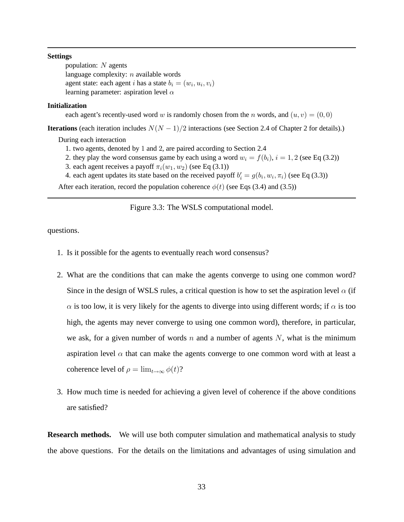#### **Settings**

population: N agents language complexity: n available words agent state: each agent *i* has a state  $b_i = (w_i, u_i, v_i)$ learning parameter: aspiration level  $\alpha$ 

#### **Initialization**

each agent's recently-used word w is randomly chosen from the n words, and  $(u, v) = (0, 0)$ 

**Iterations** (each iteration includes  $N(N-1)/2$  interactions (see Section 2.4 of Chapter 2 for details).)

During each interaction

- 1. two agents, denoted by 1 and 2, are paired according to Section 2.4
- 2. they play the word consensus game by each using a word  $w_i = f(b_i), i = 1, 2$  (see Eq (3.2))
- 3. each agent receives a payoff  $\pi_i(w_1, w_2)$  (see Eq (3.1))
- 4. each agent updates its state based on the received payoff  $b'_i = g(b_i, w_i, \pi_i)$  (see Eq (3.3))

After each iteration, record the population coherence  $\phi(t)$  (see Eqs (3.4) and (3.5))

Figure 3.3: The WSLS computational model.

questions.

- 1. Is it possible for the agents to eventually reach word consensus?
- 2. What are the conditions that can make the agents converge to using one common word? Since in the design of WSLS rules, a critical question is how to set the aspiration level  $\alpha$  (if  $\alpha$  is too low, it is very likely for the agents to diverge into using different words; if  $\alpha$  is too high, the agents may never converge to using one common word), therefore, in particular, we ask, for a given number of words  $n$  and a number of agents  $N$ , what is the minimum aspiration level  $\alpha$  that can make the agents converge to one common word with at least a coherence level of  $\rho = \lim_{t \to \infty} \phi(t)$ ?
- 3. How much time is needed for achieving a given level of coherence if the above conditions are satisfied?

**Research methods.** We will use both computer simulation and mathematical analysis to study the above questions. For the details on the limitations and advantages of using simulation and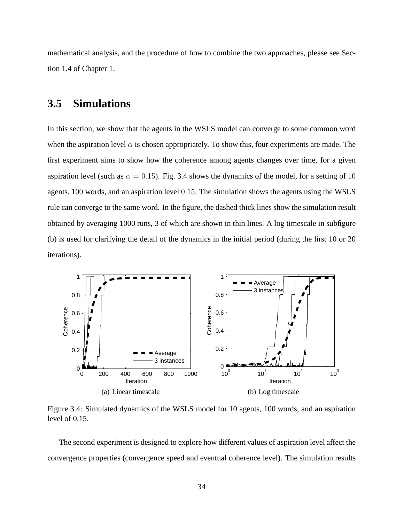mathematical analysis, and the procedure of how to combine the two approaches, please see Section 1.4 of Chapter 1.

## **3.5 Simulations**

In this section, we show that the agents in the WSLS model can converge to some common word when the aspiration level  $\alpha$  is chosen appropriately. To show this, four experiments are made. The first experiment aims to show how the coherence among agents changes over time, for a given aspiration level (such as  $\alpha = 0.15$ ). Fig. 3.4 shows the dynamics of the model, for a setting of 10 agents, 100 words, and an aspiration level 0.15. The simulation shows the agents using the WSLS rule can converge to the same word. In the figure, the dashed thick lines show the simulation result obtained by averaging 1000 runs, 3 of which are shown in thin lines. A log timescale in subfigure (b) is used for clarifying the detail of the dynamics in the initial period (during the first 10 or 20 iterations).



Figure 3.4: Simulated dynamics of the WSLS model for 10 agents, 100 words, and an aspiration level of 0.15.

The second experiment is designed to explore how different values of aspiration level affect the convergence properties (convergence speed and eventual coherence level). The simulation results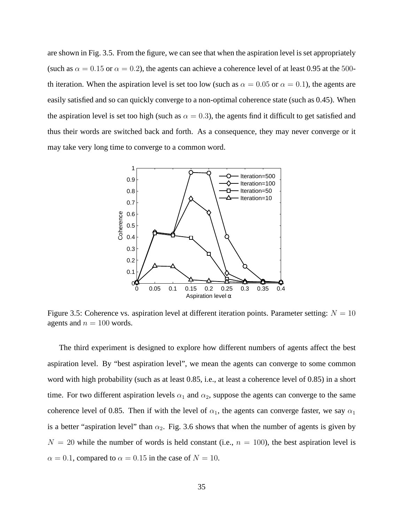are shown in Fig. 3.5. From the figure, we can see that when the aspiration level is set appropriately (such as  $\alpha = 0.15$  or  $\alpha = 0.2$ ), the agents can achieve a coherence level of at least 0.95 at the 500th iteration. When the aspiration level is set too low (such as  $\alpha = 0.05$  or  $\alpha = 0.1$ ), the agents are easily satisfied and so can quickly converge to a non-optimal coherence state (such as 0.45). When the aspiration level is set too high (such as  $\alpha = 0.3$ ), the agents find it difficult to get satisfied and thus their words are switched back and forth. As a consequence, they may never converge or it may take very long time to converge to a common word.



Figure 3.5: Coherence vs. aspiration level at different iteration points. Parameter setting:  $N = 10$ agents and  $n = 100$  words.

The third experiment is designed to explore how different numbers of agents affect the best aspiration level. By "best aspiration level", we mean the agents can converge to some common word with high probability (such as at least 0.85, i.e., at least a coherence level of 0.85) in a short time. For two different aspiration levels  $\alpha_1$  and  $\alpha_2$ , suppose the agents can converge to the same coherence level of 0.85. Then if with the level of  $\alpha_1$ , the agents can converge faster, we say  $\alpha_1$ is a better "aspiration level" than  $\alpha_2$ . Fig. 3.6 shows that when the number of agents is given by  $N = 20$  while the number of words is held constant (i.e.,  $n = 100$ ), the best aspiration level is  $\alpha = 0.1$ , compared to  $\alpha = 0.15$  in the case of  $N = 10$ .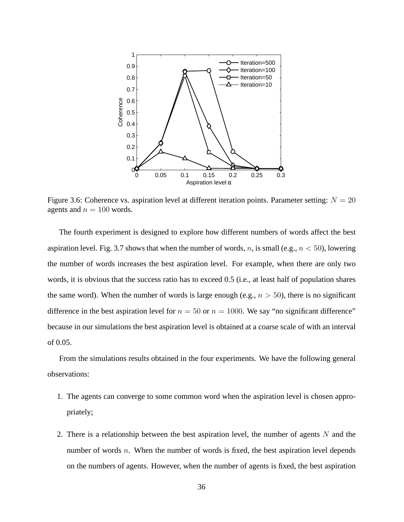

Figure 3.6: Coherence vs. aspiration level at different iteration points. Parameter setting:  $N = 20$ agents and  $n = 100$  words.

The fourth experiment is designed to explore how different numbers of words affect the best aspiration level. Fig. 3.7 shows that when the number of words, n, is small (e.g.,  $n < 50$ ), lowering the number of words increases the best aspiration level. For example, when there are only two words, it is obvious that the success ratio has to exceed 0.5 (i.e., at least half of population shares the same word). When the number of words is large enough (e.g.,  $n > 50$ ), there is no significant difference in the best aspiration level for  $n = 50$  or  $n = 1000$ . We say "no significant difference" because in our simulations the best aspiration level is obtained at a coarse scale of with an interval of 0.05.

From the simulations results obtained in the four experiments. We have the following general observations:

- 1. The agents can converge to some common word when the aspiration level is chosen appropriately;
- 2. There is a relationship between the best aspiration level, the number of agents  $N$  and the number of words  $n$ . When the number of words is fixed, the best aspiration level depends on the numbers of agents. However, when the number of agents is fixed, the best aspiration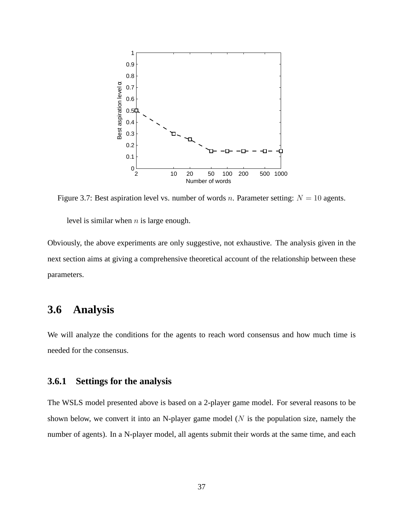

Figure 3.7: Best aspiration level vs. number of words *n*. Parameter setting:  $N = 10$  agents.

level is similar when  $n$  is large enough.

Obviously, the above experiments are only suggestive, not exhaustive. The analysis given in the next section aims at giving a comprehensive theoretical account of the relationship between these parameters.

## **3.6 Analysis**

We will analyze the conditions for the agents to reach word consensus and how much time is needed for the consensus.

#### **3.6.1 Settings for the analysis**

The WSLS model presented above is based on a 2-player game model. For several reasons to be shown below, we convert it into an N-player game model  $(N$  is the population size, namely the number of agents). In a N-player model, all agents submit their words at the same time, and each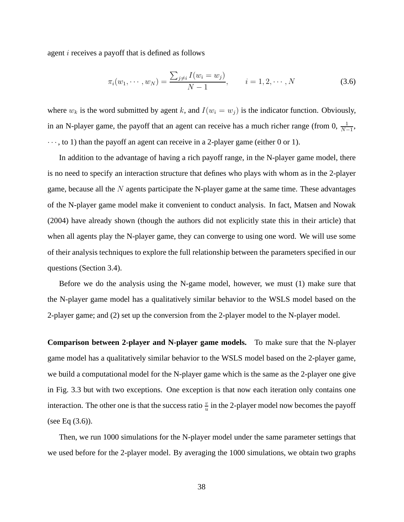agent i receives a payoff that is defined as follows

$$
\pi_i(w_1, \cdots, w_N) = \frac{\sum_{j \neq i} I(w_i = w_j)}{N - 1}, \qquad i = 1, 2, \cdots, N
$$
\n(3.6)

where  $w_k$  is the word submitted by agent k, and  $I(w_i = w_j)$  is the indicator function. Obviously, in an N-player game, the payoff that an agent can receive has a much richer range (from  $0, \frac{1}{N-1}$ ,  $\cdots$ , to 1) than the payoff an agent can receive in a 2-player game (either 0 or 1).

In addition to the advantage of having a rich payoff range, in the N-player game model, there is no need to specify an interaction structure that defines who plays with whom as in the 2-player game, because all the  $N$  agents participate the N-player game at the same time. These advantages of the N-player game model make it convenient to conduct analysis. In fact, Matsen and Nowak (2004) have already shown (though the authors did not explicitly state this in their article) that when all agents play the N-player game, they can converge to using one word. We will use some of their analysis techniques to explore the full relationship between the parameters specified in our questions (Section 3.4).

Before we do the analysis using the N-game model, however, we must (1) make sure that the N-player game model has a qualitatively similar behavior to the WSLS model based on the 2-player game; and (2) set up the conversion from the 2-player model to the N-player model.

**Comparison between 2-player and N-player game models.** To make sure that the N-player game model has a qualitatively similar behavior to the WSLS model based on the 2-player game, we build a computational model for the N-player game which is the same as the 2-player one give in Fig. 3.3 but with two exceptions. One exception is that now each iteration only contains one interaction. The other one is that the success ratio  $\frac{v}{u}$  in the 2-player model now becomes the payoff (see Eq (3.6)).

Then, we run 1000 simulations for the N-player model under the same parameter settings that we used before for the 2-player model. By averaging the 1000 simulations, we obtain two graphs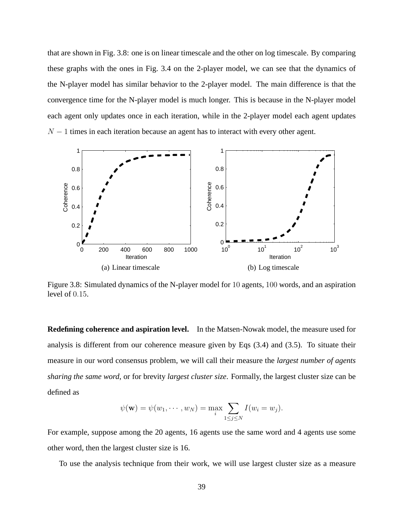that are shown in Fig. 3.8: one is on linear timescale and the other on log timescale. By comparing these graphs with the ones in Fig. 3.4 on the 2-player model, we can see that the dynamics of the N-player model has similar behavior to the 2-player model. The main difference is that the convergence time for the N-player model is much longer. This is because in the N-player model each agent only updates once in each iteration, while in the 2-player model each agent updates  $N-1$  times in each iteration because an agent has to interact with every other agent.



Figure 3.8: Simulated dynamics of the N-player model for 10 agents, 100 words, and an aspiration level of 0.15.

**Redefining coherence and aspiration level.** In the Matsen-Nowak model, the measure used for analysis is different from our coherence measure given by Eqs (3.4) and (3.5). To situate their measure in our word consensus problem, we will call their measure the *largest number of agents sharing the same word*, or for brevity *largest cluster size*. Formally, the largest cluster size can be defined as

$$
\psi(\mathbf{w}) = \psi(w_1, \cdots, w_N) = \max_i \sum_{1 \leq j \leq N} I(w_i = w_j).
$$

For example, suppose among the 20 agents, 16 agents use the same word and 4 agents use some other word, then the largest cluster size is 16.

To use the analysis technique from their work, we will use largest cluster size as a measure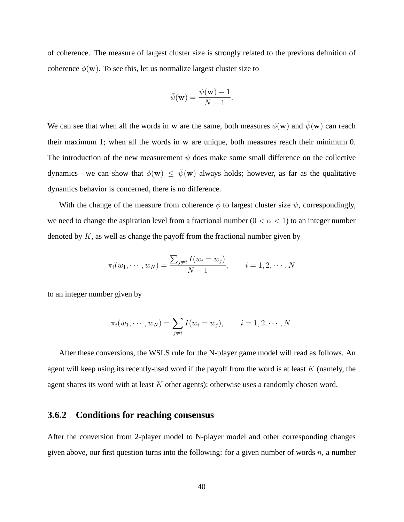of coherence. The measure of largest cluster size is strongly related to the previous definition of coherence  $\phi(\mathbf{w})$ . To see this, let us normalize largest cluster size to

$$
\bar{\psi}(\mathbf{w}) = \frac{\psi(\mathbf{w}) - 1}{N - 1}.
$$

We can see that when all the words in w are the same, both measures  $\phi(\mathbf{w})$  and  $\bar{\psi}(\mathbf{w})$  can reach their maximum 1; when all the words in w are unique, both measures reach their minimum 0. The introduction of the new measurement  $\psi$  does make some small difference on the collective dynamics—we can show that  $\phi(\mathbf{w}) \leq \bar{\psi}(\mathbf{w})$  always holds; however, as far as the qualitative dynamics behavior is concerned, there is no difference.

With the change of the measure from coherence  $\phi$  to largest cluster size  $\psi$ , correspondingly, we need to change the aspiration level from a fractional number  $(0 < \alpha < 1)$  to an integer number denoted by  $K$ , as well as change the payoff from the fractional number given by

$$
\pi_i(w_1, \dots, w_N) = \frac{\sum_{j \neq i} I(w_i = w_j)}{N - 1}, \qquad i = 1, 2, \dots, N
$$

to an integer number given by

$$
\pi_i(w_1, \dots, w_N) = \sum_{j \neq i} I(w_i = w_j), \qquad i = 1, 2, \dots, N.
$$

After these conversions, the WSLS rule for the N-player game model will read as follows. An agent will keep using its recently-used word if the payoff from the word is at least  $K$  (namely, the agent shares its word with at least  $K$  other agents); otherwise uses a randomly chosen word.

#### **3.6.2 Conditions for reaching consensus**

After the conversion from 2-player model to N-player model and other corresponding changes given above, our first question turns into the following: for a given number of words  $n$ , a number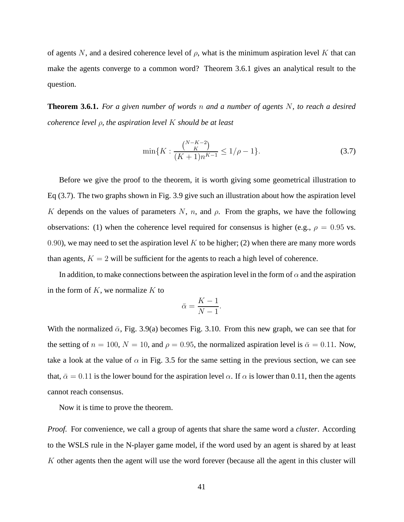of agents N, and a desired coherence level of  $\rho$ , what is the minimum aspiration level K that can make the agents converge to a common word? Theorem 3.6.1 gives an analytical result to the question.

**Theorem 3.6.1.** *For a given number of words* n *and a number of agents* N*, to reach a desired coherence level* ρ*, the aspiration level* K *should be at least*

$$
\min\{K : \frac{\binom{N-K-2}{K}}{(K+1)n^{K-1}} \le 1/\rho - 1\}.
$$
\n(3.7)

Before we give the proof to the theorem, it is worth giving some geometrical illustration to Eq (3.7). The two graphs shown in Fig. 3.9 give such an illustration about how the aspiration level K depends on the values of parameters N, n, and  $\rho$ . From the graphs, we have the following observations: (1) when the coherence level required for consensus is higher (e.g.,  $\rho = 0.95$  vs. 0.90), we may need to set the aspiration level K to be higher; (2) when there are many more words than agents,  $K = 2$  will be sufficient for the agents to reach a high level of coherence.

In addition, to make connections between the aspiration level in the form of  $\alpha$  and the aspiration in the form of  $K$ , we normalize  $K$  to

$$
\bar{\alpha} = \frac{K - 1}{N - 1}.
$$

With the normalized  $\bar{\alpha}$ , Fig. 3.9(a) becomes Fig. 3.10. From this new graph, we can see that for the setting of  $n = 100$ ,  $N = 10$ , and  $\rho = 0.95$ , the normalized aspiration level is  $\bar{\alpha} = 0.11$ . Now, take a look at the value of  $\alpha$  in Fig. 3.5 for the same setting in the previous section, we can see that,  $\bar{\alpha} = 0.11$  is the lower bound for the aspiration level  $\alpha$ . If  $\alpha$  is lower than 0.11, then the agents cannot reach consensus.

Now it is time to prove the theorem.

*Proof.* For convenience, we call a group of agents that share the same word a *cluster*. According to the WSLS rule in the N-player game model, if the word used by an agent is shared by at least K other agents then the agent will use the word forever (because all the agent in this cluster will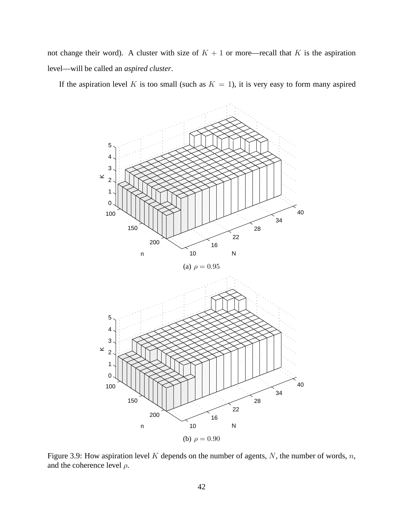not change their word). A cluster with size of  $K + 1$  or more—recall that K is the aspiration level—will be called an *aspired cluster*.

If the aspiration level K is too small (such as  $K = 1$ ), it is very easy to form many aspired



Figure 3.9: How aspiration level  $K$  depends on the number of agents,  $N$ , the number of words,  $n$ , and the coherence level  $\rho$ .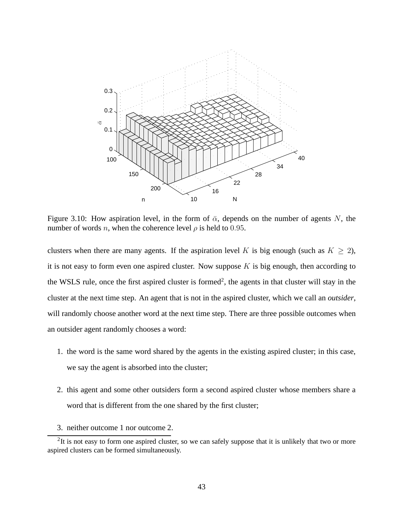

Figure 3.10: How aspiration level, in the form of  $\bar{\alpha}$ , depends on the number of agents N, the number of words *n*, when the coherence level  $\rho$  is held to 0.95.

clusters when there are many agents. If the aspiration level K is big enough (such as  $K \geq 2$ ), it is not easy to form even one aspired cluster. Now suppose  $K$  is big enough, then according to the WSLS rule, once the first aspired cluster is formed<sup>2</sup>, the agents in that cluster will stay in the cluster at the next time step. An agent that is not in the aspired cluster, which we call an *outsider*, will randomly choose another word at the next time step. There are three possible outcomes when an outsider agent randomly chooses a word:

- 1. the word is the same word shared by the agents in the existing aspired cluster; in this case, we say the agent is absorbed into the cluster;
- 2. this agent and some other outsiders form a second aspired cluster whose members share a word that is different from the one shared by the first cluster;
- 3. neither outcome 1 nor outcome 2.

 $2$ It is not easy to form one aspired cluster, so we can safely suppose that it is unlikely that two or more aspired clusters can be formed simultaneously.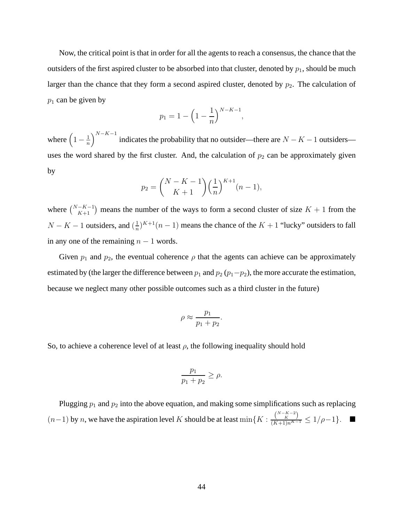Now, the critical point is that in order for all the agents to reach a consensus, the chance that the outsiders of the first aspired cluster to be absorbed into that cluster, denoted by  $p_1$ , should be much larger than the chance that they form a second aspired cluster, denoted by  $p_2$ . The calculation of  $p_1$  can be given by

$$
p_1 = 1 - \left(1 - \frac{1}{n}\right)^{N - K - 1},
$$

where  $\left(1-\frac{1}{n}\right)$  $\left(\frac{1}{n}\right)^{N-K-1}$  indicates the probability that no outsider—there are  $N-K-1$  outsiders uses the word shared by the first cluster. And, the calculation of  $p_2$  can be approximately given by

$$
p_2 = \binom{N-K-1}{K+1} \left(\frac{1}{n}\right)^{K+1} (n-1),
$$

where  $\binom{N-K-1}{K+1}$  means the number of the ways to form a second cluster of size  $K + 1$  from the  $N-K-1$  outsiders, and  $\left(\frac{1}{n}\right)$  $\frac{1}{n}$ )<sup>K+1</sup>(n – 1) means the chance of the K + 1 "lucky" outsiders to fall in any one of the remaining  $n - 1$  words.

Given  $p_1$  and  $p_2$ , the eventual coherence  $\rho$  that the agents can achieve can be approximately estimated by (the larger the difference between  $p_1$  and  $p_2$  ( $p_1-p_2$ ), the more accurate the estimation, because we neglect many other possible outcomes such as a third cluster in the future)

$$
\rho \approx \frac{p_1}{p_1 + p_2}.
$$

So, to achieve a coherence level of at least  $\rho$ , the following inequality should hold

$$
\frac{p_1}{p_1 + p_2} \ge \rho.
$$

Plugging  $p_1$  and  $p_2$  into the above equation, and making some simplifications such as replacing  $(n-1)$  by n, we have the aspiration level K should be at least  $\min\{K : \frac{\binom{N-K-2}{K}}{(K+1)n^{K-1}} \leq 1/\rho-1\}$ . ■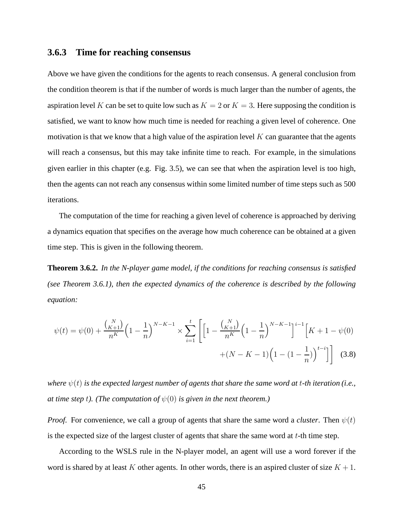#### **3.6.3 Time for reaching consensus**

Above we have given the conditions for the agents to reach consensus. A general conclusion from the condition theorem is that if the number of words is much larger than the number of agents, the aspiration level K can be set to quite low such as  $K = 2$  or  $K = 3$ . Here supposing the condition is satisfied, we want to know how much time is needed for reaching a given level of coherence. One motivation is that we know that a high value of the aspiration level  $K$  can guarantee that the agents will reach a consensus, but this may take infinite time to reach. For example, in the simulations given earlier in this chapter (e.g. Fig. 3.5), we can see that when the aspiration level is too high, then the agents can not reach any consensus within some limited number of time steps such as 500 iterations.

The computation of the time for reaching a given level of coherence is approached by deriving a dynamics equation that specifies on the average how much coherence can be obtained at a given time step. This is given in the following theorem.

**Theorem 3.6.2.** *In the N-player game model, if the conditions for reaching consensus is satisfied (see Theorem 3.6.1), then the expected dynamics of the coherence is described by the following equation:*

$$
\psi(t) = \psi(0) + \frac{\binom{N}{K+1}}{n^K} \left(1 - \frac{1}{n}\right)^{N-K-1} \times \sum_{i=1}^t \left[ \left[1 - \frac{\binom{N}{K+1}}{n^K} \left(1 - \frac{1}{n}\right)^{N-K-1} \right]^{i-1} \left[K + 1 - \psi(0) + (N - K - 1)\left(1 - \left(1 - \frac{1}{n}\right)\right)^{t-i}\right] \right] \tag{3.8}
$$

*where*  $\psi(t)$  *is the expected largest number of agents that share the same word at t-th iteration (i.e., at time step t*). (The computation of  $\psi(0)$  is given in the next theorem.)

*Proof.* For convenience, we call a group of agents that share the same word a *cluster*. Then  $\psi(t)$ is the expected size of the largest cluster of agents that share the same word at  $t$ -th time step.

According to the WSLS rule in the N-player model, an agent will use a word forever if the word is shared by at least K other agents. In other words, there is an aspired cluster of size  $K + 1$ .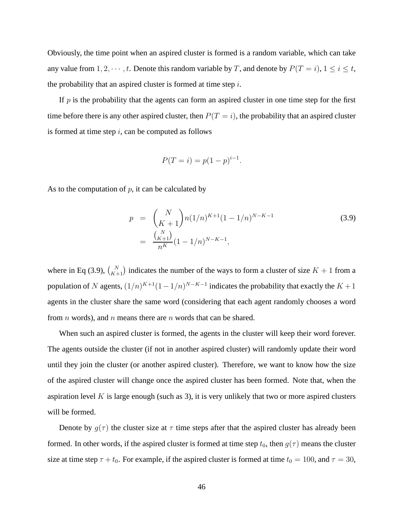Obviously, the time point when an aspired cluster is formed is a random variable, which can take any value from  $1, 2, \dots, t$ . Denote this random variable by T, and denote by  $P(T = i)$ ,  $1 \le i \le t$ , the probability that an aspired cluster is formed at time step  $i$ .

If  $p$  is the probability that the agents can form an aspired cluster in one time step for the first time before there is any other aspired cluster, then  $P(T = i)$ , the probability that an aspired cluster is formed at time step  $i$ , can be computed as follows

$$
P(T = i) = p(1 - p)^{i - 1}.
$$

As to the computation of  $p$ , it can be calculated by

$$
p = {N \choose K+1} n(1/n)^{K+1} (1 - 1/n)^{N-K-1}
$$
  
= 
$$
{N \choose K+1} {N \choose K+1} (1 - 1/n)^{N-K-1},
$$
 (3.9)

where in Eq (3.9),  $\binom{N}{K+1}$  indicates the number of the ways to form a cluster of size  $K + 1$  from a population of N agents,  $(1/n)^{K+1}(1-1/n)^{N-K-1}$  indicates the probability that exactly the  $K+1$ agents in the cluster share the same word (considering that each agent randomly chooses a word from *n* words), and *n* means there are *n* words that can be shared.

When such an aspired cluster is formed, the agents in the cluster will keep their word forever. The agents outside the cluster (if not in another aspired cluster) will randomly update their word until they join the cluster (or another aspired cluster). Therefore, we want to know how the size of the aspired cluster will change once the aspired cluster has been formed. Note that, when the aspiration level K is large enough (such as 3), it is very unlikely that two or more aspired clusters will be formed.

Denote by  $g(\tau)$  the cluster size at  $\tau$  time steps after that the aspired cluster has already been formed. In other words, if the aspired cluster is formed at time step  $t_0$ , then  $g(\tau)$  means the cluster size at time step  $\tau + t_0$ . For example, if the aspired cluster is formed at time  $t_0 = 100$ , and  $\tau = 30$ ,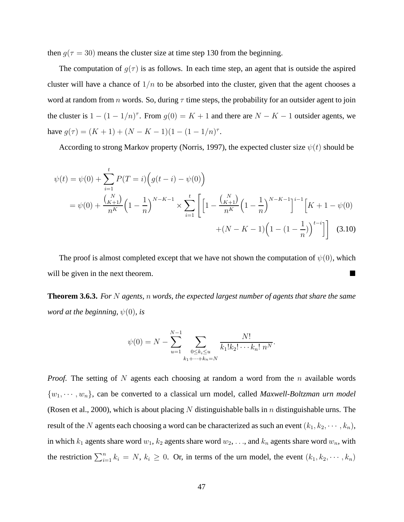then  $g(\tau = 30)$  means the cluster size at time step 130 from the beginning.

The computation of  $g(\tau)$  is as follows. In each time step, an agent that is outside the aspired cluster will have a chance of  $1/n$  to be absorbed into the cluster, given that the agent chooses a word at random from n words. So, during  $\tau$  time steps, the probability for an outsider agent to join the cluster is  $1 - (1 - 1/n)^{\tau}$ . From  $g(0) = K + 1$  and there are  $N - K - 1$  outsider agents, we have  $g(\tau) = (K+1) + (N - K - 1)(1 - (1 - 1/n)^{\tau})$ .

According to strong Markov property (Norris, 1997), the expected cluster size  $\psi(t)$  should be

$$
\psi(t) = \psi(0) + \sum_{i=1}^{t} P(T = i) \left( g(t - i) - \psi(0) \right)
$$
  
=  $\psi(0) + \frac{\binom{N}{K+1}}{n^K} \left( 1 - \frac{1}{n} \right)^{N-K-1} \times \sum_{i=1}^{t} \left[ \left[ 1 - \frac{\binom{N}{K+1}}{n^K} \left( 1 - \frac{1}{n} \right)^{N-K-1} \right]^{i-1} \left[ K + 1 - \psi(0) \right] + (N - K - 1) \left( 1 - \left( 1 - \frac{1}{n} \right) \right)^{t-i} \right]$  (3.10)

The proof is almost completed except that we have not shown the computation of  $\psi(0)$ , which will be given in the next theorem.

**Theorem 3.6.3.** *For* N *agents,* n *words, the expected largest number of agents that share the same word at the beginning,*  $\psi(0)$ *, is* 

$$
\psi(0) = N - \sum_{u=1}^{N-1} \sum_{\substack{0 \le k_i \le u \\ k_1 + \dots + k_n = N}} \frac{N!}{k_1! k_2! \cdots k_n! n^N}.
$$

*Proof.* The setting of N agents each choosing at random a word from the n available words  $\{w_1, \dots, w_n\}$ , can be converted to a classical urn model, called *Maxwell-Boltzman urn model* (Rosen et al., 2000), which is about placing N distinguishable balls in n distinguishable urns. The result of the N agents each choosing a word can be characterized as such an event  $(k_1, k_2, \dots, k_n)$ , in which  $k_1$  agents share word  $w_1$ ,  $k_2$  agents share word  $w_2$ , ..., and  $k_n$  agents share word  $w_n$ , with the restriction  $\sum_{i=1}^{n} k_i = N$ ,  $k_i \ge 0$ . Or, in terms of the urn model, the event  $(k_1, k_2, \dots, k_n)$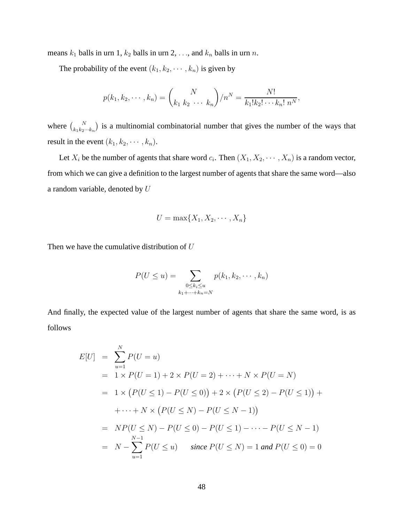means  $k_1$  balls in urn 1,  $k_2$  balls in urn 2, ..., and  $k_n$  balls in urn n.

The probability of the event  $(k_1, k_2, \dots, k_n)$  is given by

$$
p(k_1, k_2, \cdots, k_n) = {N \choose k_1 \ k_2 \ \cdots \ k_n} / n^N = \frac{N!}{k_1! k_2! \cdots k_n! \ n^N},
$$

where  $\binom{N}{k_1k_2\cdots k_n}$  is a multinomial combinatorial number that gives the number of the ways that result in the event  $(k_1, k_2, \dots, k_n)$ .

Let  $X_i$  be the number of agents that share word  $c_i$ . Then  $(X_1, X_2, \dots, X_n)$  is a random vector, from which we can give a definition to the largest number of agents that share the same word—also a random variable, denoted by U

$$
U = \max\{X_1, X_2, \cdots, X_n\}
$$

Then we have the cumulative distribution of  $U$ 

$$
P(U \le u) = \sum_{\substack{0 \le k_i \le u \\ k_1 + \dots + k_n = N}} p(k_1, k_2, \dots, k_n)
$$

And finally, the expected value of the largest number of agents that share the same word, is as follows

$$
E[U] = \sum_{u=1}^{N} P(U = u)
$$
  
= 1 × P(U = 1) + 2 × P(U = 2) + ··· + N × P(U = N)  
= 1 × (P(U \le 1) - P(U \le 0)) + 2 × (P(U \le 2) - P(U \le 1)) +  
+ ··· + N × (P(U \le N) - P(U \le N - 1))  
= NP(U \le N) - P(U \le 0) - P(U \le 1) - ··· - P(U \le N - 1)  
= N - \sum\_{u=1}^{N-1} P(U \le u) since P(U \le N) = 1 and P(U \le 0) = 0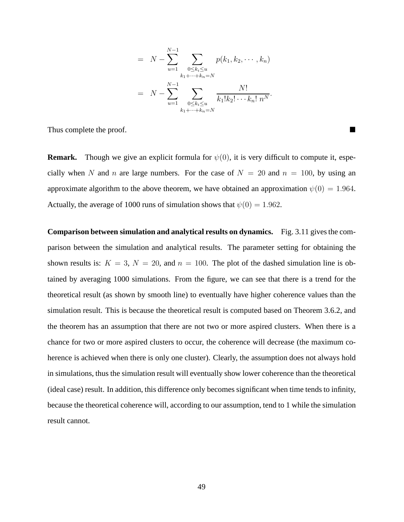$$
= N - \sum_{u=1}^{N-1} \sum_{\substack{0 \le k_i \le u \\ k_1 + \dots + k_n = N}} p(k_1, k_2, \dots, k_n)
$$

$$
= N - \sum_{u=1}^{N-1} \sum_{\substack{0 \le k_i \le u \\ k_1 + \dots + k_n = N}} \frac{N!}{k_1! k_2! \dots k_n! n^N}.
$$

Thus complete the proof.

**Remark.** Though we give an explicit formula for  $\psi(0)$ , it is very difficult to compute it, especially when N and n are large numbers. For the case of  $N = 20$  and  $n = 100$ , by using an approximate algorithm to the above theorem, we have obtained an approximation  $\psi(0) = 1.964$ . Actually, the average of 1000 runs of simulation shows that  $\psi(0) = 1.962$ .

**Comparison between simulation and analytical results on dynamics.** Fig. 3.11 gives the comparison between the simulation and analytical results. The parameter setting for obtaining the shown results is:  $K = 3$ ,  $N = 20$ , and  $n = 100$ . The plot of the dashed simulation line is obtained by averaging 1000 simulations. From the figure, we can see that there is a trend for the theoretical result (as shown by smooth line) to eventually have higher coherence values than the simulation result. This is because the theoretical result is computed based on Theorem 3.6.2, and the theorem has an assumption that there are not two or more aspired clusters. When there is a chance for two or more aspired clusters to occur, the coherence will decrease (the maximum coherence is achieved when there is only one cluster). Clearly, the assumption does not always hold in simulations, thus the simulation result will eventually show lower coherence than the theoretical (ideal case) result. In addition, this difference only becomes significant when time tends to infinity, because the theoretical coherence will, according to our assumption, tend to 1 while the simulation result cannot.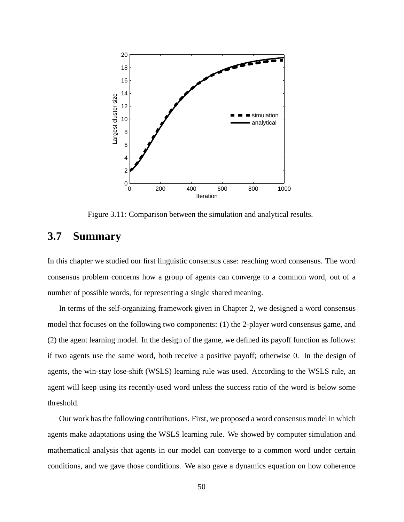

Figure 3.11: Comparison between the simulation and analytical results.

# **3.7 Summary**

In this chapter we studied our first linguistic consensus case: reaching word consensus. The word consensus problem concerns how a group of agents can converge to a common word, out of a number of possible words, for representing a single shared meaning.

In terms of the self-organizing framework given in Chapter 2, we designed a word consensus model that focuses on the following two components: (1) the 2-player word consensus game, and (2) the agent learning model. In the design of the game, we defined its payoff function as follows: if two agents use the same word, both receive a positive payoff; otherwise 0. In the design of agents, the win-stay lose-shift (WSLS) learning rule was used. According to the WSLS rule, an agent will keep using its recently-used word unless the success ratio of the word is below some threshold.

Our work has the following contributions. First, we proposed a word consensus model in which agents make adaptations using the WSLS learning rule. We showed by computer simulation and mathematical analysis that agents in our model can converge to a common word under certain conditions, and we gave those conditions. We also gave a dynamics equation on how coherence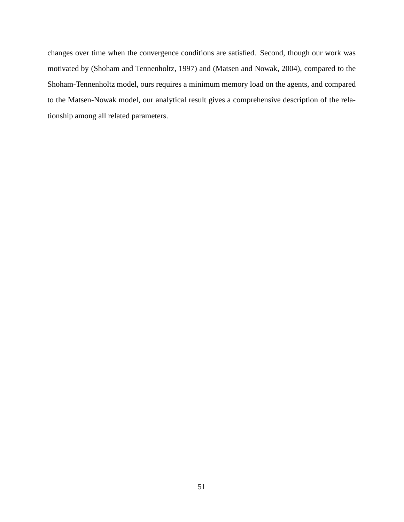changes over time when the convergence conditions are satisfied. Second, though our work was motivated by (Shoham and Tennenholtz, 1997) and (Matsen and Nowak, 2004), compared to the Shoham-Tennenholtz model, ours requires a minimum memory load on the agents, and compared to the Matsen-Nowak model, our analytical result gives a comprehensive description of the relationship among all related parameters.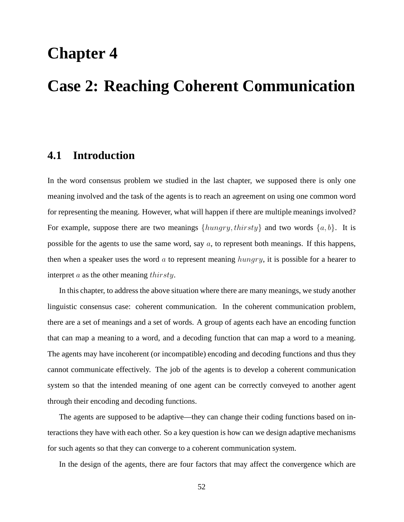# **Chapter 4**

# **Case 2: Reaching Coherent Communication**

## **4.1 Introduction**

In the word consensus problem we studied in the last chapter, we supposed there is only one meaning involved and the task of the agents is to reach an agreement on using one common word for representing the meaning. However, what will happen if there are multiple meanings involved? For example, suppose there are two meanings  $\{hungry, thirsty\}$  and two words  $\{a, b\}$ . It is possible for the agents to use the same word, say  $a$ , to represent both meanings. If this happens, then when a speaker uses the word a to represent meaning  $hungry$ , it is possible for a hearer to interpret *a* as the other meaning *thirsty*.

In this chapter, to address the above situation where there are many meanings, we study another linguistic consensus case: coherent communication. In the coherent communication problem, there are a set of meanings and a set of words. A group of agents each have an encoding function that can map a meaning to a word, and a decoding function that can map a word to a meaning. The agents may have incoherent (or incompatible) encoding and decoding functions and thus they cannot communicate effectively. The job of the agents is to develop a coherent communication system so that the intended meaning of one agent can be correctly conveyed to another agent through their encoding and decoding functions.

The agents are supposed to be adaptive—they can change their coding functions based on interactions they have with each other. So a key question is how can we design adaptive mechanisms for such agents so that they can converge to a coherent communication system.

In the design of the agents, there are four factors that may affect the convergence which are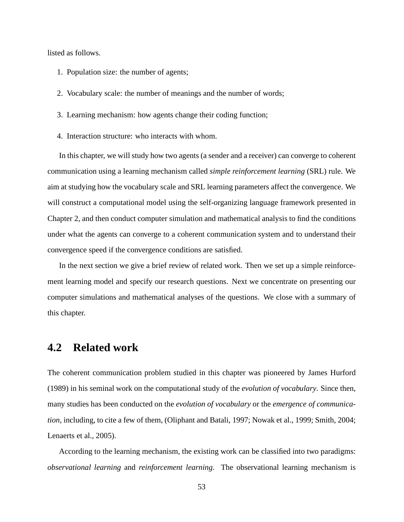listed as follows.

- 1. Population size: the number of agents;
- 2. Vocabulary scale: the number of meanings and the number of words;
- 3. Learning mechanism: how agents change their coding function;
- 4. Interaction structure: who interacts with whom.

In this chapter, we will study how two agents (a sender and a receiver) can converge to coherent communication using a learning mechanism called *simple reinforcement learning* (SRL) rule. We aim at studying how the vocabulary scale and SRL learning parameters affect the convergence. We will construct a computational model using the self-organizing language framework presented in Chapter 2, and then conduct computer simulation and mathematical analysis to find the conditions under what the agents can converge to a coherent communication system and to understand their convergence speed if the convergence conditions are satisfied.

In the next section we give a brief review of related work. Then we set up a simple reinforcement learning model and specify our research questions. Next we concentrate on presenting our computer simulations and mathematical analyses of the questions. We close with a summary of this chapter.

#### **4.2 Related work**

The coherent communication problem studied in this chapter was pioneered by James Hurford (1989) in his seminal work on the computational study of the *evolution of vocabulary*. Since then, many studies has been conducted on the *evolution of vocabulary* or the *emergence of communication*, including, to cite a few of them, (Oliphant and Batali, 1997; Nowak et al., 1999; Smith, 2004; Lenaerts et al., 2005).

According to the learning mechanism, the existing work can be classified into two paradigms: *observational learning* and *reinforcement learning*. The observational learning mechanism is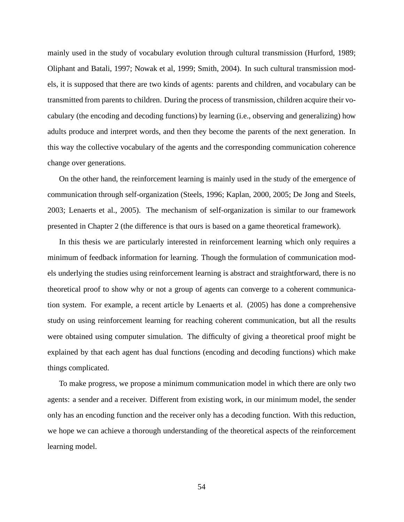mainly used in the study of vocabulary evolution through cultural transmission (Hurford, 1989; Oliphant and Batali, 1997; Nowak et al, 1999; Smith, 2004). In such cultural transmission models, it is supposed that there are two kinds of agents: parents and children, and vocabulary can be transmitted from parents to children. During the process of transmission, children acquire their vocabulary (the encoding and decoding functions) by learning (i.e., observing and generalizing) how adults produce and interpret words, and then they become the parents of the next generation. In this way the collective vocabulary of the agents and the corresponding communication coherence change over generations.

On the other hand, the reinforcement learning is mainly used in the study of the emergence of communication through self-organization (Steels, 1996; Kaplan, 2000, 2005; De Jong and Steels, 2003; Lenaerts et al., 2005). The mechanism of self-organization is similar to our framework presented in Chapter 2 (the difference is that ours is based on a game theoretical framework).

In this thesis we are particularly interested in reinforcement learning which only requires a minimum of feedback information for learning. Though the formulation of communication models underlying the studies using reinforcement learning is abstract and straightforward, there is no theoretical proof to show why or not a group of agents can converge to a coherent communication system. For example, a recent article by Lenaerts et al. (2005) has done a comprehensive study on using reinforcement learning for reaching coherent communication, but all the results were obtained using computer simulation. The difficulty of giving a theoretical proof might be explained by that each agent has dual functions (encoding and decoding functions) which make things complicated.

To make progress, we propose a minimum communication model in which there are only two agents: a sender and a receiver. Different from existing work, in our minimum model, the sender only has an encoding function and the receiver only has a decoding function. With this reduction, we hope we can achieve a thorough understanding of the theoretical aspects of the reinforcement learning model.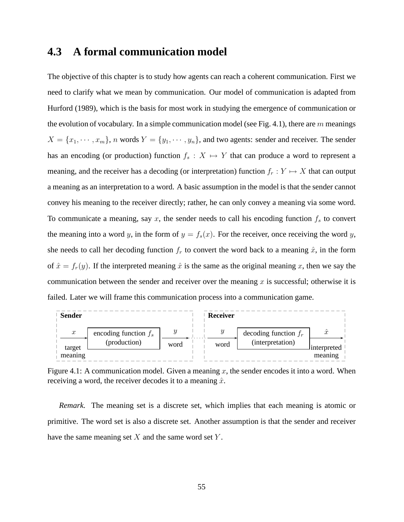### **4.3 A formal communication model**

The objective of this chapter is to study how agents can reach a coherent communication. First we need to clarify what we mean by communication. Our model of communication is adapted from Hurford (1989), which is the basis for most work in studying the emergence of communication or the evolution of vocabulary. In a simple communication model (see Fig. 4.1), there are  $m$  meanings  $X = \{x_1, \dots, x_m\}$ , n words  $Y = \{y_1, \dots, y_n\}$ , and two agents: sender and receiver. The sender has an encoding (or production) function  $f_s : X \mapsto Y$  that can produce a word to represent a meaning, and the receiver has a decoding (or interpretation) function  $f_r : Y \mapsto X$  that can output a meaning as an interpretation to a word. A basic assumption in the model is that the sender cannot convey his meaning to the receiver directly; rather, he can only convey a meaning via some word. To communicate a meaning, say  $x$ , the sender needs to call his encoding function  $f_s$  to convert the meaning into a word y, in the form of  $y = f_s(x)$ . For the receiver, once receiving the word y, she needs to call her decoding function  $f_r$  to convert the word back to a meaning  $\hat{x}$ , in the form of  $\hat{x} = f_r(y)$ . If the interpreted meaning  $\hat{x}$  is the same as the original meaning x, then we say the communication between the sender and receiver over the meaning  $x$  is successful; otherwise it is failed. Later we will frame this communication process into a communication game.



Figure 4.1: A communication model. Given a meaning x, the sender encodes it into a word. When receiving a word, the receiver decodes it to a meaning  $\hat{x}$ .

*Remark.* The meaning set is a discrete set, which implies that each meaning is atomic or primitive. The word set is also a discrete set. Another assumption is that the sender and receiver have the same meaning set  $X$  and the same word set  $Y$ .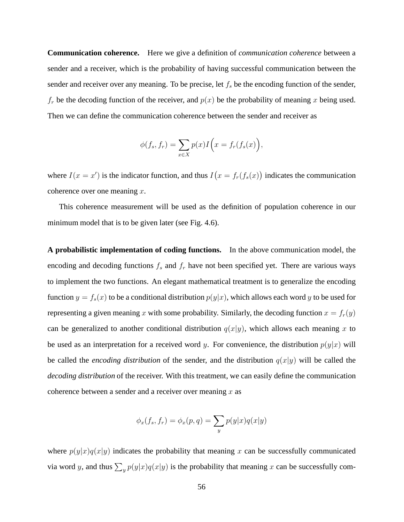**Communication coherence.** Here we give a definition of *communication coherence* between a sender and a receiver, which is the probability of having successful communication between the sender and receiver over any meaning. To be precise, let  $f_s$  be the encoding function of the sender,  $f_r$  be the decoding function of the receiver, and  $p(x)$  be the probability of meaning x being used. Then we can define the communication coherence between the sender and receiver as

$$
\phi(f_s, f_r) = \sum_{x \in X} p(x)I\Big(x = f_r(f_s(x)\Big),\,
$$

where  $I(x = x')$  is the indicator function, and thus  $I(x = f_r(f_s(x))$  indicates the communication coherence over one meaning  $x$ .

This coherence measurement will be used as the definition of population coherence in our minimum model that is to be given later (see Fig. 4.6).

**A probabilistic implementation of coding functions.** In the above communication model, the encoding and decoding functions  $f_s$  and  $f_r$  have not been specified yet. There are various ways to implement the two functions. An elegant mathematical treatment is to generalize the encoding function  $y = f_s(x)$  to be a conditional distribution  $p(y|x)$ , which allows each word y to be used for representing a given meaning x with some probability. Similarly, the decoding function  $x = f_r(y)$ can be generalized to another conditional distribution  $q(x|y)$ , which allows each meaning x to be used as an interpretation for a received word y. For convenience, the distribution  $p(y|x)$  will be called the *encoding distribution* of the sender, and the distribution  $q(x|y)$  will be called the *decoding distribution* of the receiver. With this treatment, we can easily define the communication coherence between a sender and a receiver over meaning  $x$  as

$$
\phi_x(f_s, f_r) = \phi_x(p, q) = \sum_y p(y|x)q(x|y)
$$

where  $p(y|x)q(x|y)$  indicates the probability that meaning x can be successfully communicated via word y, and thus  $\sum_{y} p(y|x)q(x|y)$  is the probability that meaning x can be successfully com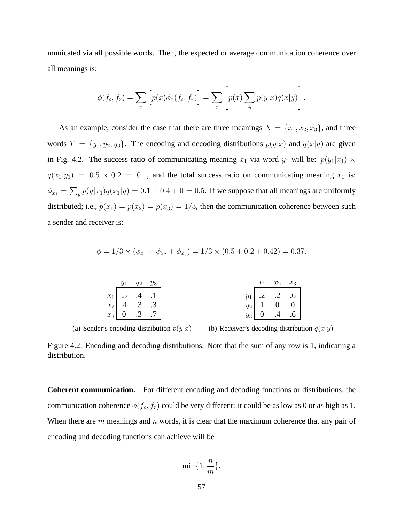municated via all possible words. Then, the expected or average communication coherence over all meanings is:

$$
\phi(f_s, f_r) = \sum_x \left[ p(x) \phi_x(f_s, f_r) \right] = \sum_x \left[ p(x) \sum_y p(y|x) q(x|y) \right].
$$

As an example, consider the case that there are three meanings  $X = \{x_1, x_2, x_3\}$ , and three words  $Y = \{y_1, y_2, y_3\}$ . The encoding and decoding distributions  $p(y|x)$  and  $q(x|y)$  are given in Fig. 4.2. The success ratio of communicating meaning  $x_1$  via word  $y_1$  will be:  $p(y_1|x_1) \times p(y_2|x_2)$  $q(x_1|y_1) = 0.5 \times 0.2 = 0.1$ , and the total success ratio on communicating meaning  $x_1$  is:  $\phi_{x_1} = \sum_y p(y|x_1)q(x_1|y) = 0.1 + 0.4 + 0 = 0.5$ . If we suppose that all meanings are uniformly distributed; i.e.,  $p(x_1) = p(x_2) = p(x_3) = 1/3$ , then the communication coherence between such a sender and receiver is:

$$
\phi = 1/3 \times (\phi_{x_1} + \phi_{x_2} + \phi_{x_3}) = 1/3 \times (0.5 + 0.2 + 0.42) = 0.37.
$$

|  | $y_1$ $y_2$ $y_3$ |  |         | $x_1$ $x_2$ $x_3$ |  |
|--|-------------------|--|---------|-------------------|--|
|  | $x_1$ $5$ $4$ $1$ |  |         | $y_1$ .2 .2 .6    |  |
|  | $x_2$ 4 .3 .3     |  |         | $y_2$ 1 0 0       |  |
|  | $x_3$ 0 .3 .7     |  | $y_3$ 0 | $.4 \quad .6$     |  |

(a) Sender's encoding distribution  $p(y|x)$  (b) Receiver's decoding distribution  $q(x|y)$ 

Figure 4.2: Encoding and decoding distributions. Note that the sum of any row is 1, indicating a distribution.

**Coherent communication.** For different encoding and decoding functions or distributions, the communication coherence  $\phi(f_s, f_r)$  could be very different: it could be as low as 0 or as high as 1. When there are  $m$  meanings and  $n$  words, it is clear that the maximum coherence that any pair of encoding and decoding functions can achieve will be

$$
\min\{1,\frac{n}{m}\}.
$$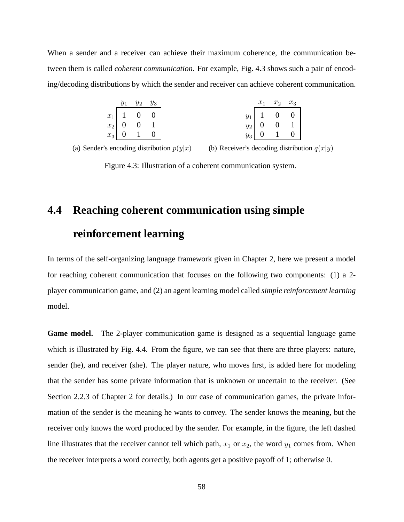When a sender and a receiver can achieve their maximum coherence, the communication between them is called *coherent communication.* For example, Fig. 4.3 shows such a pair of encoding/decoding distributions by which the sender and receiver can achieve coherent communication.

|  | $y_1$ $y_2$ $y_3$                                                                     |  | $x_1$ $x_2$ $x_3$                                                                                 |  |
|--|---------------------------------------------------------------------------------------|--|---------------------------------------------------------------------------------------------------|--|
|  | $\begin{array}{c cc} x_1 & 1 & 0 & 0 \ x_2 & 0 & 0 & 1 \ x_3 & 0 & 1 & 0 \end{array}$ |  | $\begin{bmatrix} y_1 \\ y_2 \end{bmatrix}$ $\begin{bmatrix} 1 & 0 & 0 \\ 0 & 0 & 1 \end{bmatrix}$ |  |
|  |                                                                                       |  |                                                                                                   |  |
|  |                                                                                       |  | $y_3$ 0 1 0                                                                                       |  |

(a) Sender's encoding distribution  $p(y|x)$ 

(b) Receiver's decoding distribution  $q(x|y)$ 

Figure 4.3: Illustration of a coherent communication system.

# **4.4 Reaching coherent communication using simple**

## **reinforcement learning**

In terms of the self-organizing language framework given in Chapter 2, here we present a model for reaching coherent communication that focuses on the following two components: (1) a 2 player communication game, and (2) an agent learning model called *simple reinforcement learning* model.

**Game model.** The 2-player communication game is designed as a sequential language game which is illustrated by Fig. 4.4. From the figure, we can see that there are three players: nature, sender (he), and receiver (she). The player nature, who moves first, is added here for modeling that the sender has some private information that is unknown or uncertain to the receiver. (See Section 2.2.3 of Chapter 2 for details.) In our case of communication games, the private information of the sender is the meaning he wants to convey. The sender knows the meaning, but the receiver only knows the word produced by the sender. For example, in the figure, the left dashed line illustrates that the receiver cannot tell which path,  $x_1$  or  $x_2$ , the word  $y_1$  comes from. When the receiver interprets a word correctly, both agents get a positive payoff of 1; otherwise 0.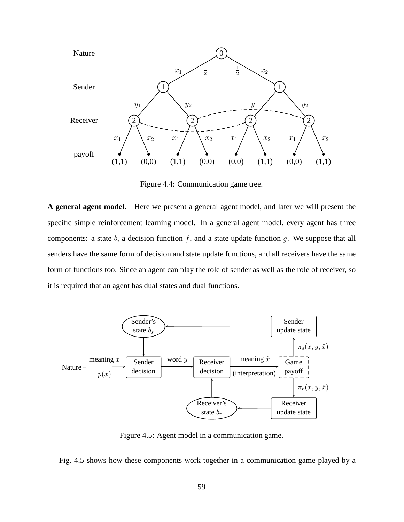

Figure 4.4: Communication game tree.

**A general agent model.** Here we present a general agent model, and later we will present the specific simple reinforcement learning model. In a general agent model, every agent has three components: a state b, a decision function f, and a state update function g. We suppose that all senders have the same form of decision and state update functions, and all receivers have the same form of functions too. Since an agent can play the role of sender as well as the role of receiver, so it is required that an agent has dual states and dual functions.



Figure 4.5: Agent model in a communication game.

Fig. 4.5 shows how these components work together in a communication game played by a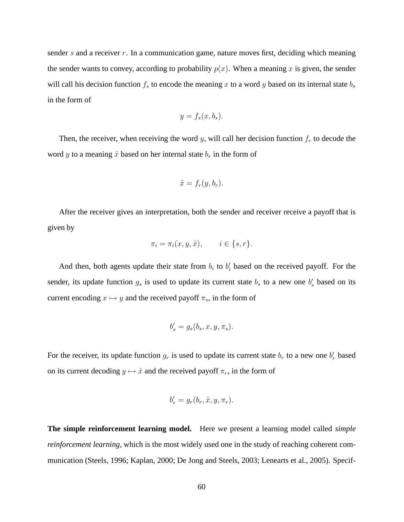sender s and a receiver r. In a communication game, nature moves first, deciding which meaning the sender wants to convey, according to probability  $p(x)$ . When a meaning x is given, the sender will call his decision function  $f_s$  to encode the meaning x to a word y based on its internal state  $b_s$ in the form of

$$
y = f_s(x, b_s).
$$

Then, the receiver, when receiving the word y, will call her decision function  $f_r$  to decode the word y to a meaning  $\hat{x}$  based on her internal state  $b_r$  in the form of

$$
\hat{x} = f_r(y, b_r).
$$

After the receiver gives an interpretation, both the sender and receiver receive a payoff that is given by

$$
\pi_i = \pi_i(x, y, \hat{x}), \qquad i \in \{s, r\}.
$$

And then, both agents update their state from  $b_i$  to  $b'_i$  based on the received payoff. For the sender, its update function  $g_s$  is used to update its current state  $b_s$  to a new one  $b'_s$  based on its current encoding  $x \mapsto y$  and the received payoff  $\pi_s$ , in the form of

$$
b'_{s} = g_{s}(b_{s}, x, y, \pi_{s}).
$$

For the receiver, its update function  $g_r$  is used to update its current state  $b_r$  to a new one  $b'_r$  based on its current decoding  $y \mapsto \hat{x}$  and the received payoff  $\pi_r$ , in the form of

$$
b'_r = g_r(b_r, \hat{x}, y, \pi_r).
$$

**The simple reinforcement learning model.** Here we present a learning model called *simple reinforcement learning*, which is the most widely used one in the study of reaching coherent communication (Steels, 1996; Kaplan, 2000; De Jong and Steels, 2003; Lenearts et al., 2005). Specif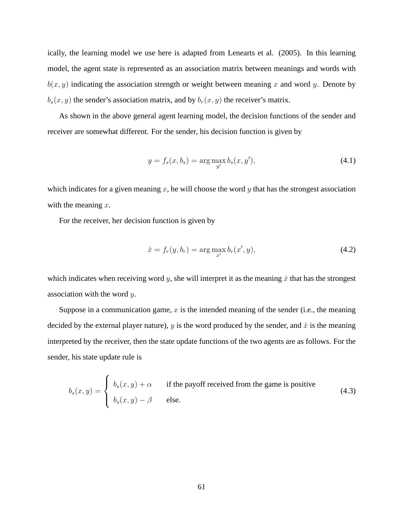ically, the learning model we use here is adapted from Lenearts et al. (2005). In this learning model, the agent state is represented as an association matrix between meanings and words with  $b(x, y)$  indicating the association strength or weight between meaning x and word y. Denote by  $b_s(x, y)$  the sender's association matrix, and by  $b_r(x, y)$  the receiver's matrix.

As shown in the above general agent learning model, the decision functions of the sender and receiver are somewhat different. For the sender, his decision function is given by

$$
y = f_s(x, b_s) = \arg\max_{y'} b_s(x, y'),
$$
\n(4.1)

which indicates for a given meaning  $x$ , he will choose the word  $y$  that has the strongest association with the meaning  $x$ .

For the receiver, her decision function is given by

$$
\hat{x} = f_r(y, b_r) = \arg \max_{x'} b_r(x', y), \tag{4.2}
$$

which indicates when receiving word y, she will interpret it as the meaning  $\hat{x}$  that has the strongest association with the word  $y$ .

Suppose in a communication game,  $x$  is the intended meaning of the sender (i.e., the meaning decided by the external player nature), y is the word produced by the sender, and  $\hat{x}$  is the meaning interpreted by the receiver, then the state update functions of the two agents are as follows. For the sender, his state update rule is

$$
b_s(x,y) = \begin{cases} b_s(x,y) + \alpha & \text{if the payoff received from the game is positive} \\ b_s(x,y) - \beta & \text{else.} \end{cases}
$$
(4.3)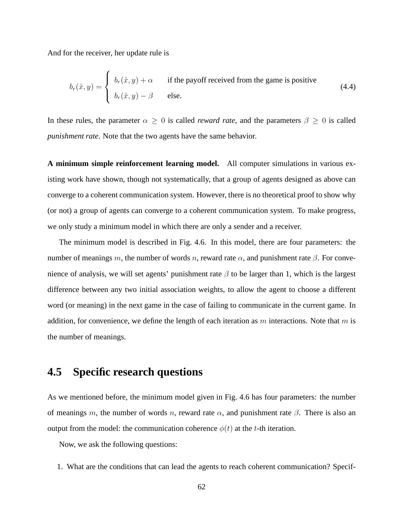And for the receiver, her update rule is

$$
b_r(\hat{x}, y) = \begin{cases} b_r(\hat{x}, y) + \alpha & \text{if the payoff received from the game is positive} \\ b_r(\hat{x}, y) - \beta & \text{else.} \end{cases}
$$
(4.4)

In these rules, the parameter  $\alpha \geq 0$  is called *reward rate*, and the parameters  $\beta \geq 0$  is called *punishment rate*. Note that the two agents have the same behavior.

**A minimum simple reinforcement learning model.** All computer simulations in various existing work have shown, though not systematically, that a group of agents designed as above can converge to a coherent communication system. However, there is no theoretical proof to show why (or not) a group of agents can converge to a coherent communication system. To make progress, we only study a minimum model in which there are only a sender and a receiver.

The minimum model is described in Fig. 4.6. In this model, there are four parameters: the number of meanings m, the number of words n, reward rate  $\alpha$ , and punishment rate  $\beta$ . For convenience of analysis, we will set agents' punishment rate  $\beta$  to be larger than 1, which is the largest difference between any two initial association weights, to allow the agent to choose a different word (or meaning) in the next game in the case of failing to communicate in the current game. In addition, for convenience, we define the length of each iteration as m interactions. Note that m is the number of meanings.

## **4.5 Specific research questions**

As we mentioned before, the minimum model given in Fig. 4.6 has four parameters: the number of meanings m, the number of words n, reward rate  $\alpha$ , and punishment rate  $\beta$ . There is also an output from the model: the communication coherence  $\phi(t)$  at the t-th iteration.

Now, we ask the following questions:

1. What are the conditions that can lead the agents to reach coherent communication? Specif-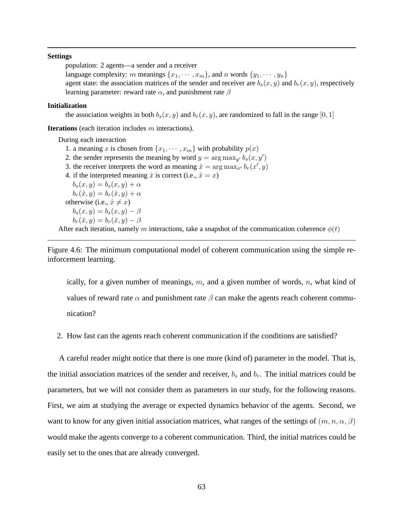#### **Settings**

population: 2 agents—a sender and a receiver

language complexity: m meanings  $\{x_1, \dots, x_m\}$ , and n words  $\{y_1, \dots, y_n\}$ agent state: the association matrices of the sender and receiver are  $b_s(x, y)$  and  $b_r(x, y)$ , respectively learning parameter: reward rate  $\alpha$ , and punishment rate  $\beta$ 

#### **Initialization**

the association weights in both  $b_s(x, y)$  and  $b_r(x, y)$ , are randomized to fall in the range [0, 1]

**Iterations** (each iteration includes m interactions).

During each interaction

1. a meaning x is chosen from  $\{x_1, \dots, x_m\}$  with probability  $p(x)$ 

- 2. the sender represents the meaning by word  $y = \arg \max_{y'} b_s(x, y')$
- 3. the receiver interprets the word as meaning  $\hat{x} = \arg \max_{x'} b_r(x', y)$
- 4. if the interpreted meaning  $\hat{x}$  is correct (i.e.,  $\hat{x} = x$ )

 $b_s(x, y) = b_s(x, y) + \alpha$  $b_r(\hat{x}, y) = b_r(\hat{x}, y) + \alpha$ otherwise (i.e.,  $\hat{x} \neq x$ )  $b_s(x, y) = b_s(x, y) - \beta$  $b_r(\hat{x}, y) = b_r(\hat{x}, y) - \beta$ After each iteration, namely m interactions, take a snapshot of the communication coherence  $\phi(t)$ 

Figure 4.6: The minimum computational model of coherent communication using the simple reinforcement learning.

ically, for a given number of meanings,  $m$ , and a given number of words,  $n$ , what kind of values of reward rate  $\alpha$  and punishment rate  $\beta$  can make the agents reach coherent communication?

2. How fast can the agents reach coherent communication if the conditions are satisfied?

A careful reader might notice that there is one more (kind of) parameter in the model. That is, the initial association matrices of the sender and receiver,  $b_s$  and  $b_r$ . The initial matrices could be parameters, but we will not consider them as parameters in our study, for the following reasons. First, we aim at studying the average or expected dynamics behavior of the agents. Second, we want to know for any given initial association matrices, what ranges of the settings of  $(m, n, \alpha, \beta)$ would make the agents converge to a coherent communication. Third, the initial matrices could be easily set to the ones that are already converged.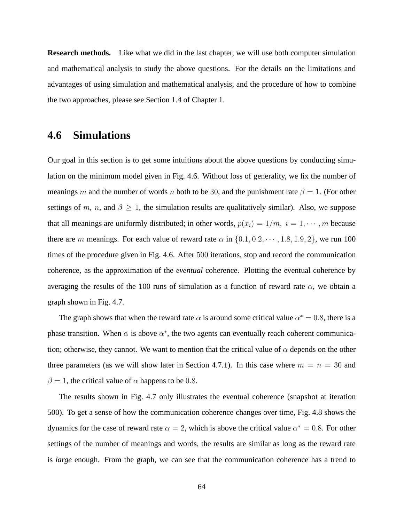**Research methods.** Like what we did in the last chapter, we will use both computer simulation and mathematical analysis to study the above questions. For the details on the limitations and advantages of using simulation and mathematical analysis, and the procedure of how to combine the two approaches, please see Section 1.4 of Chapter 1.

#### **4.6 Simulations**

Our goal in this section is to get some intuitions about the above questions by conducting simulation on the minimum model given in Fig. 4.6. Without loss of generality, we fix the number of meanings m and the number of words n both to be 30, and the punishment rate  $\beta = 1$ . (For other settings of m, n, and  $\beta \geq 1$ , the simulation results are qualitatively similar). Also, we suppose that all meanings are uniformly distributed; in other words,  $p(x_i) = 1/m$ ,  $i = 1, \dots, m$  because there are m meanings. For each value of reward rate  $\alpha$  in  $\{0.1, 0.2, \dots, 1.8, 1.9, 2\}$ , we run 100 times of the procedure given in Fig. 4.6. After 500 iterations, stop and record the communication coherence, as the approximation of the *eventual* coherence. Plotting the eventual coherence by averaging the results of the 100 runs of simulation as a function of reward rate  $\alpha$ , we obtain a graph shown in Fig. 4.7.

The graph shows that when the reward rate  $\alpha$  is around some critical value  $\alpha^* = 0.8$ , there is a phase transition. When  $\alpha$  is above  $\alpha^*$ , the two agents can eventually reach coherent communication; otherwise, they cannot. We want to mention that the critical value of  $\alpha$  depends on the other three parameters (as we will show later in Section 4.7.1). In this case where  $m = n = 30$  and  $\beta = 1$ , the critical value of  $\alpha$  happens to be 0.8.

The results shown in Fig. 4.7 only illustrates the eventual coherence (snapshot at iteration 500). To get a sense of how the communication coherence changes over time, Fig. 4.8 shows the dynamics for the case of reward rate  $\alpha = 2$ , which is above the critical value  $\alpha^* = 0.8$ . For other settings of the number of meanings and words, the results are similar as long as the reward rate is *large* enough. From the graph, we can see that the communication coherence has a trend to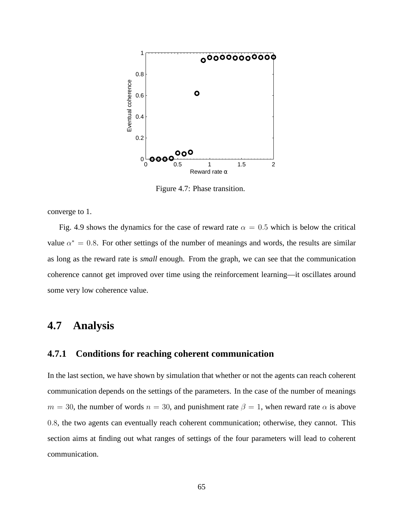

Figure 4.7: Phase transition.

converge to 1.

Fig. 4.9 shows the dynamics for the case of reward rate  $\alpha = 0.5$  which is below the critical value  $\alpha^* = 0.8$ . For other settings of the number of meanings and words, the results are similar as long as the reward rate is *small* enough. From the graph, we can see that the communication coherence cannot get improved over time using the reinforcement learning—it oscillates around some very low coherence value.

## **4.7 Analysis**

#### **4.7.1 Conditions for reaching coherent communication**

In the last section, we have shown by simulation that whether or not the agents can reach coherent communication depends on the settings of the parameters. In the case of the number of meanings  $m = 30$ , the number of words  $n = 30$ , and punishment rate  $\beta = 1$ , when reward rate  $\alpha$  is above 0.8, the two agents can eventually reach coherent communication; otherwise, they cannot. This section aims at finding out what ranges of settings of the four parameters will lead to coherent communication.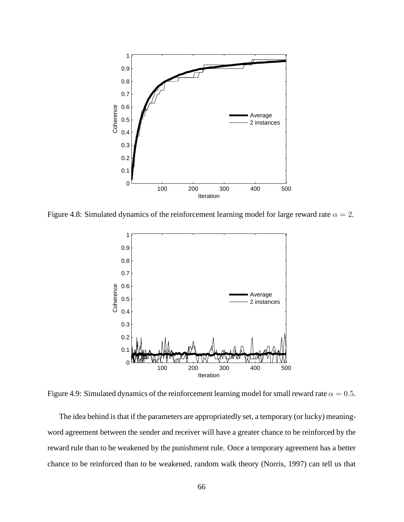

Figure 4.8: Simulated dynamics of the reinforcement learning model for large reward rate  $\alpha = 2$ .



Figure 4.9: Simulated dynamics of the reinforcement learning model for small reward rate  $\alpha = 0.5$ .

The idea behind is that if the parameters are appropriatedly set, a temporary (or lucky) meaningword agreement between the sender and receiver will have a greater chance to be reinforced by the reward rule than to be weakened by the punishment rule. Once a temporary agreement has a better chance to be reinforced than to be weakened, random walk theory (Norris, 1997) can tell us that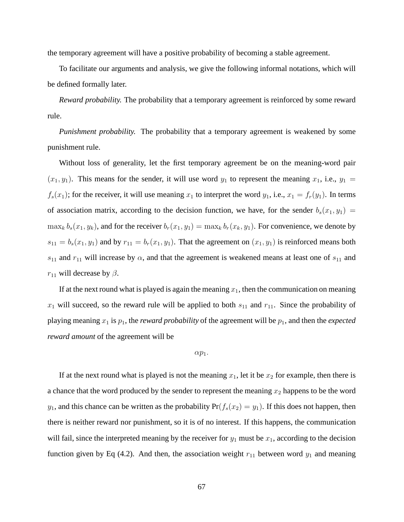the temporary agreement will have a positive probability of becoming a stable agreement.

To facilitate our arguments and analysis, we give the following informal notations, which will be defined formally later.

*Reward probability.* The probability that a temporary agreement is reinforced by some reward rule.

*Punishment probability.* The probability that a temporary agreement is weakened by some punishment rule.

Without loss of generality, let the first temporary agreement be on the meaning-word pair  $(x_1, y_1)$ . This means for the sender, it will use word  $y_1$  to represent the meaning  $x_1$ , i.e.,  $y_1 =$  $f_s(x_1)$ ; for the receiver, it will use meaning  $x_1$  to interpret the word  $y_1$ , i.e.,  $x_1 = f_r(y_1)$ . In terms of association matrix, according to the decision function, we have, for the sender  $b_s(x_1, y_1)$  =  $\max_k b_s(x_1, y_k)$ , and for the receiver  $b_r(x_1, y_1) = \max_k b_r(x_k, y_1)$ . For convenience, we denote by  $s_{11} = b_s(x_1, y_1)$  and by  $r_{11} = b_r(x_1, y_1)$ . That the agreement on  $(x_1, y_1)$  is reinforced means both  $s_{11}$  and  $r_{11}$  will increase by  $\alpha$ , and that the agreement is weakened means at least one of  $s_{11}$  and  $r_{11}$  will decrease by  $\beta$ .

If at the next round what is played is again the meaning  $x_1$ , then the communication on meaning  $x_1$  will succeed, so the reward rule will be applied to both  $s_{11}$  and  $r_{11}$ . Since the probability of playing meaning  $x_1$  is  $p_1$ , the *reward probability* of the agreement will be  $p_1$ , and then the *expected reward amount* of the agreement will be

$$
\alpha p_1.
$$

If at the next round what is played is not the meaning  $x_1$ , let it be  $x_2$  for example, then there is a chance that the word produced by the sender to represent the meaning  $x_2$  happens to be the word  $y_1$ , and this chance can be written as the probability  $Pr(f_s(x_2) = y_1)$ . If this does not happen, then there is neither reward nor punishment, so it is of no interest. If this happens, the communication will fail, since the interpreted meaning by the receiver for  $y_1$  must be  $x_1$ , according to the decision function given by Eq (4.2). And then, the association weight  $r_{11}$  between word  $y_1$  and meaning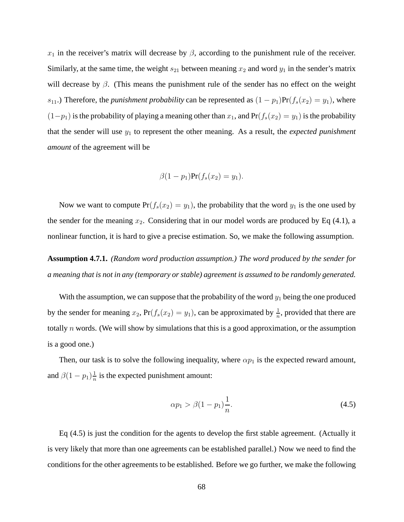$x_1$  in the receiver's matrix will decrease by  $\beta$ , according to the punishment rule of the receiver. Similarly, at the same time, the weight  $s_{21}$  between meaning  $x_2$  and word  $y_1$  in the sender's matrix will decrease by  $\beta$ . (This means the punishment rule of the sender has no effect on the weight s<sub>11</sub>.) Therefore, the *punishment probability* can be represented as  $(1 - p_1)Pr(f_s(x_2) = y_1)$ , where  $(1-p_1)$  is the probability of playing a meaning other than  $x_1$ , and Pr $(f_s(x_2) = y_1)$  is the probability that the sender will use  $y_1$  to represent the other meaning. As a result, the *expected punishment amount* of the agreement will be

$$
\beta(1-p_1)\Pr(f_s(x_2)=y_1).
$$

Now we want to compute  $Pr(f_s(x_2) = y_1)$ , the probability that the word  $y_1$  is the one used by the sender for the meaning  $x_2$ . Considering that in our model words are produced by Eq (4.1), a nonlinear function, it is hard to give a precise estimation. So, we make the following assumption.

**Assumption 4.7.1.** *(Random word production assumption.) The word produced by the sender for a meaning that is not in any (temporary or stable) agreement is assumed to be randomly generated.*

With the assumption, we can suppose that the probability of the word  $y_1$  being the one produced by the sender for meaning  $x_2$ ,  $Pr(f_s(x_2) = y_1)$ , can be approximated by  $\frac{1}{n}$ , provided that there are totally  $n$  words. (We will show by simulations that this is a good approximation, or the assumption is a good one.)

Then, our task is to solve the following inequality, where  $\alpha p_1$  is the expected reward amount, and  $\beta(1-p_1)\frac{1}{n}$  $\frac{1}{n}$  is the expected punishment amount:

$$
\alpha p_1 > \beta (1 - p_1) \frac{1}{n}.
$$
\n(4.5)

Eq (4.5) is just the condition for the agents to develop the first stable agreement. (Actually it is very likely that more than one agreements can be established parallel.) Now we need to find the conditions for the other agreements to be established. Before we go further, we make the following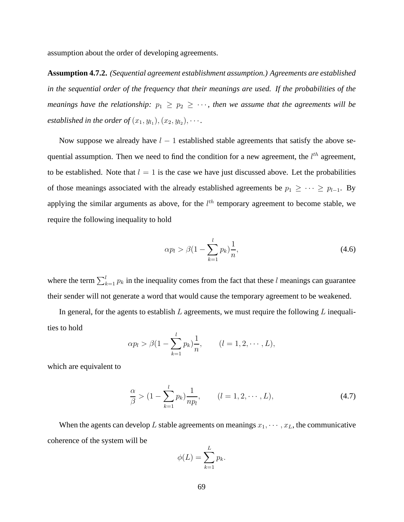assumption about the order of developing agreements.

**Assumption 4.7.2.** *(Sequential agreement establishment assumption.) Agreements are established in the sequential order of the frequency that their meanings are used. If the probabilities of the meanings have the relationship:*  $p_1 \geq p_2 \geq \cdots$ , then we assume that the agreements will be *established in the order of*  $(x_1, y_{l_1}), (x_2, y_{l_2}), \cdots$ .

Now suppose we already have  $l - 1$  established stable agreements that satisfy the above sequential assumption. Then we need to find the condition for a new agreement, the  $l^{th}$  agreement, to be established. Note that  $l = 1$  is the case we have just discussed above. Let the probabilities of those meanings associated with the already established agreements be  $p_1 \geq \cdots \geq p_{l-1}$ . By applying the similar arguments as above, for the  $l^{th}$  temporary agreement to become stable, we require the following inequality to hold

$$
\alpha p_l > \beta (1 - \sum_{k=1}^l p_k) \frac{1}{n},\tag{4.6}
$$

where the term  $\sum_{k=1}^{l} p_k$  in the inequality comes from the fact that these l meanings can guarantee their sender will not generate a word that would cause the temporary agreement to be weakened.

In general, for the agents to establish  $L$  agreements, we must require the following  $L$  inequalities to hold

$$
\alpha p_l > \beta (1 - \sum_{k=1}^l p_k) \frac{1}{n},
$$
  $(l = 1, 2, \cdots, L),$ 

which are equivalent to

$$
\frac{\alpha}{\beta} > (1 - \sum_{k=1}^{l} p_k) \frac{1}{np_l}, \qquad (l = 1, 2, \cdots, L), \tag{4.7}
$$

When the agents can develop L stable agreements on meanings  $x_1, \dots, x_L$ , the communicative coherence of the system will be

$$
\phi(L) = \sum_{k=1}^{L} p_k.
$$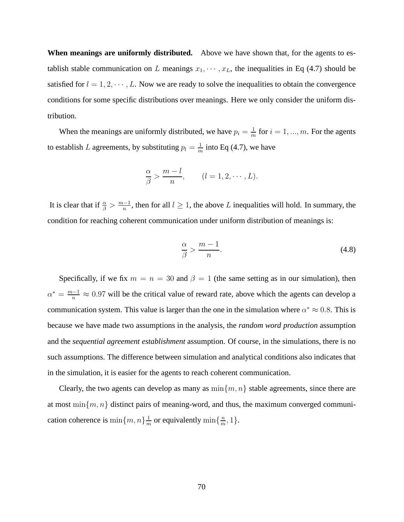**When meanings are uniformly distributed.** Above we have shown that, for the agents to establish stable communication on L meanings  $x_1, \dots, x_L$ , the inequalities in Eq (4.7) should be satisfied for  $l = 1, 2, \dots, L$ . Now we are ready to solve the inequalities to obtain the convergence conditions for some specific distributions over meanings. Here we only consider the uniform distribution.

When the meanings are uniformly distributed, we have  $p_i = \frac{1}{n}$  $\frac{1}{m}$  for  $i = 1, ..., m$ . For the agents to establish L agreements, by substituting  $p_l = \frac{1}{m_l}$  $\frac{1}{m}$  into Eq (4.7), we have

$$
\frac{\alpha}{\beta} > \frac{m-l}{n}, \qquad (l = 1, 2, \cdots, L).
$$

It is clear that if  $\frac{\alpha}{\beta} > \frac{m-1}{n}$ , then for all  $l \ge 1$ , the above L inequalities will hold. In summary, the condition for reaching coherent communication under uniform distribution of meanings is:

$$
\frac{\alpha}{\beta} > \frac{m-1}{n}.\tag{4.8}
$$

Specifically, if we fix  $m = n = 30$  and  $\beta = 1$  (the same setting as in our simulation), then  $\alpha^* = \frac{m-1}{n} \approx 0.97$  will be the critical value of reward rate, above which the agents can develop a communication system. This value is larger than the one in the simulation where  $\alpha^* \approx 0.8$ . This is because we have made two assumptions in the analysis, the *random word production* assumption and the *sequential agreement establishment* assumption. Of course, in the simulations, there is no such assumptions. The difference between simulation and analytical conditions also indicates that in the simulation, it is easier for the agents to reach coherent communication.

Clearly, the two agents can develop as many as  $\min\{m, n\}$  stable agreements, since there are at most  $\min\{m, n\}$  distinct pairs of meaning-word, and thus, the maximum converged communication coherence is  $\min\{m, n\}$  $\frac{1}{n}$  $\frac{1}{m}$  or equivalently  $\min\{\frac{n}{m}\}$  $\frac{n}{m}, 1\}.$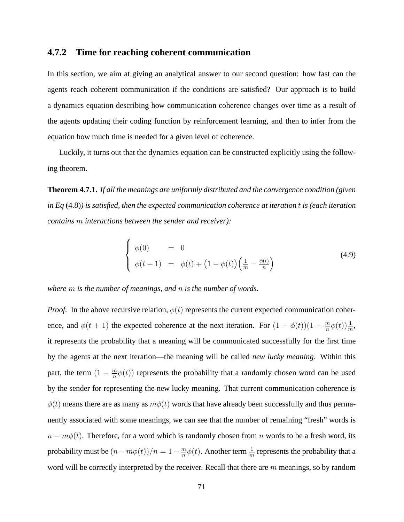#### **4.7.2 Time for reaching coherent communication**

In this section, we aim at giving an analytical answer to our second question: how fast can the agents reach coherent communication if the conditions are satisfied? Our approach is to build a dynamics equation describing how communication coherence changes over time as a result of the agents updating their coding function by reinforcement learning, and then to infer from the equation how much time is needed for a given level of coherence.

Luckily, it turns out that the dynamics equation can be constructed explicitly using the following theorem.

**Theorem 4.7.1.** *If all the meanings are uniformly distributed and the convergence condition (given in Eq* (4.8)*) is satisfied, then the expected communication coherence at iteration* t *is (each iteration contains* m *interactions between the sender and receiver):*

$$
\begin{cases}\n\phi(0) = 0 \\
\phi(t+1) = \phi(t) + (1 - \phi(t))\left(\frac{1}{m} - \frac{\phi(t)}{n}\right)\n\end{cases}
$$
\n(4.9)

*where* m *is the number of meanings, and* n *is the number of words.*

*Proof.* In the above recursive relation,  $\phi(t)$  represents the current expected communication coherence, and  $\phi(t+1)$  the expected coherence at the next iteration. For  $(1 - \phi(t))(1 - \frac{m}{n})$  $\frac{m}{n}\phi(t))\frac{1}{m},$ it represents the probability that a meaning will be communicated successfully for the first time by the agents at the next iteration—the meaning will be called *new lucky meaning*. Within this part, the term  $\left(1 - \frac{m}{n}\right)$  $\frac{m}{n}\phi(t)$ ) represents the probability that a randomly chosen word can be used by the sender for representing the new lucky meaning. That current communication coherence is  $\phi(t)$  means there are as many as  $m\phi(t)$  words that have already been successfully and thus permanently associated with some meanings, we can see that the number of remaining "fresh" words is  $n - m\phi(t)$ . Therefore, for a word which is randomly chosen from n words to be a fresh word, its probability must be  $(n - m\phi(t))/n = 1 - \frac{m}{n}$  $\frac{m}{n}\phi(t)$ . Another term  $\frac{1}{m}$  represents the probability that a word will be correctly interpreted by the receiver. Recall that there are  $m$  meanings, so by random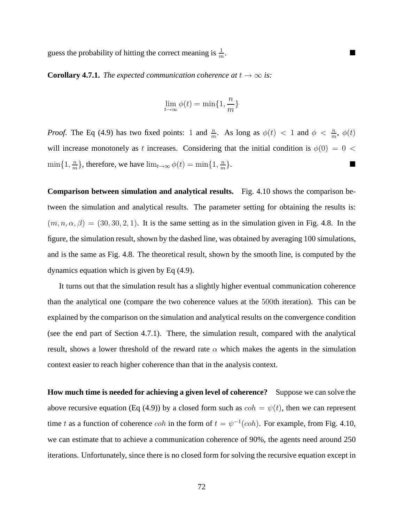guess the probability of hitting the correct meaning is  $\frac{1}{m}$ .

**Corollary 4.7.1.** *The expected communication coherence at*  $t \to \infty$  *is:* 

$$
\lim_{t \to \infty} \phi(t) = \min\{1, \frac{n}{m}\}\
$$

*Proof.* The Eq (4.9) has two fixed points: 1 and  $\frac{n}{m}$ . As long as  $\phi(t) < 1$  and  $\phi < \frac{n}{m}$ ,  $\phi(t)$ will increase monotonely as t increases. Considering that the initial condition is  $\phi(0) = 0$  $\min\{1,\frac{n}{m}\}$  $\{\frac{m}{m}\}\$ , therefore, we have  $\lim_{t\to\infty}\phi(t) = \min\{1, \frac{m}{m}\}\$ m }.

**Comparison between simulation and analytical results.** Fig. 4.10 shows the comparison between the simulation and analytical results. The parameter setting for obtaining the results is:  $(m, n, \alpha, \beta) = (30, 30, 2, 1)$ . It is the same setting as in the simulation given in Fig. 4.8. In the figure, the simulation result, shown by the dashed line, was obtained by averaging 100 simulations, and is the same as Fig. 4.8. The theoretical result, shown by the smooth line, is computed by the dynamics equation which is given by Eq (4.9).

It turns out that the simulation result has a slightly higher eventual communication coherence than the analytical one (compare the two coherence values at the 500th iteration). This can be explained by the comparison on the simulation and analytical results on the convergence condition (see the end part of Section 4.7.1). There, the simulation result, compared with the analytical result, shows a lower threshold of the reward rate  $\alpha$  which makes the agents in the simulation context easier to reach higher coherence than that in the analysis context.

**How much time is needed for achieving a given level of coherence?** Suppose we can solve the above recursive equation (Eq (4.9)) by a closed form such as  $\cosh = \psi(t)$ , then we can represent time t as a function of coherence coh in the form of  $t = \psi^{-1}(coh)$ . For example, from Fig. 4.10, we can estimate that to achieve a communication coherence of 90%, the agents need around 250 iterations. Unfortunately, since there is no closed form for solving the recursive equation except in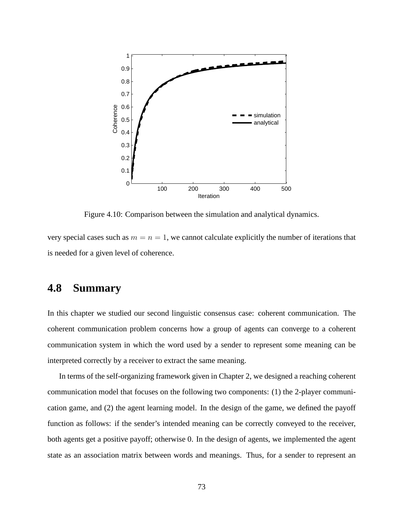

Figure 4.10: Comparison between the simulation and analytical dynamics.

very special cases such as  $m = n = 1$ , we cannot calculate explicitly the number of iterations that is needed for a given level of coherence.

#### **4.8 Summary**

In this chapter we studied our second linguistic consensus case: coherent communication. The coherent communication problem concerns how a group of agents can converge to a coherent communication system in which the word used by a sender to represent some meaning can be interpreted correctly by a receiver to extract the same meaning.

In terms of the self-organizing framework given in Chapter 2, we designed a reaching coherent communication model that focuses on the following two components: (1) the 2-player communication game, and (2) the agent learning model. In the design of the game, we defined the payoff function as follows: if the sender's intended meaning can be correctly conveyed to the receiver, both agents get a positive payoff; otherwise 0. In the design of agents, we implemented the agent state as an association matrix between words and meanings. Thus, for a sender to represent an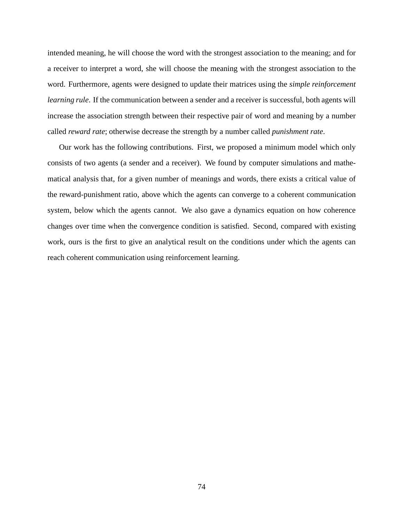intended meaning, he will choose the word with the strongest association to the meaning; and for a receiver to interpret a word, she will choose the meaning with the strongest association to the word. Furthermore, agents were designed to update their matrices using the *simple reinforcement learning rule*. If the communication between a sender and a receiver is successful, both agents will increase the association strength between their respective pair of word and meaning by a number called *reward rate*; otherwise decrease the strength by a number called *punishment rate*.

Our work has the following contributions. First, we proposed a minimum model which only consists of two agents (a sender and a receiver). We found by computer simulations and mathematical analysis that, for a given number of meanings and words, there exists a critical value of the reward-punishment ratio, above which the agents can converge to a coherent communication system, below which the agents cannot. We also gave a dynamics equation on how coherence changes over time when the convergence condition is satisfied. Second, compared with existing work, ours is the first to give an analytical result on the conditions under which the agents can reach coherent communication using reinforcement learning.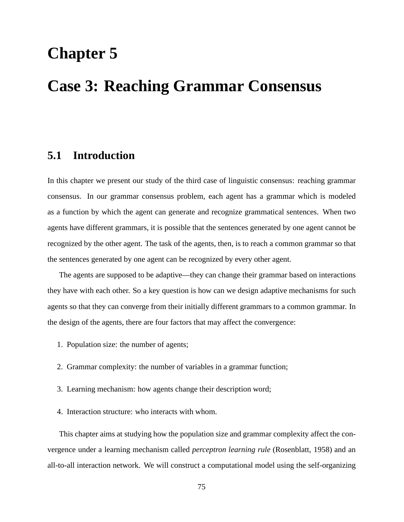## **Chapter 5**

# **Case 3: Reaching Grammar Consensus**

#### **5.1 Introduction**

In this chapter we present our study of the third case of linguistic consensus: reaching grammar consensus. In our grammar consensus problem, each agent has a grammar which is modeled as a function by which the agent can generate and recognize grammatical sentences. When two agents have different grammars, it is possible that the sentences generated by one agent cannot be recognized by the other agent. The task of the agents, then, is to reach a common grammar so that the sentences generated by one agent can be recognized by every other agent.

The agents are supposed to be adaptive—they can change their grammar based on interactions they have with each other. So a key question is how can we design adaptive mechanisms for such agents so that they can converge from their initially different grammars to a common grammar. In the design of the agents, there are four factors that may affect the convergence:

- 1. Population size: the number of agents;
- 2. Grammar complexity: the number of variables in a grammar function;
- 3. Learning mechanism: how agents change their description word;
- 4. Interaction structure: who interacts with whom.

This chapter aims at studying how the population size and grammar complexity affect the convergence under a learning mechanism called *perceptron learning rule* (Rosenblatt, 1958) and an all-to-all interaction network. We will construct a computational model using the self-organizing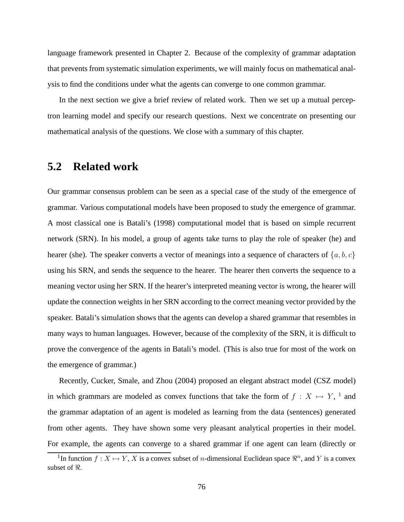language framework presented in Chapter 2. Because of the complexity of grammar adaptation that prevents from systematic simulation experiments, we will mainly focus on mathematical analysis to find the conditions under what the agents can converge to one common grammar.

In the next section we give a brief review of related work. Then we set up a mutual perceptron learning model and specify our research questions. Next we concentrate on presenting our mathematical analysis of the questions. We close with a summary of this chapter.

#### **5.2 Related work**

Our grammar consensus problem can be seen as a special case of the study of the emergence of grammar. Various computational models have been proposed to study the emergence of grammar. A most classical one is Batali's (1998) computational model that is based on simple recurrent network (SRN). In his model, a group of agents take turns to play the role of speaker (he) and hearer (she). The speaker converts a vector of meanings into a sequence of characters of  $\{a, b, c\}$ using his SRN, and sends the sequence to the hearer. The hearer then converts the sequence to a meaning vector using her SRN. If the hearer's interpreted meaning vector is wrong, the hearer will update the connection weights in her SRN according to the correct meaning vector provided by the speaker. Batali's simulation shows that the agents can develop a shared grammar that resembles in many ways to human languages. However, because of the complexity of the SRN, it is difficult to prove the convergence of the agents in Batali's model. (This is also true for most of the work on the emergence of grammar.)

Recently, Cucker, Smale, and Zhou (2004) proposed an elegant abstract model (CSZ model) in which grammars are modeled as convex functions that take the form of  $f: X \mapsto Y$ , <sup>1</sup> and the grammar adaptation of an agent is modeled as learning from the data (sentences) generated from other agents. They have shown some very pleasant analytical properties in their model. For example, the agents can converge to a shared grammar if one agent can learn (directly or

<sup>&</sup>lt;sup>1</sup>In function  $f: X \mapsto Y$ , X is a convex subset of *n*-dimensional Euclidean space  $\mathbb{R}^n$ , and Y is a convex subset of R.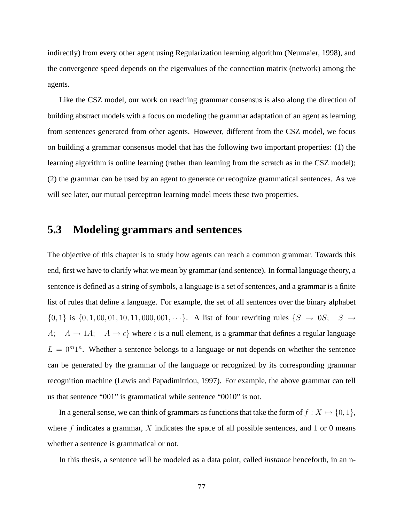indirectly) from every other agent using Regularization learning algorithm (Neumaier, 1998), and the convergence speed depends on the eigenvalues of the connection matrix (network) among the agents.

Like the CSZ model, our work on reaching grammar consensus is also along the direction of building abstract models with a focus on modeling the grammar adaptation of an agent as learning from sentences generated from other agents. However, different from the CSZ model, we focus on building a grammar consensus model that has the following two important properties: (1) the learning algorithm is online learning (rather than learning from the scratch as in the CSZ model); (2) the grammar can be used by an agent to generate or recognize grammatical sentences. As we will see later, our mutual perceptron learning model meets these two properties.

#### **5.3 Modeling grammars and sentences**

The objective of this chapter is to study how agents can reach a common grammar. Towards this end, first we have to clarify what we mean by grammar (and sentence). In formal language theory, a sentence is defined as a string of symbols, a language is a set of sentences, and a grammar is a finite list of rules that define a language. For example, the set of all sentences over the binary alphabet  ${0, 1}$  is  ${0, 1, 00, 01, 10, 11, 000, 001, \cdots}$ . A list of four rewriting rules  ${S \rightarrow 0S; S \rightarrow}$ A;  $A \rightarrow 1A$ ;  $A \rightarrow \epsilon$ } where  $\epsilon$  is a null element, is a grammar that defines a regular language  $L = 0<sup>m</sup>1<sup>n</sup>$ . Whether a sentence belongs to a language or not depends on whether the sentence can be generated by the grammar of the language or recognized by its corresponding grammar recognition machine (Lewis and Papadimitriou, 1997). For example, the above grammar can tell us that sentence "001" is grammatical while sentence "0010" is not.

In a general sense, we can think of grammars as functions that take the form of  $f : X \mapsto \{0, 1\}$ , where f indicates a grammar,  $X$  indicates the space of all possible sentences, and 1 or 0 means whether a sentence is grammatical or not.

In this thesis, a sentence will be modeled as a data point, called *instance* henceforth, in an n-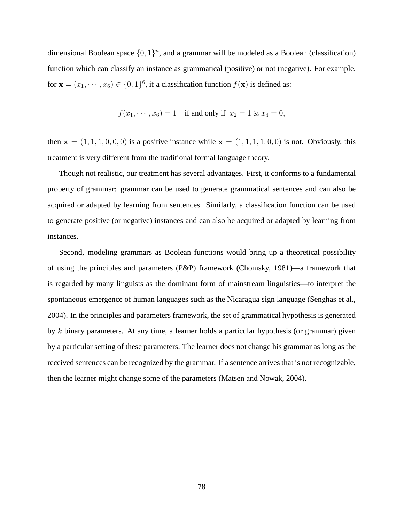dimensional Boolean space  $\{0, 1\}^n$ , and a grammar will be modeled as a Boolean (classification) function which can classify an instance as grammatical (positive) or not (negative). For example, for  $\mathbf{x} = (x_1, \dots, x_6) \in \{0, 1\}^6$ , if a classification function  $f(\mathbf{x})$  is defined as:

$$
f(x_1, \dots, x_6) = 1
$$
 if and only if  $x_2 = 1$  &  $x_4 = 0$ ,

then  $\mathbf{x} = (1, 1, 1, 0, 0, 0)$  is a positive instance while  $\mathbf{x} = (1, 1, 1, 1, 0, 0)$  is not. Obviously, this treatment is very different from the traditional formal language theory.

Though not realistic, our treatment has several advantages. First, it conforms to a fundamental property of grammar: grammar can be used to generate grammatical sentences and can also be acquired or adapted by learning from sentences. Similarly, a classification function can be used to generate positive (or negative) instances and can also be acquired or adapted by learning from instances.

Second, modeling grammars as Boolean functions would bring up a theoretical possibility of using the principles and parameters (P&P) framework (Chomsky, 1981)—a framework that is regarded by many linguists as the dominant form of mainstream linguistics—to interpret the spontaneous emergence of human languages such as the Nicaragua sign language (Senghas et al., 2004). In the principles and parameters framework, the set of grammatical hypothesis is generated by k binary parameters. At any time, a learner holds a particular hypothesis (or grammar) given by a particular setting of these parameters. The learner does not change his grammar as long as the received sentences can be recognized by the grammar. If a sentence arrives that is not recognizable, then the learner might change some of the parameters (Matsen and Nowak, 2004).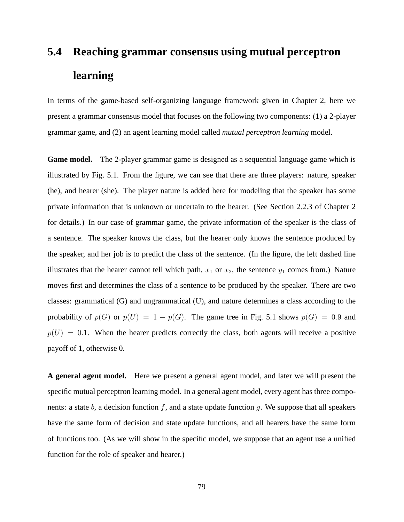# **5.4 Reaching grammar consensus using mutual perceptron learning**

In terms of the game-based self-organizing language framework given in Chapter 2, here we present a grammar consensus model that focuses on the following two components: (1) a 2-player grammar game, and (2) an agent learning model called *mutual perceptron learning* model.

**Game model.** The 2-player grammar game is designed as a sequential language game which is illustrated by Fig. 5.1. From the figure, we can see that there are three players: nature, speaker (he), and hearer (she). The player nature is added here for modeling that the speaker has some private information that is unknown or uncertain to the hearer. (See Section 2.2.3 of Chapter 2 for details.) In our case of grammar game, the private information of the speaker is the class of a sentence. The speaker knows the class, but the hearer only knows the sentence produced by the speaker, and her job is to predict the class of the sentence. (In the figure, the left dashed line illustrates that the hearer cannot tell which path,  $x_1$  or  $x_2$ , the sentence  $y_1$  comes from.) Nature moves first and determines the class of a sentence to be produced by the speaker. There are two classes: grammatical (G) and ungrammatical (U), and nature determines a class according to the probability of  $p(G)$  or  $p(U) = 1 - p(G)$ . The game tree in Fig. 5.1 shows  $p(G) = 0.9$  and  $p(U) = 0.1$ . When the hearer predicts correctly the class, both agents will receive a positive payoff of 1, otherwise 0.

**A general agent model.** Here we present a general agent model, and later we will present the specific mutual perceptron learning model. In a general agent model, every agent has three components: a state  $b$ , a decision function  $f$ , and a state update function  $g$ . We suppose that all speakers have the same form of decision and state update functions, and all hearers have the same form of functions too. (As we will show in the specific model, we suppose that an agent use a unified function for the role of speaker and hearer.)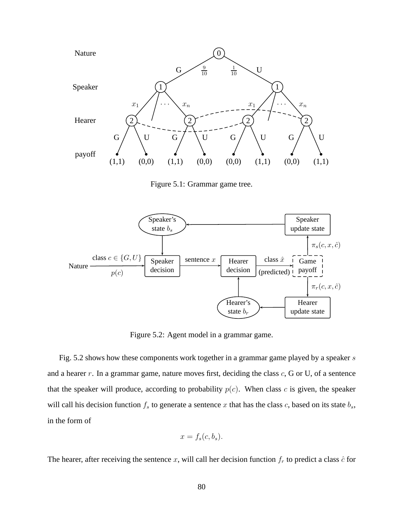

Figure 5.1: Grammar game tree.



Figure 5.2: Agent model in a grammar game.

Fig. 5.2 shows how these components work together in a grammar game played by a speaker s and a hearer  $r$ . In a grammar game, nature moves first, deciding the class  $c$ , G or U, of a sentence that the speaker will produce, according to probability  $p(c)$ . When class c is given, the speaker will call his decision function  $f_s$  to generate a sentence x that has the class c, based on its state  $b_s$ , in the form of

$$
x = f_s(c, b_s).
$$

The hearer, after receiving the sentence x, will call her decision function  $f_r$  to predict a class  $\hat{c}$  for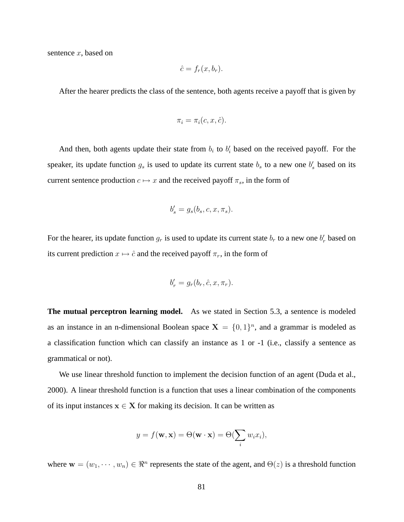sentence  $x$ , based on

$$
\hat{c} = f_r(x, b_r).
$$

After the hearer predicts the class of the sentence, both agents receive a payoff that is given by

$$
\pi_i = \pi_i(c, x, \hat{c}).
$$

And then, both agents update their state from  $b_i$  to  $b'_i$  based on the received payoff. For the speaker, its update function  $g_s$  is used to update its current state  $b_s$  to a new one  $b'_s$  based on its current sentence production  $c \mapsto x$  and the received payoff  $\pi_s$ , in the form of

$$
b'_{s} = g_{s}(b_{s}, c, x, \pi_{s}).
$$

For the hearer, its update function  $g_r$  is used to update its current state  $b_r$  to a new one  $b'_r$  based on its current prediction  $x \mapsto \hat{c}$  and the received payoff  $\pi_r$ , in the form of

$$
b'_r = g_r(b_r, \hat{c}, x, \pi_r).
$$

**The mutual perceptron learning model.** As we stated in Section 5.3, a sentence is modeled as an instance in an n-dimensional Boolean space  $X = \{0, 1\}^n$ , and a grammar is modeled as a classification function which can classify an instance as 1 or -1 (i.e., classify a sentence as grammatical or not).

We use linear threshold function to implement the decision function of an agent (Duda et al., 2000). A linear threshold function is a function that uses a linear combination of the components of its input instances  $x \in X$  for making its decision. It can be written as

$$
y = f(\mathbf{w}, \mathbf{x}) = \Theta(\mathbf{w} \cdot \mathbf{x}) = \Theta(\sum_{i} w_i x_i),
$$

where  $\mathbf{w} = (w_1, \dots, w_n) \in \Re^n$  represents the state of the agent, and  $\Theta(z)$  is a threshold function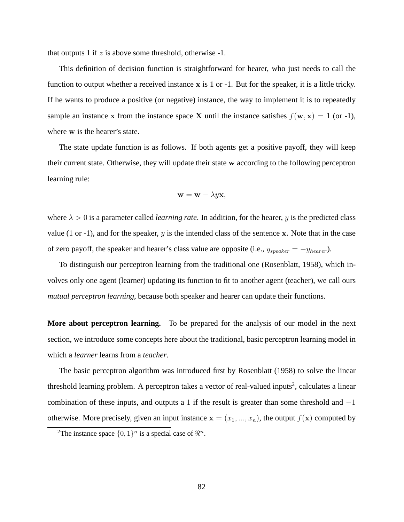that outputs 1 if  $z$  is above some threshold, otherwise -1.

This definition of decision function is straightforward for hearer, who just needs to call the function to output whether a received instance  $x$  is 1 or -1. But for the speaker, it is a little tricky. If he wants to produce a positive (or negative) instance, the way to implement it is to repeatedly sample an instance x from the instance space X until the instance satisfies  $f(\mathbf{w}, \mathbf{x}) = 1$  (or -1), where w is the hearer's state.

The state update function is as follows. If both agents get a positive payoff, they will keep their current state. Otherwise, they will update their state w according to the following perceptron learning rule:

$$
\mathbf{w} = \mathbf{w} - \lambda y \mathbf{x},
$$

where  $\lambda > 0$  is a parameter called *learning rate*. In addition, for the hearer, y is the predicted class value (1 or -1), and for the speaker,  $y$  is the intended class of the sentence x. Note that in the case of zero payoff, the speaker and hearer's class value are opposite (i.e.,  $y_{speaker} = -y_{hearer}$ ).

To distinguish our perceptron learning from the traditional one (Rosenblatt, 1958), which involves only one agent (learner) updating its function to fit to another agent (teacher), we call ours *mutual perceptron learning*, because both speaker and hearer can update their functions.

**More about perceptron learning.** To be prepared for the analysis of our model in the next section, we introduce some concepts here about the traditional, basic perceptron learning model in which a *learner* learns from a *teacher*.

The basic perceptron algorithm was introduced first by Rosenblatt (1958) to solve the linear threshold learning problem. A perceptron takes a vector of real-valued inputs<sup>2</sup>, calculates a linear combination of these inputs, and outputs a 1 if the result is greater than some threshold and −1 otherwise. More precisely, given an input instance  $\mathbf{x} = (x_1, ..., x_n)$ , the output  $f(\mathbf{x})$  computed by

<sup>&</sup>lt;sup>2</sup>The instance space  $\{0,1\}^n$  is a special case of  $\mathbb{R}^n$ .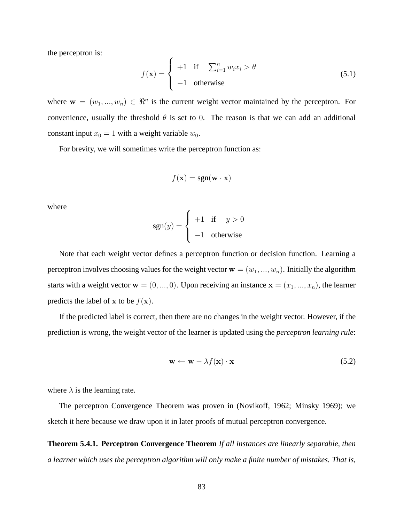the perceptron is:

$$
f(\mathbf{x}) = \begin{cases} +1 & \text{if } \sum_{i=1}^{n} w_i x_i > \theta \\ -1 & \text{otherwise} \end{cases}
$$
 (5.1)

where  $\mathbf{w} = (w_1, ..., w_n) \in \mathbb{R}^n$  is the current weight vector maintained by the perceptron. For convenience, usually the threshold  $\theta$  is set to 0. The reason is that we can add an additional constant input  $x_0 = 1$  with a weight variable  $w_0$ .

For brevity, we will sometimes write the perceptron function as:

$$
f(\mathbf{x}) = \text{sgn}(\mathbf{w} \cdot \mathbf{x})
$$

where

$$
sgn(y) = \begin{cases} +1 & \text{if } y > 0\\ -1 & \text{otherwise} \end{cases}
$$

Note that each weight vector defines a perceptron function or decision function. Learning a perceptron involves choosing values for the weight vector  $\mathbf{w} = (w_1, ..., w_n)$ . Initially the algorithm starts with a weight vector  $\mathbf{w} = (0, ..., 0)$ . Upon receiving an instance  $\mathbf{x} = (x_1, ..., x_n)$ , the learner predicts the label of x to be  $f(\mathbf{x})$ .

If the predicted label is correct, then there are no changes in the weight vector. However, if the prediction is wrong, the weight vector of the learner is updated using the *perceptron learning rule*:

$$
\mathbf{w} \leftarrow \mathbf{w} - \lambda f(\mathbf{x}) \cdot \mathbf{x} \tag{5.2}
$$

where  $\lambda$  is the learning rate.

The perceptron Convergence Theorem was proven in (Novikoff, 1962; Minsky 1969); we sketch it here because we draw upon it in later proofs of mutual perceptron convergence.

**Theorem 5.4.1. Perceptron Convergence Theorem** *If all instances are linearly separable, then a learner which uses the perceptron algorithm will only make a finite number of mistakes. That is,*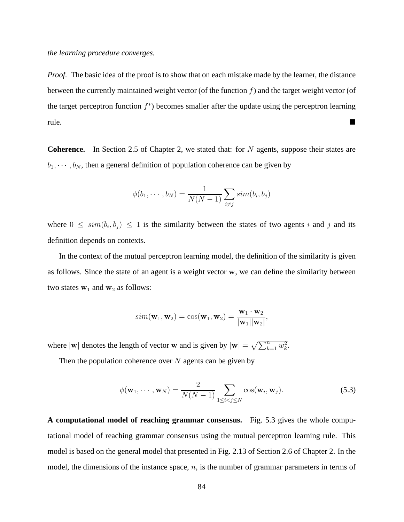*the learning procedure converges.*

*Proof.* The basic idea of the proof is to show that on each mistake made by the learner, the distance between the currently maintained weight vector (of the function  $f$ ) and the target weight vector (of the target perceptron function  $f^*$ ) becomes smaller after the update using the perceptron learning rule.

**Coherence.** In Section 2.5 of Chapter 2, we stated that: for N agents, suppose their states are  $b_1, \dots, b_N$ , then a general definition of population coherence can be given by

$$
\phi(b_1, \cdots, b_N) = \frac{1}{N(N-1)} \sum_{i \neq j} sim(b_i, b_j)
$$

where  $0 \leq sim(b_i, b_j) \leq 1$  is the similarity between the states of two agents i and j and its definition depends on contexts.

In the context of the mutual perceptron learning model, the definition of the similarity is given as follows. Since the state of an agent is a weight vector w, we can define the similarity between two states  $w_1$  and  $w_2$  as follows:

$$
\mathit{sim}(\mathbf{w}_1,\mathbf{w}_2)=\cos(\mathbf{w}_1,\mathbf{w}_2)=\frac{\mathbf{w}_1\cdot\mathbf{w}_2}{|\mathbf{w}_1||\mathbf{w}_2|},
$$

where  $|\mathbf{w}|$  denotes the length of vector w and is given by  $|\mathbf{w}| = \sqrt{\sum_{k=1}^{n} w_k^2}$ .

Then the population coherence over  $N$  agents can be given by

$$
\phi(\mathbf{w}_1, \cdots, \mathbf{w}_N) = \frac{2}{N(N-1)} \sum_{1 \le i < j \le N} \cos(\mathbf{w}_i, \mathbf{w}_j). \tag{5.3}
$$

**A computational model of reaching grammar consensus.** Fig. 5.3 gives the whole computational model of reaching grammar consensus using the mutual perceptron learning rule. This model is based on the general model that presented in Fig. 2.13 of Section 2.6 of Chapter 2. In the model, the dimensions of the instance space,  $n$ , is the number of grammar parameters in terms of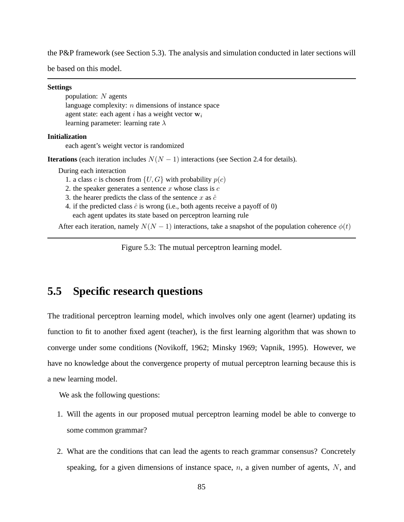the P&P framework (see Section 5.3). The analysis and simulation conducted in later sections will

be based on this model.

#### **Settings**

population: N agents language complexity:  $n$  dimensions of instance space agent state: each agent i has a weight vector  $w_i$ learning parameter: learning rate  $\lambda$ 

#### **Initialization**

each agent's weight vector is randomized

**Iterations** (each iteration includes  $N(N - 1)$  interactions (see Section 2.4 for details).

During each interaction

- 1. a class c is chosen from  $\{U, G\}$  with probability  $p(c)$
- 2. the speaker generates a sentence  $x$  whose class is  $c$
- 3. the hearer predicts the class of the sentence x as  $\hat{c}$
- 4. if the predicted class  $\hat{c}$  is wrong (i.e., both agents receive a payoff of 0) each agent updates its state based on perceptron learning rule

After each iteration, namely  $N(N-1)$  interactions, take a snapshot of the population coherence  $\phi(t)$ 

Figure 5.3: The mutual perceptron learning model.

## **5.5 Specific research questions**

The traditional perceptron learning model, which involves only one agent (learner) updating its function to fit to another fixed agent (teacher), is the first learning algorithm that was shown to converge under some conditions (Novikoff, 1962; Minsky 1969; Vapnik, 1995). However, we have no knowledge about the convergence property of mutual perceptron learning because this is a new learning model.

We ask the following questions:

- 1. Will the agents in our proposed mutual perceptron learning model be able to converge to some common grammar?
- 2. What are the conditions that can lead the agents to reach grammar consensus? Concretely speaking, for a given dimensions of instance space,  $n$ , a given number of agents,  $N$ , and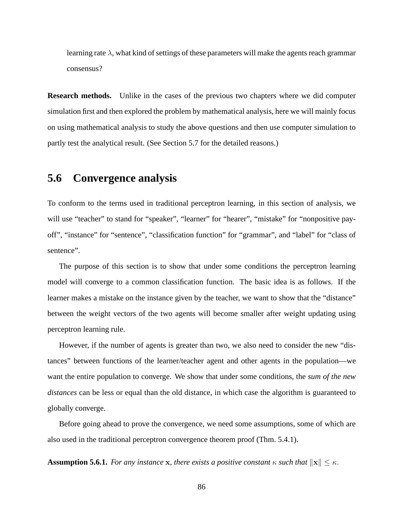learning rate  $\lambda$ , what kind of settings of these parameters will make the agents reach grammar consensus?

**Research methods.** Unlike in the cases of the previous two chapters where we did computer simulation first and then explored the problem by mathematical analysis, here we will mainly focus on using mathematical analysis to study the above questions and then use computer simulation to partly test the analytical result. (See Section 5.7 for the detailed reasons.)

## **5.6 Convergence analysis**

To conform to the terms used in traditional perceptron learning, in this section of analysis, we will use "teacher" to stand for "speaker", "learner" for "hearer", "mistake" for "nonpositive payoff", "instance" for "sentence", "classification function" for "grammar", and "label" for "class of sentence".

The purpose of this section is to show that under some conditions the perceptron learning model will converge to a common classification function. The basic idea is as follows. If the learner makes a mistake on the instance given by the teacher, we want to show that the "distance" between the weight vectors of the two agents will become smaller after weight updating using perceptron learning rule.

However, if the number of agents is greater than two, we also need to consider the new "distances" between functions of the learner/teacher agent and other agents in the population—we want the entire population to converge. We show that under some conditions, the *sum of the new distances* can be less or equal than the old distance, in which case the algorithm is guaranteed to globally converge.

Before going ahead to prove the convergence, we need some assumptions, some of which are also used in the traditional perceptron convergence theorem proof (Thm. 5.4.1).

**Assumption 5.6.1.** *For any instance* **x***, there exists a positive constant*  $\kappa$  *such that*  $\|\mathbf{x}\| \leq \kappa$ *.*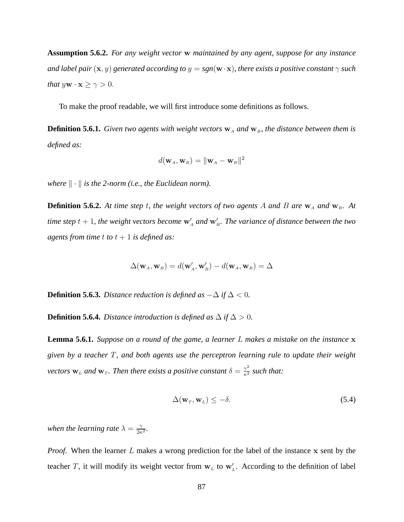**Assumption 5.6.2.** *For any weight vector* w *maintained by any agent, suppose for any instance and label pair*  $(x, y)$  *generated according to*  $y = sgn(w \cdot x)$ *, there exists a positive constant*  $\gamma$  *such that*  $y\mathbf{w} \cdot \mathbf{x} \ge \gamma > 0$ .

To make the proof readable, we will first introduce some definitions as follows.

**Definition 5.6.1.** *Given two agents with weight vectors*  $w_A$  *and*  $w_B$ *, the distance between them is defined as:*

$$
d(\mathbf{w}_A, \mathbf{w}_B) = ||\mathbf{w}_A - \mathbf{w}_B||^2
$$

*where*  $\|\cdot\|$  *is the 2-norm (i.e., the Euclidean norm).* 

**Definition 5.6.2.** At time step t, the weight vectors of two agents A and B are  $w_A$  and  $w_B$ . At time step  $t + 1$ , the weight vectors become  $w'_{A}$  and  $w'_{B}$ . The variance of distance between the two *agents from time t to*  $t + 1$  *is defined as:* 

$$
\Delta(\mathbf{w}_A, \mathbf{w}_B) = d(\mathbf{w}'_A, \mathbf{w}'_B) - d(\mathbf{w}_A, \mathbf{w}_B) = \Delta
$$

**Definition 5.6.3.** *Distance reduction is defined as*  $-\Delta$  *if*  $\Delta < 0$ *.* 

**Definition 5.6.4.** *Distance introduction is defined as*  $\Delta$  *if*  $\Delta > 0$ *.* 

**Lemma 5.6.1.** *Suppose on a round of the game, a learner* L *makes a mistake on the instance* x *given by a teacher* T*, and both agents use the perceptron learning rule to update their weight vectors*  $w_L$  *and*  $w_T$ . Then there exists a positive constant  $\delta = \frac{\gamma^2}{\kappa^2}$  such that:

$$
\Delta(\mathbf{w}_T, \mathbf{w}_L) \le -\delta. \tag{5.4}
$$

*when the learning rate*  $\lambda = \frac{\gamma}{2\kappa^2}$ *.* 

*Proof.* When the learner L makes a wrong prediction for the label of the instance x sent by the teacher T, it will modify its weight vector from  $w_L$  to  $w'_L$ . According to the definition of label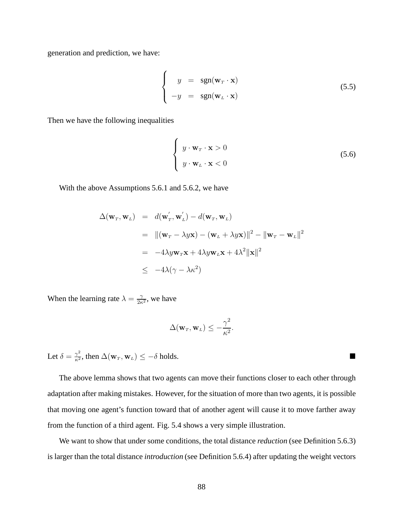generation and prediction, we have:

$$
\begin{cases}\n y = \text{sgn}(\mathbf{w}_T \cdot \mathbf{x}) \\
 -y = \text{sgn}(\mathbf{w}_L \cdot \mathbf{x})\n\end{cases}
$$
\n(5.5)

Then we have the following inequalities

$$
\begin{cases}\n y \cdot \mathbf{w}_T \cdot \mathbf{x} > 0 \\
 y \cdot \mathbf{w}_L \cdot \mathbf{x} < 0\n\end{cases} \tag{5.6}
$$

With the above Assumptions 5.6.1 and 5.6.2, we have

$$
\Delta(\mathbf{w}_T, \mathbf{w}_L) = d(\mathbf{w}_T', \mathbf{w}_L') - d(\mathbf{w}_T, \mathbf{w}_L)
$$
  
\n
$$
= ||(\mathbf{w}_T - \lambda y \mathbf{x}) - (\mathbf{w}_L + \lambda y \mathbf{x})||^2 - ||\mathbf{w}_T - \mathbf{w}_L||^2
$$
  
\n
$$
= -4\lambda y \mathbf{w}_T \mathbf{x} + 4\lambda y \mathbf{w}_L \mathbf{x} + 4\lambda^2 ||\mathbf{x}||^2
$$
  
\n
$$
\leq -4\lambda (\gamma - \lambda \kappa^2)
$$

When the learning rate  $\lambda = \frac{\gamma}{2\kappa^2}$ , we have

$$
\Delta(\mathbf{w}_T, \mathbf{w}_L) \leq -\frac{\gamma^2}{\kappa^2}.
$$

Let  $\delta = \frac{\gamma^2}{\kappa^2}$  $\frac{\gamma^2}{\kappa^2}$ , then  $\Delta(\mathbf{w}_T, \mathbf{w}_L) \leq -\delta$  holds.

The above lemma shows that two agents can move their functions closer to each other through adaptation after making mistakes. However, for the situation of more than two agents, it is possible that moving one agent's function toward that of another agent will cause it to move farther away from the function of a third agent. Fig. 5.4 shows a very simple illustration.

We want to show that under some conditions, the total distance *reduction* (see Definition 5.6.3) is larger than the total distance *introduction* (see Definition 5.6.4) after updating the weight vectors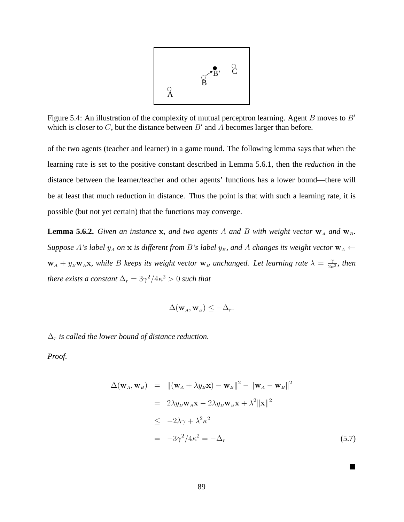

Figure 5.4: An illustration of the complexity of mutual perceptron learning. Agent  $B$  moves to  $B'$ which is closer to  $C$ , but the distance between  $B'$  and  $A$  becomes larger than before.

of the two agents (teacher and learner) in a game round. The following lemma says that when the learning rate is set to the positive constant described in Lemma 5.6.1, then the *reduction* in the distance between the learner/teacher and other agents' functions has a lower bound—there will be at least that much reduction in distance. Thus the point is that with such a learning rate, it is possible (but not yet certain) that the functions may converge.

**Lemma 5.6.2.** *Given an instance* x, and two agents A and B with weight vector  $w_A$  and  $w_B$ . *Suppose* A's label  $y_A$  *on*  $x$  *is different from* B's label  $y_B$ *, and* A *changes its weight vector*  $w_A$  ←  $\mathbf{w}_A + y_B \mathbf{w}_A \mathbf{x}$ , while *B* keeps its weight vector  $\mathbf{w}_B$  unchanged. Let learning rate  $\lambda = \frac{\gamma}{2\kappa^2}$ , then there exists a constant  $\Delta_r = 3\gamma^2/4\kappa^2 > 0$  such that

$$
\Delta(\mathbf{w}_A, \mathbf{w}_B) \leq -\Delta_r.
$$

 $\Delta_r$  *is called the lower bound of distance reduction.* 

*Proof.*

$$
\Delta(\mathbf{w}_A, \mathbf{w}_B) = ||(\mathbf{w}_A + \lambda y_B \mathbf{x}) - \mathbf{w}_B||^2 - ||\mathbf{w}_A - \mathbf{w}_B||^2
$$
  
\n
$$
= 2\lambda y_B \mathbf{w}_A \mathbf{x} - 2\lambda y_B \mathbf{w}_B \mathbf{x} + \lambda^2 ||\mathbf{x}||^2
$$
  
\n
$$
\le -2\lambda \gamma + \lambda^2 \kappa^2
$$
  
\n
$$
= -3\gamma^2/4\kappa^2 = -\Delta_r
$$
 (5.7)

 $\blacksquare$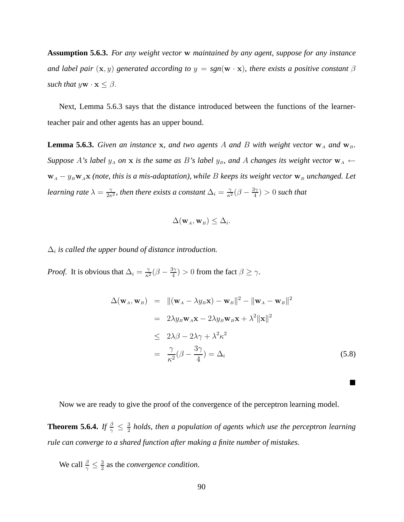**Assumption 5.6.3.** *For any weight vector* w *maintained by any agent, suppose for any instance and label pair*  $(x, y)$  *generated according to*  $y = sgn(w \cdot x)$ *, there exists a positive constant*  $\beta$ *such that*  $yw \cdot x \leq \beta$ .

Next, Lemma 5.6.3 says that the distance introduced between the functions of the learnerteacher pair and other agents has an upper bound.

**Lemma 5.6.3.** Given an instance x, and two agents A and B with weight vector  $w_A$  and  $w_B$ . *Suppose* A's label  $y_A$  *on*  $x$  *is the same as* B's label  $y_B$ *, and* A *changes its weight vector*  $w_A$  ← *(note, this is a mis-adaptation), while B keeps its weight vector* $**w**<sub>B</sub>$ *unchanged. Let learning rate*  $\lambda = \frac{\gamma}{2\kappa^2}$ , then there exists a constant  $\Delta_i = \frac{\gamma}{\kappa^2}(\beta - \frac{3\gamma}{4})$  $\frac{3\gamma}{4}) > 0$  such that

$$
\Delta(\mathbf{w}_A, \mathbf{w}_B) \leq \Delta_i.
$$

 $\Delta_i$  is called the upper bound of distance introduction.

*Proof.* It is obvious that  $\Delta_i = \frac{\gamma}{\kappa^2} (\beta - \frac{3\gamma}{4})$  $\frac{\delta \gamma}{4}$ ) > 0 from the fact  $\beta \ge \gamma$ .

$$
\Delta(\mathbf{w}_A, \mathbf{w}_B) = ||(\mathbf{w}_A - \lambda y_B \mathbf{x}) - \mathbf{w}_B||^2 - ||\mathbf{w}_A - \mathbf{w}_B||^2
$$
  
\n
$$
= 2\lambda y_B \mathbf{w}_A \mathbf{x} - 2\lambda y_B \mathbf{w}_B \mathbf{x} + \lambda^2 ||\mathbf{x}||^2
$$
  
\n
$$
\leq 2\lambda \beta - 2\lambda \gamma + \lambda^2 \kappa^2
$$
  
\n
$$
= \frac{\gamma}{\kappa^2} (\beta - \frac{3\gamma}{4}) = \Delta_i
$$
 (5.8)

 $\blacksquare$ 

Now we are ready to give the proof of the convergence of the perceptron learning model.

**Theorem 5.6.4.** *If*  $\frac{\beta}{\gamma} \leq \frac{3}{2}$  $\frac{3}{2}$  holds, then a population of agents which use the perceptron learning *rule can converge to a shared function after making a finite number of mistakes.*

We call  $\frac{\beta}{\gamma} \leq \frac{3}{2}$  $\frac{3}{2}$  as the *convergence condition*.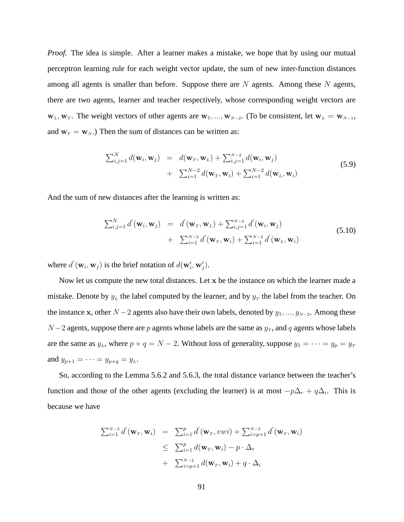*Proof.* The idea is simple. After a learner makes a mistake, we hope that by using our mutual perceptron learning rule for each weight vector update, the sum of new inter-function distances among all agents is smaller than before. Suppose there are  $N$  agents. Among these  $N$  agents, there are two agents, learner and teacher respectively, whose corresponding weight vectors are  $w_L, w_T$ . The weight vectors of other agents are  $w_1, ..., w_{N-2}$ . (To be consistent, let  $w_L = w_{N-1}$ , and  $w_T = w_N$ .) Then the sum of distances can be written as:

$$
\sum_{i,j=1}^{N} d(\mathbf{w}_i, \mathbf{w}_j) = d(\mathbf{w}_T, \mathbf{w}_L) + \sum_{i,j=1}^{N-2} d(\mathbf{w}_i, \mathbf{w}_j)
$$
  
+ 
$$
\sum_{i=1}^{N-2} d(\mathbf{w}_T, \mathbf{w}_i) + \sum_{i=1}^{N-2} d(\mathbf{w}_L, \mathbf{w}_i)
$$
 (5.9)

And the sum of new distances after the learning is written as:

$$
\sum_{i,j=1}^{N} d'(\mathbf{w}_i, \mathbf{w}_j) = d'(\mathbf{w}_T, \mathbf{w}_L) + \sum_{i,j=1}^{N-2} d'(\mathbf{w}_i, \mathbf{w}_j)
$$
  
+ 
$$
\sum_{i=1}^{N-2} d'(\mathbf{w}_T, \mathbf{w}_i) + \sum_{i=1}^{N-2} d'(\mathbf{w}_L, \mathbf{w}_i)
$$
(5.10)

where  $d'(\mathbf{w}_i, \mathbf{w}_j)$  is the brief notation of  $d(\mathbf{w}'_i, \mathbf{w}'_j)$ .

Now let us compute the new total distances. Let  $x$  be the instance on which the learner made a mistake. Denote by  $y_L$  the label computed by the learner, and by  $y_T$  the label from the teacher. On the instance x, other  $N-2$  agents also have their own labels, denoted by  $y_1, ..., y_{N-2}$ . Among these  $N-2$  agents, suppose there are p agents whose labels are the same as  $y_T$ , and q agents whose labels are the same as  $y_L$ , where  $p + q = N - 2$ . Without loss of generality, suppose  $y_1 = \cdots = y_p = y_T$ and  $y_{p+1} = \cdots = y_{p+q} = y_L$ .

So, according to the Lemma 5.6.2 and 5.6.3, the total distance variance between the teacher's function and those of the other agents (excluding the learner) is at most  $-p\Delta_r + q\Delta_i$ . This is because we have

$$
\sum_{i=1}^{N-2} d'(\mathbf{w}_T, \mathbf{w}_i) = \sum_{i=1}^{p} d'(\mathbf{w}_T, vwi) + \sum_{i=p+1}^{N-2} d'(\mathbf{w}_T, \mathbf{w}_i)
$$
  
\n
$$
\leq \sum_{i=1}^{p} d(\mathbf{w}_T, \mathbf{w}_i) - p \cdot \Delta_r
$$
  
\n
$$
+ \sum_{i=p+1}^{N-2} d(\mathbf{w}_T, \mathbf{w}_i) + q \cdot \Delta_i
$$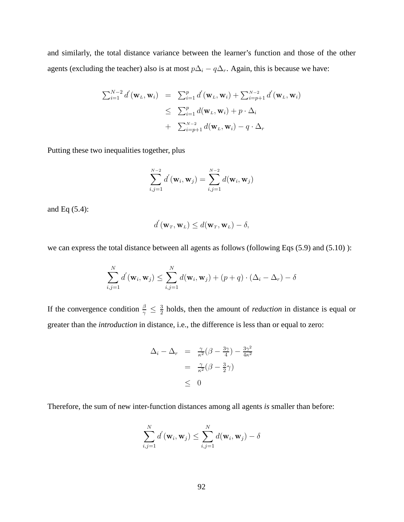and similarly, the total distance variance between the learner's function and those of the other agents (excluding the teacher) also is at most  $p\Delta_i - q\Delta_r$ . Again, this is because we have:

$$
\sum_{i=1}^{N-2} d'(\mathbf{w}_L, \mathbf{w}_i) = \sum_{i=1}^p d'(\mathbf{w}_L, \mathbf{w}_i) + \sum_{i=p+1}^{N-2} d'(\mathbf{w}_L, \mathbf{w}_i)
$$
  
\n
$$
\leq \sum_{i=1}^p d(\mathbf{w}_L, \mathbf{w}_i) + p \cdot \Delta_i
$$
  
\n
$$
+ \sum_{i=p+1}^{N-2} d(\mathbf{w}_L, \mathbf{w}_i) - q \cdot \Delta_r
$$

Putting these two inequalities together, plus

$$
\sum_{i,j=1}^{N-2} d'(\mathbf{w}_i, \mathbf{w}_j) = \sum_{i,j=1}^{N-2} d(\mathbf{w}_i, \mathbf{w}_j)
$$

and Eq (5.4):

$$
d'(\mathbf{w}_T, \mathbf{w}_L) \leq d(\mathbf{w}_T, \mathbf{w}_L) - \delta,
$$

we can express the total distance between all agents as follows (following Eqs (5.9) and (5.10) ):

$$
\sum_{i,j=1}^N d'(\mathbf{w}_i, \mathbf{w}_j) \le \sum_{i,j=1}^N d(\mathbf{w}_i, \mathbf{w}_j) + (p+q) \cdot (\Delta_i - \Delta_r) - \delta
$$

If the convergence condition  $\frac{\beta}{\gamma} \leq \frac{3}{2}$  $\frac{3}{2}$  holds, then the amount of *reduction* in distance is equal or greater than the *introduction* in distance, i.e., the difference is less than or equal to zero:

$$
\Delta_i - \Delta_r = \frac{\gamma}{\kappa^2} (\beta - \frac{3\gamma}{4}) - \frac{3\gamma^2}{4\kappa^2}
$$

$$
= \frac{\gamma}{\kappa^2} (\beta - \frac{3}{2}\gamma)
$$

$$
\leq 0
$$

Therefore, the sum of new inter-function distances among all agents *is* smaller than before:

$$
\sum_{i,j=1}^N d'(\mathbf{w}_i, \mathbf{w}_j) \leq \sum_{i,j=1}^N d(\mathbf{w}_i, \mathbf{w}_j) - \delta
$$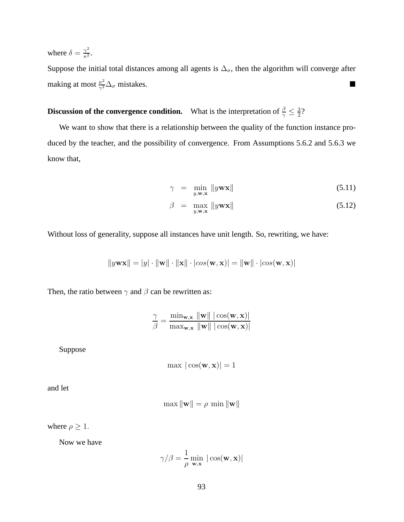where  $\delta = \frac{\gamma^2}{\kappa^2}$ .

Suppose the initial total distances among all agents is  $\Delta_{\sigma}$ , then the algorithm will converge after making at most  $\frac{\kappa^2}{\gamma^2} \Delta_\sigma$  mistakes.

#### **Discussion of the convergence condition.** What is the interpretation of  $\frac{\beta}{\gamma} \leq \frac{3}{2}$  $rac{3}{2}$ ?

We want to show that there is a relationship between the quality of the function instance produced by the teacher, and the possibility of convergence. From Assumptions 5.6.2 and 5.6.3 we know that,

$$
\gamma = \min_{y, \mathbf{w}, \mathbf{x}} \|y\mathbf{w}\mathbf{x}\|
$$
\n(5.11)

$$
\beta = \max_{y, \mathbf{w}, \mathbf{x}} \|y\mathbf{w}\mathbf{x}\| \tag{5.12}
$$

Without loss of generality, suppose all instances have unit length. So, rewriting, we have:

$$
||y\mathbf{w}\mathbf{x}|| = |y| \cdot ||\mathbf{w}|| \cdot ||\mathbf{x}|| \cdot |cos(\mathbf{w}, \mathbf{x})| = ||\mathbf{w}|| \cdot |cos(\mathbf{w}, \mathbf{x})|
$$

Then, the ratio between  $\gamma$  and  $\beta$  can be rewritten as:

$$
\frac{\gamma}{\beta} = \frac{\min_{\mathbf{w}, \mathbf{x}} \| \mathbf{w} \| |\cos(\mathbf{w}, \mathbf{x})|}{\max_{\mathbf{w}, \mathbf{x}} \| \mathbf{w} \| |\cos(\mathbf{w}, \mathbf{x})|}
$$

Suppose

$$
\max |\cos(\mathbf{w}, \mathbf{x})| = 1
$$

and let

$$
\max \|\mathbf{w}\| = \rho \min \|\mathbf{w}\|
$$

where  $\rho \geq 1$ .

Now we have

$$
\gamma/\beta = \frac{1}{\rho} \min_{\mathbf{w}, \mathbf{x}} |\cos(\mathbf{w}, \mathbf{x})|
$$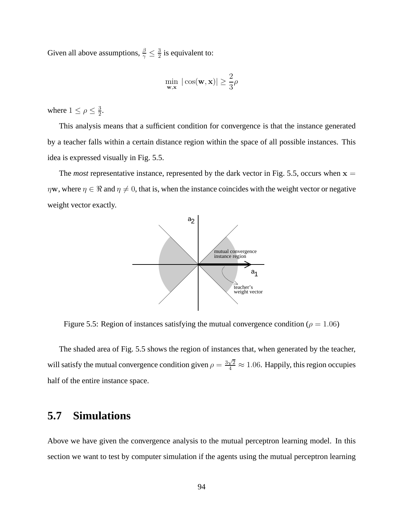Given all above assumptions,  $\frac{\beta}{\gamma} \leq \frac{3}{2}$  $\frac{3}{2}$  is equivalent to:

$$
\min_{\mathbf{w}, \mathbf{x}} |\cos(\mathbf{w}, \mathbf{x})| \ge \frac{2}{3}\rho
$$

where  $1 \leq \rho \leq \frac{3}{2}$  $\frac{3}{2}$ .

This analysis means that a sufficient condition for convergence is that the instance generated by a teacher falls within a certain distance region within the space of all possible instances. This idea is expressed visually in Fig. 5.5.

The *most* representative instance, represented by the dark vector in Fig. 5.5, occurs when  $x =$  $\eta$ w, where  $\eta \in \Re$  and  $\eta \neq 0$ , that is, when the instance coincides with the weight vector or negative weight vector exactly.



Figure 5.5: Region of instances satisfying the mutual convergence condition ( $\rho = 1.06$ )

The shaded area of Fig. 5.5 shows the region of instances that, when generated by the teacher, will satisfy the mutual convergence condition given  $\rho = \frac{3\sqrt{2}}{4} \approx 1.06$ . Happily, this region occupies half of the entire instance space.

## **5.7 Simulations**

Above we have given the convergence analysis to the mutual perceptron learning model. In this section we want to test by computer simulation if the agents using the mutual perceptron learning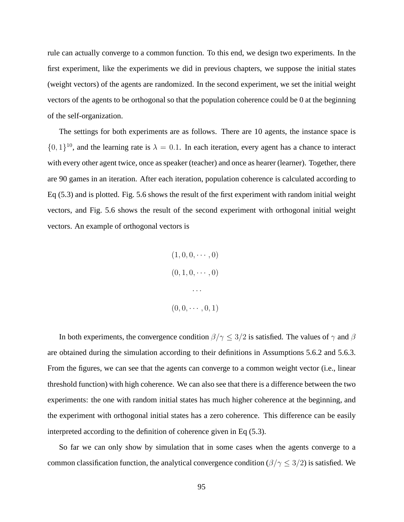rule can actually converge to a common function. To this end, we design two experiments. In the first experiment, like the experiments we did in previous chapters, we suppose the initial states (weight vectors) of the agents are randomized. In the second experiment, we set the initial weight vectors of the agents to be orthogonal so that the population coherence could be 0 at the beginning of the self-organization.

The settings for both experiments are as follows. There are 10 agents, the instance space is  $\{0, 1\}^{10}$ , and the learning rate is  $\lambda = 0.1$ . In each iteration, every agent has a chance to interact with every other agent twice, once as speaker (teacher) and once as hearer (learner). Together, there are 90 games in an iteration. After each iteration, population coherence is calculated according to Eq (5.3) and is plotted. Fig. 5.6 shows the result of the first experiment with random initial weight vectors, and Fig. 5.6 shows the result of the second experiment with orthogonal initial weight vectors. An example of orthogonal vectors is

> $(1, 0, 0, \cdots, 0)$  $(0, 1, 0, \cdots, 0)$ · · ·  $(0, 0, \cdots, 0, 1)$

In both experiments, the convergence condition  $\beta/\gamma \leq 3/2$  is satisfied. The values of  $\gamma$  and  $\beta$ are obtained during the simulation according to their definitions in Assumptions 5.6.2 and 5.6.3. From the figures, we can see that the agents can converge to a common weight vector (i.e., linear threshold function) with high coherence. We can also see that there is a difference between the two experiments: the one with random initial states has much higher coherence at the beginning, and the experiment with orthogonal initial states has a zero coherence. This difference can be easily interpreted according to the definition of coherence given in Eq (5.3).

So far we can only show by simulation that in some cases when the agents converge to a common classification function, the analytical convergence condition ( $\beta/\gamma \leq 3/2$ ) is satisfied. We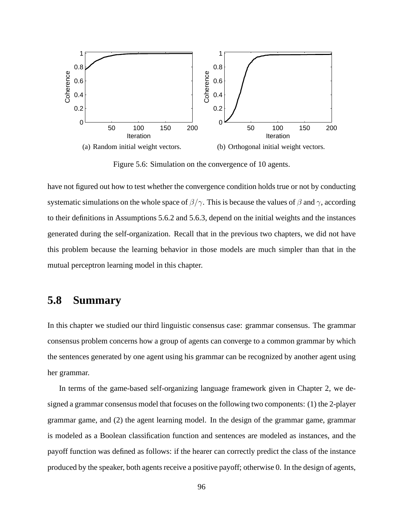

Figure 5.6: Simulation on the convergence of 10 agents.

have not figured out how to test whether the convergence condition holds true or not by conducting systematic simulations on the whole space of  $\beta/\gamma$ . This is because the values of  $\beta$  and  $\gamma$ , according to their definitions in Assumptions 5.6.2 and 5.6.3, depend on the initial weights and the instances generated during the self-organization. Recall that in the previous two chapters, we did not have this problem because the learning behavior in those models are much simpler than that in the mutual perceptron learning model in this chapter.

#### **5.8 Summary**

In this chapter we studied our third linguistic consensus case: grammar consensus. The grammar consensus problem concerns how a group of agents can converge to a common grammar by which the sentences generated by one agent using his grammar can be recognized by another agent using her grammar.

In terms of the game-based self-organizing language framework given in Chapter 2, we designed a grammar consensus model that focuses on the following two components: (1) the 2-player grammar game, and (2) the agent learning model. In the design of the grammar game, grammar is modeled as a Boolean classification function and sentences are modeled as instances, and the payoff function was defined as follows: if the hearer can correctly predict the class of the instance produced by the speaker, both agents receive a positive payoff; otherwise 0. In the design of agents,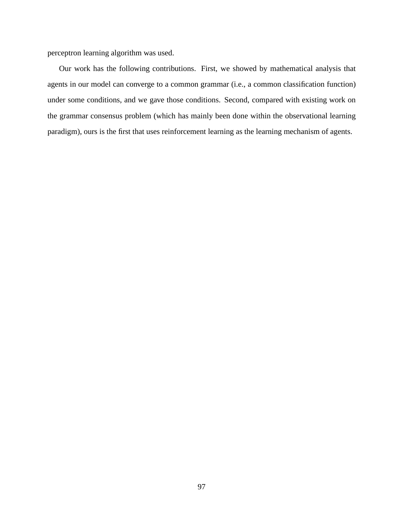perceptron learning algorithm was used.

Our work has the following contributions. First, we showed by mathematical analysis that agents in our model can converge to a common grammar (i.e., a common classification function) under some conditions, and we gave those conditions. Second, compared with existing work on the grammar consensus problem (which has mainly been done within the observational learning paradigm), ours is the first that uses reinforcement learning as the learning mechanism of agents.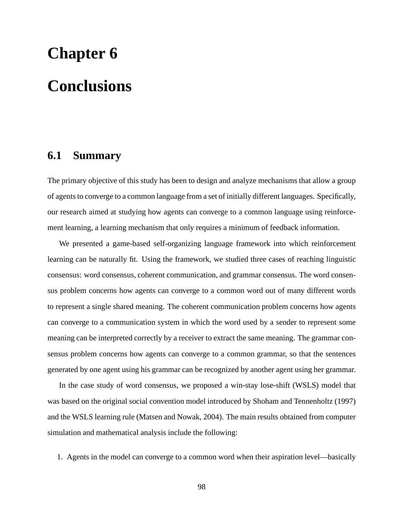# **Chapter 6 Conclusions**

#### **6.1 Summary**

The primary objective of this study has been to design and analyze mechanisms that allow a group of agents to converge to a common language from a set of initially different languages. Specifically, our research aimed at studying how agents can converge to a common language using reinforcement learning, a learning mechanism that only requires a minimum of feedback information.

We presented a game-based self-organizing language framework into which reinforcement learning can be naturally fit. Using the framework, we studied three cases of reaching linguistic consensus: word consensus, coherent communication, and grammar consensus. The word consensus problem concerns how agents can converge to a common word out of many different words to represent a single shared meaning. The coherent communication problem concerns how agents can converge to a communication system in which the word used by a sender to represent some meaning can be interpreted correctly by a receiver to extract the same meaning. The grammar consensus problem concerns how agents can converge to a common grammar, so that the sentences generated by one agent using his grammar can be recognized by another agent using her grammar.

In the case study of word consensus, we proposed a win-stay lose-shift (WSLS) model that was based on the original social convention model introduced by Shoham and Tennenholtz (1997) and the WSLS learning rule (Matsen and Nowak, 2004). The main results obtained from computer simulation and mathematical analysis include the following:

1. Agents in the model can converge to a common word when their aspiration level—basically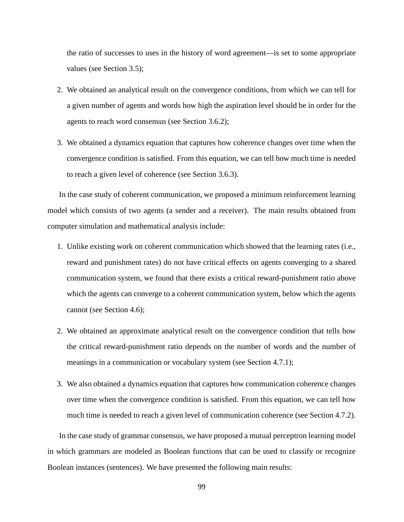the ratio of successes to uses in the history of word agreement—is set to some appropriate values (see Section 3.5);

- 2. We obtained an analytical result on the convergence conditions, from which we can tell for a given number of agents and words how high the aspiration level should be in order for the agents to reach word consensus (see Section 3.6.2);
- 3. We obtained a dynamics equation that captures how coherence changes over time when the convergence condition is satisfied. From this equation, we can tell how much time is needed to reach a given level of coherence (see Section 3.6.3).

In the case study of coherent communication, we proposed a minimum reinforcement learning model which consists of two agents (a sender and a receiver). The main results obtained from computer simulation and mathematical analysis include:

- 1. Unlike existing work on coherent communication which showed that the learning rates (i.e., reward and punishment rates) do not have critical effects on agents converging to a shared communication system, we found that there exists a critical reward-punishment ratio above which the agents can converge to a coherent communication system, below which the agents cannot (see Section 4.6);
- 2. We obtained an approximate analytical result on the convergence condition that tells how the critical reward-punishment ratio depends on the number of words and the number of meanings in a communication or vocabulary system (see Section 4.7.1);
- 3. We also obtained a dynamics equation that captures how communication coherence changes over time when the convergence condition is satisfied. From this equation, we can tell how much time is needed to reach a given level of communication coherence (see Section 4.7.2).

In the case study of grammar consensus, we have proposed a mutual perceptron learning model in which grammars are modeled as Boolean functions that can be used to classify or recognize Boolean instances (sentences). We have presented the following main results: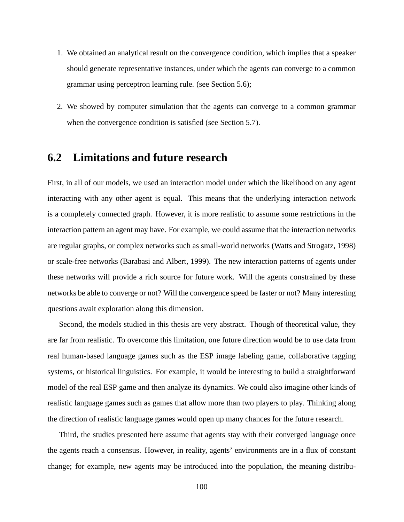- 1. We obtained an analytical result on the convergence condition, which implies that a speaker should generate representative instances, under which the agents can converge to a common grammar using perceptron learning rule. (see Section 5.6);
- 2. We showed by computer simulation that the agents can converge to a common grammar when the convergence condition is satisfied (see Section 5.7).

#### **6.2 Limitations and future research**

First, in all of our models, we used an interaction model under which the likelihood on any agent interacting with any other agent is equal. This means that the underlying interaction network is a completely connected graph. However, it is more realistic to assume some restrictions in the interaction pattern an agent may have. For example, we could assume that the interaction networks are regular graphs, or complex networks such as small-world networks (Watts and Strogatz, 1998) or scale-free networks (Barabasi and Albert, 1999). The new interaction patterns of agents under these networks will provide a rich source for future work. Will the agents constrained by these networks be able to converge or not? Will the convergence speed be faster or not? Many interesting questions await exploration along this dimension.

Second, the models studied in this thesis are very abstract. Though of theoretical value, they are far from realistic. To overcome this limitation, one future direction would be to use data from real human-based language games such as the ESP image labeling game, collaborative tagging systems, or historical linguistics. For example, it would be interesting to build a straightforward model of the real ESP game and then analyze its dynamics. We could also imagine other kinds of realistic language games such as games that allow more than two players to play. Thinking along the direction of realistic language games would open up many chances for the future research.

Third, the studies presented here assume that agents stay with their converged language once the agents reach a consensus. However, in reality, agents' environments are in a flux of constant change; for example, new agents may be introduced into the population, the meaning distribu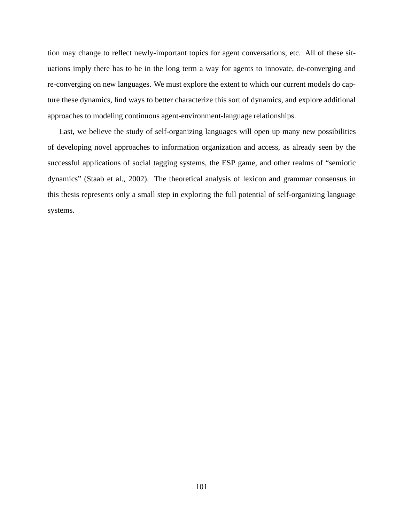tion may change to reflect newly-important topics for agent conversations, etc. All of these situations imply there has to be in the long term a way for agents to innovate, de-converging and re-converging on new languages. We must explore the extent to which our current models do capture these dynamics, find ways to better characterize this sort of dynamics, and explore additional approaches to modeling continuous agent-environment-language relationships.

Last, we believe the study of self-organizing languages will open up many new possibilities of developing novel approaches to information organization and access, as already seen by the successful applications of social tagging systems, the ESP game, and other realms of "semiotic dynamics" (Staab et al., 2002). The theoretical analysis of lexicon and grammar consensus in this thesis represents only a small step in exploring the full potential of self-organizing language systems.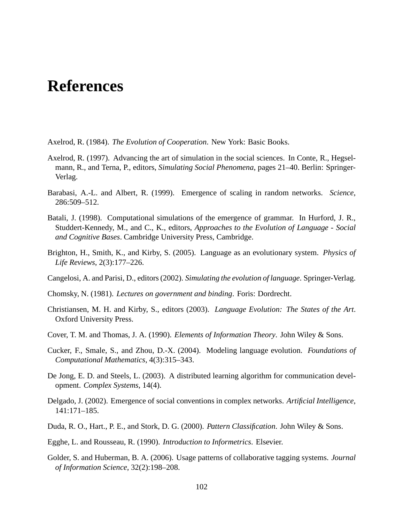## **References**

- Axelrod, R. (1984). *The Evolution of Cooperation*. New York: Basic Books.
- Axelrod, R. (1997). Advancing the art of simulation in the social sciences. In Conte, R., Hegselmann, R., and Terna, P., editors, *Simulating Social Phenomena*, pages 21–40. Berlin: Springer-Verlag.
- Barabasi, A.-L. and Albert, R. (1999). Emergence of scaling in random networks. *Science*, 286:509–512.
- Batali, J. (1998). Computational simulations of the emergence of grammar. In Hurford, J. R., Studdert-Kennedy, M., and C., K., editors, *Approaches to the Evolution of Language - Social and Cognitive Bases*. Cambridge University Press, Cambridge.
- Brighton, H., Smith, K., and Kirby, S. (2005). Language as an evolutionary system. *Physics of Life Reviews*, 2(3):177–226.
- Cangelosi, A. and Parisi, D., editors (2002). *Simulating the evolution of language*. Springer-Verlag.
- Chomsky, N. (1981). *Lectures on government and binding*. Foris: Dordrecht.
- Christiansen, M. H. and Kirby, S., editors (2003). *Language Evolution: The States of the Art*. Oxford University Press.
- Cover, T. M. and Thomas, J. A. (1990). *Elements of Information Theory*. John Wiley & Sons.
- Cucker, F., Smale, S., and Zhou, D.-X. (2004). Modeling language evolution. *Foundations of Computational Mathematics*, 4(3):315–343.
- De Jong, E. D. and Steels, L. (2003). A distributed learning algorithm for communication development. *Complex Systems*, 14(4).
- Delgado, J. (2002). Emergence of social conventions in complex networks. *Artificial Intelligence*, 141:171–185.
- Duda, R. O., Hart., P. E., and Stork, D. G. (2000). *Pattern Classification*. John Wiley & Sons.
- Egghe, L. and Rousseau, R. (1990). *Introduction to Informetrics*. Elsevier.
- Golder, S. and Huberman, B. A. (2006). Usage patterns of collaborative tagging systems. *Journal of Information Science*, 32(2):198–208.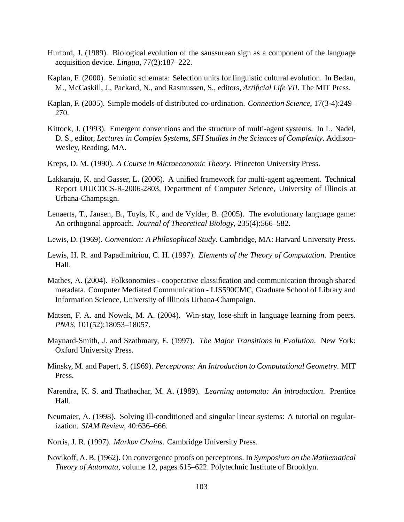- Hurford, J. (1989). Biological evolution of the saussurean sign as a component of the language acquisition device. *Lingua*, 77(2):187–222.
- Kaplan, F. (2000). Semiotic schemata: Selection units for linguistic cultural evolution. In Bedau, M., McCaskill, J., Packard, N., and Rasmussen, S., editors, *Artificial Life VII*. The MIT Press.
- Kaplan, F. (2005). Simple models of distributed co-ordination. *Connection Science*, 17(3-4):249– 270.
- Kittock, J. (1993). Emergent conventions and the structure of multi-agent systems. In L. Nadel, D. S., editor, *Lectures in Complex Systems, SFI Studies in the Sciences of Complexity*. Addison-Wesley, Reading, MA.
- Kreps, D. M. (1990). *A Course in Microeconomic Theory*. Princeton University Press.
- Lakkaraju, K. and Gasser, L. (2006). A unified framework for multi-agent agreement. Technical Report UIUCDCS-R-2006-2803, Department of Computer Science, University of Illinois at Urbana-Champsign.
- Lenaerts, T., Jansen, B., Tuyls, K., and de Vylder, B. (2005). The evolutionary language game: An orthogonal approach. *Journal of Theoretical Biology*, 235(4):566–582.
- Lewis, D. (1969). *Convention: A Philosophical Study*. Cambridge, MA: Harvard University Press.
- Lewis, H. R. and Papadimitriou, C. H. (1997). *Elements of the Theory of Computation*. Prentice Hall.
- Mathes, A. (2004). Folksonomies cooperative classification and communication through shared metadata. Computer Mediated Communication - LIS590CMC, Graduate School of Library and Information Science, University of Illinois Urbana-Champaign.
- Matsen, F. A. and Nowak, M. A. (2004). Win-stay, lose-shift in language learning from peers. *PNAS*, 101(52):18053–18057.
- Maynard-Smith, J. and Szathmary, E. (1997). *The Major Transitions in Evolution*. New York: Oxford University Press.
- Minsky, M. and Papert, S. (1969). *Perceptrons: An Introduction to Computational Geometry*. MIT Press.
- Narendra, K. S. and Thathachar, M. A. (1989). *Learning automata: An introduction*. Prentice Hall.
- Neumaier, A. (1998). Solving ill-conditioned and singular linear systems: A tutorial on regularization. *SIAM Review*, 40:636–666.
- Norris, J. R. (1997). *Markov Chains*. Cambridge University Press.
- Novikoff, A. B. (1962). On convergence proofs on perceptrons. In *Symposium on the Mathematical Theory of Automata*, volume 12, pages 615–622. Polytechnic Institute of Brooklyn.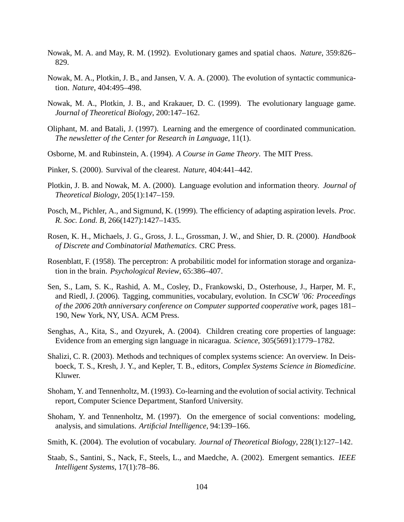- Nowak, M. A. and May, R. M. (1992). Evolutionary games and spatial chaos. *Nature*, 359:826– 829.
- Nowak, M. A., Plotkin, J. B., and Jansen, V. A. A. (2000). The evolution of syntactic communication. *Nature*, 404:495–498.
- Nowak, M. A., Plotkin, J. B., and Krakauer, D. C. (1999). The evolutionary language game. *Journal of Theoretical Biology*, 200:147–162.
- Oliphant, M. and Batali, J. (1997). Learning and the emergence of coordinated communication. *The newsletter of the Center for Research in Language*, 11(1).
- Osborne, M. and Rubinstein, A. (1994). *A Course in Game Theory*. The MIT Press.
- Pinker, S. (2000). Survival of the clearest. *Nature*, 404:441–442.
- Plotkin, J. B. and Nowak, M. A. (2000). Language evolution and information theory. *Journal of Theoretical Biology*, 205(1):147–159.
- Posch, M., Pichler, A., and Sigmund, K. (1999). The efficiency of adapting aspiration levels. *Proc. R. Soc. Lond. B*, 266(1427):1427–1435.
- Rosen, K. H., Michaels, J. G., Gross, J. L., Grossman, J. W., and Shier, D. R. (2000). *Handbook of Discrete and Combinatorial Mathematics*. CRC Press.
- Rosenblatt, F. (1958). The perceptron: A probabilitic model for information storage and organization in the brain. *Psychological Review*, 65:386–407.
- Sen, S., Lam, S. K., Rashid, A. M., Cosley, D., Frankowski, D., Osterhouse, J., Harper, M. F., and Riedl, J. (2006). Tagging, communities, vocabulary, evolution. In *CSCW '06: Proceedings of the 2006 20th anniversary conference on Computer supported cooperative work*, pages 181– 190, New York, NY, USA. ACM Press.
- Senghas, A., Kita, S., and Ozyurek, A. (2004). Children creating core properties of language: Evidence from an emerging sign language in nicaragua. *Science*, 305(5691):1779–1782.
- Shalizi, C. R. (2003). Methods and techniques of complex systems science: An overview. In Deisboeck, T. S., Kresh, J. Y., and Kepler, T. B., editors, *Complex Systems Science in Biomedicine*. Kluwer.
- Shoham, Y. and Tennenholtz, M. (1993). Co-learning and the evolution of social activity. Technical report, Computer Science Department, Stanford University.
- Shoham, Y. and Tennenholtz, M. (1997). On the emergence of social conventions: modeling, analysis, and simulations. *Artificial Intelligence*, 94:139–166.
- Smith, K. (2004). The evolution of vocabulary. *Journal of Theoretical Biology*, 228(1):127–142.
- Staab, S., Santini, S., Nack, F., Steels, L., and Maedche, A. (2002). Emergent semantics. *IEEE Intelligent Systems*, 17(1):78–86.